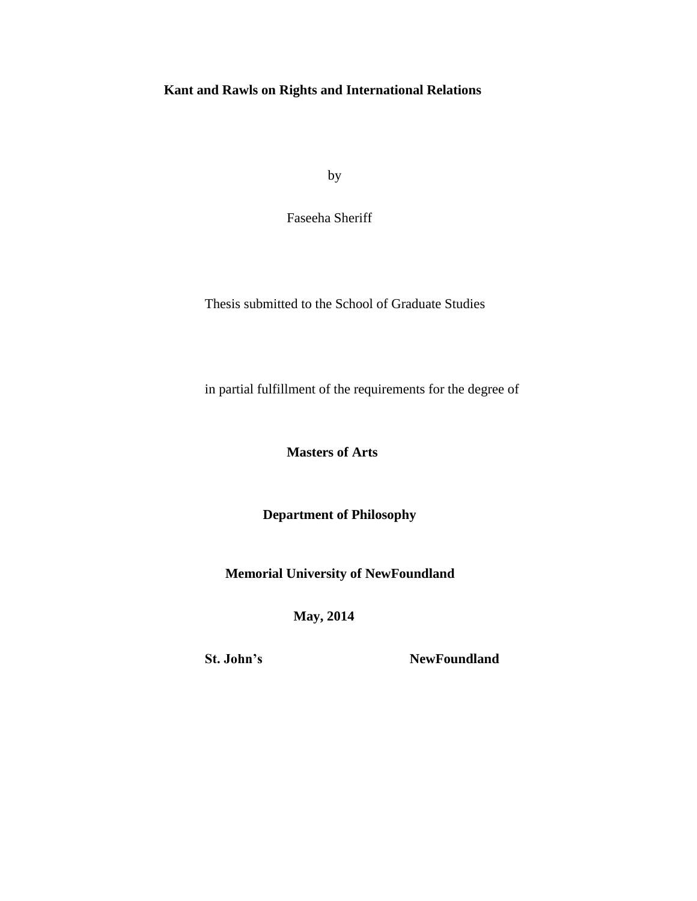# **Kant and Rawls on Rights and International Relations**

by

Faseeha Sheriff

Thesis submitted to the School of Graduate Studies

in partial fulfillment of the requirements for the degree of

**Masters of Arts**

 **Department of Philosophy**

 **Memorial University of NewFoundland**

 **May, 2014**

**St. John's NewFoundland**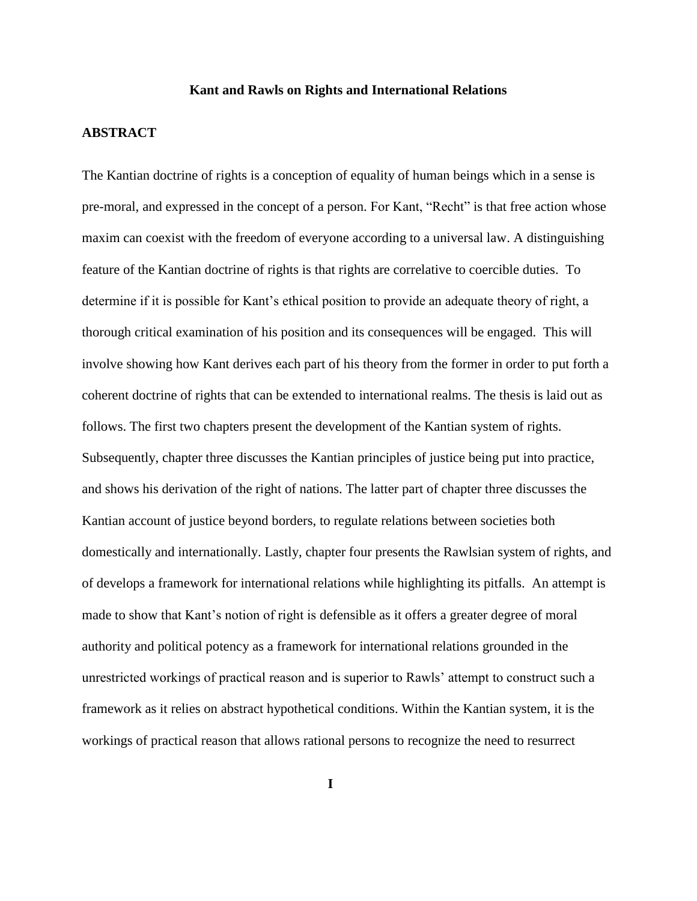### **Kant and Rawls on Rights and International Relations**

# **ABSTRACT**

The Kantian doctrine of rights is a conception of equality of human beings which in a sense is pre-moral, and expressed in the concept of a person. For Kant, "Recht" is that free action whose maxim can coexist with the freedom of everyone according to a universal law. A distinguishing feature of the Kantian doctrine of rights is that rights are correlative to coercible duties. To determine if it is possible for Kant's ethical position to provide an adequate theory of right, a thorough critical examination of his position and its consequences will be engaged. This will involve showing how Kant derives each part of his theory from the former in order to put forth a coherent doctrine of rights that can be extended to international realms. The thesis is laid out as follows. The first two chapters present the development of the Kantian system of rights. Subsequently, chapter three discusses the Kantian principles of justice being put into practice, and shows his derivation of the right of nations. The latter part of chapter three discusses the Kantian account of justice beyond borders, to regulate relations between societies both domestically and internationally. Lastly, chapter four presents the Rawlsian system of rights, and of develops a framework for international relations while highlighting its pitfalls. An attempt is made to show that Kant's notion of right is defensible as it offers a greater degree of moral authority and political potency as a framework for international relations grounded in the unrestricted workings of practical reason and is superior to Rawls' attempt to construct such a framework as it relies on abstract hypothetical conditions. Within the Kantian system, it is the workings of practical reason that allows rational persons to recognize the need to resurrect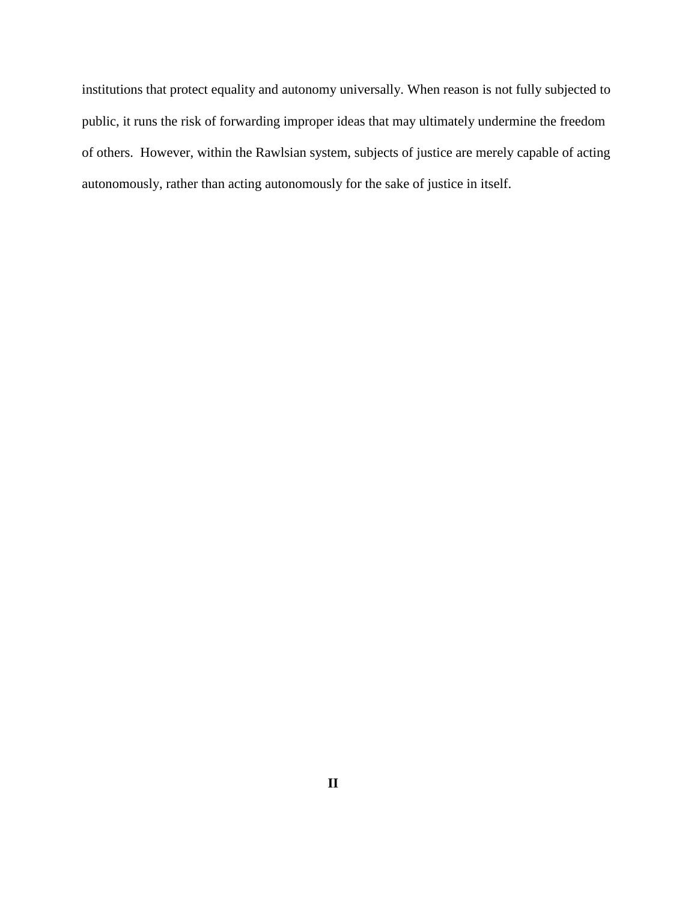institutions that protect equality and autonomy universally. When reason is not fully subjected to public, it runs the risk of forwarding improper ideas that may ultimately undermine the freedom of others. However, within the Rawlsian system, subjects of justice are merely capable of acting autonomously, rather than acting autonomously for the sake of justice in itself.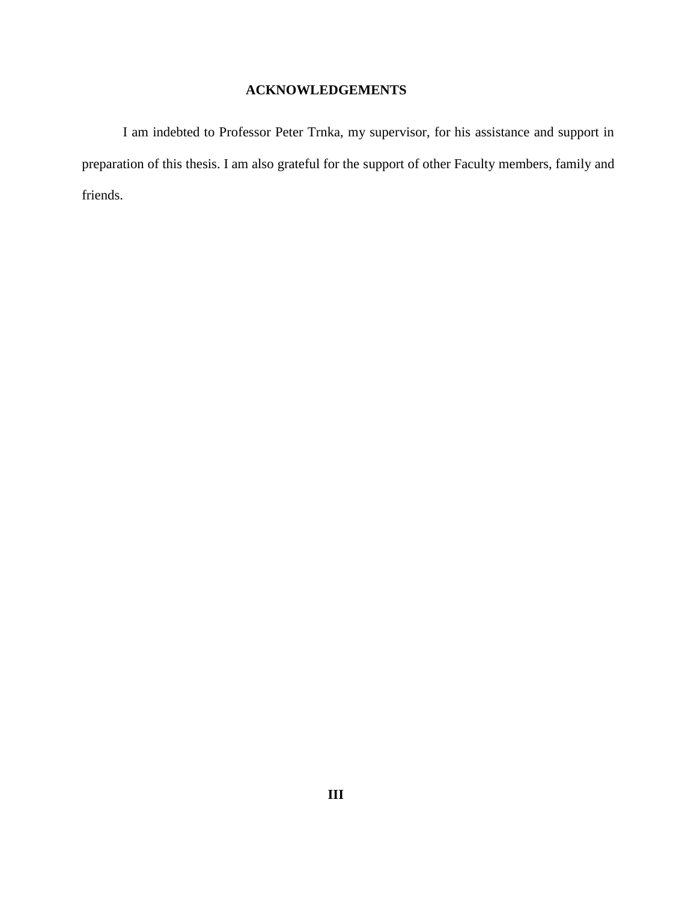# **ACKNOWLEDGEMENTS**

I am indebted to Professor Peter Trnka, my supervisor, for his assistance and support in preparation of this thesis. I am also grateful for the support of other Faculty members, family and friends.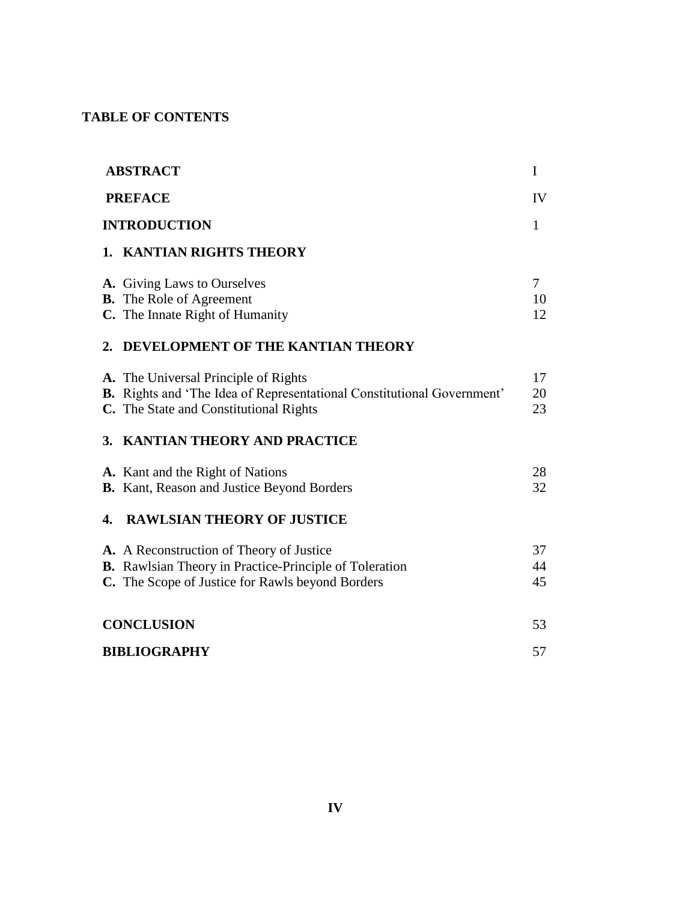# **TABLE OF CONTENTS**

|    | <b>ABSTRACT</b>                                                               | I            |
|----|-------------------------------------------------------------------------------|--------------|
|    | <b>PREFACE</b>                                                                | IV           |
|    | <b>INTRODUCTION</b>                                                           | $\mathbf{1}$ |
|    | 1. KANTIAN RIGHTS THEORY                                                      |              |
|    | A. Giving Laws to Ourselves                                                   | $\tau$       |
|    | <b>B.</b> The Role of Agreement                                               | 10           |
|    | C. The Innate Right of Humanity                                               | 12           |
|    | 2. DEVELOPMENT OF THE KANTIAN THEORY                                          |              |
|    | A. The Universal Principle of Rights                                          | 17           |
|    | <b>B.</b> Rights and 'The Idea of Representational Constitutional Government' | 20           |
|    | C. The State and Constitutional Rights                                        | 23           |
|    | 3. KANTIAN THEORY AND PRACTICE                                                |              |
|    | A. Kant and the Right of Nations                                              | 28           |
|    | B. Kant, Reason and Justice Beyond Borders                                    | 32           |
| 4. | <b>RAWLSIAN THEORY OF JUSTICE</b>                                             |              |
|    | A. A Reconstruction of Theory of Justice                                      | 37           |
|    | B. Rawlsian Theory in Practice-Principle of Toleration                        | 44           |
|    | C. The Scope of Justice for Rawls beyond Borders                              | 45           |
|    | <b>CONCLUSION</b>                                                             | 53           |
|    | <b>BIBLIOGRAPHY</b>                                                           | 57           |
|    |                                                                               |              |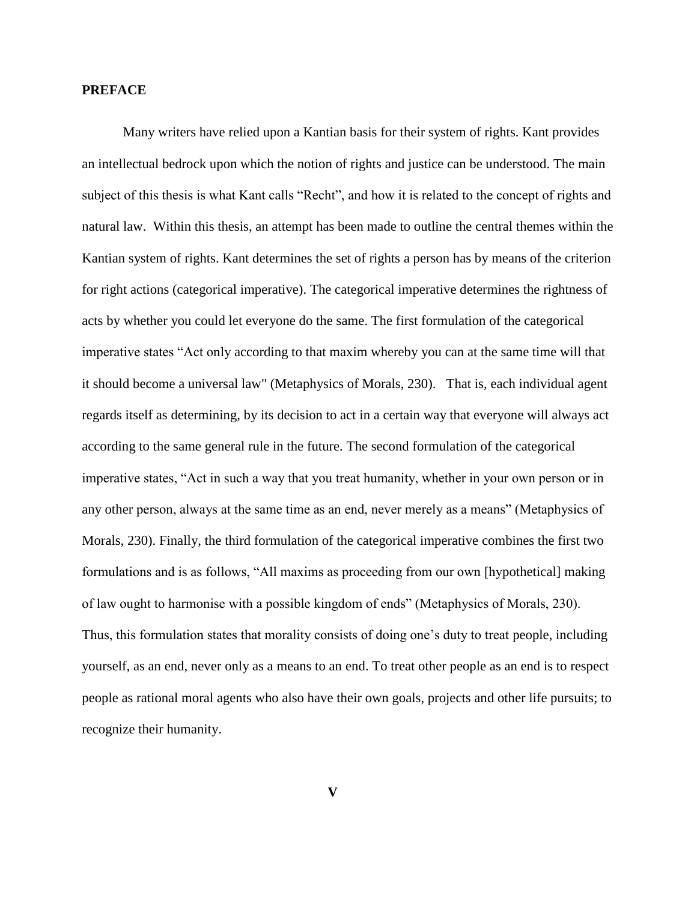# **PREFACE**

Many writers have relied upon a Kantian basis for their system of rights. Kant provides an intellectual bedrock upon which the notion of rights and justice can be understood. The main subject of this thesis is what Kant calls "Recht", and how it is related to the concept of rights and natural law. Within this thesis, an attempt has been made to outline the central themes within the Kantian system of rights. Kant determines the set of rights a person has by means of the criterion for right actions (categorical imperative). The categorical imperative determines the rightness of acts by whether you could let everyone do the same. The first formulation of the categorical imperative states "Act only according to that maxim whereby you can at the same time will that it should become a universal law" (Metaphysics of Morals, 230). That is, each individual agent regards itself as determining, by its decision to act in a certain way that everyone will always act according to the same general rule in the future. The second formulation of the categorical imperative states, "Act in such a way that you treat humanity, whether in your own person or in any other person, always at the same time as an end, never merely as a means" (Metaphysics of Morals, 230). Finally, the third formulation of the categorical imperative combines the first two formulations and is as follows, "All maxims as proceeding from our own [hypothetical] making of law ought to harmonise with a possible kingdom of ends" (Metaphysics of Morals, 230). Thus, this formulation states that morality consists of doing one's duty to treat people, including yourself, as an end, never only as a means to an end. To treat other people as an end is to respect people as rational moral agents who also have their own goals, projects and other life pursuits; to recognize their humanity.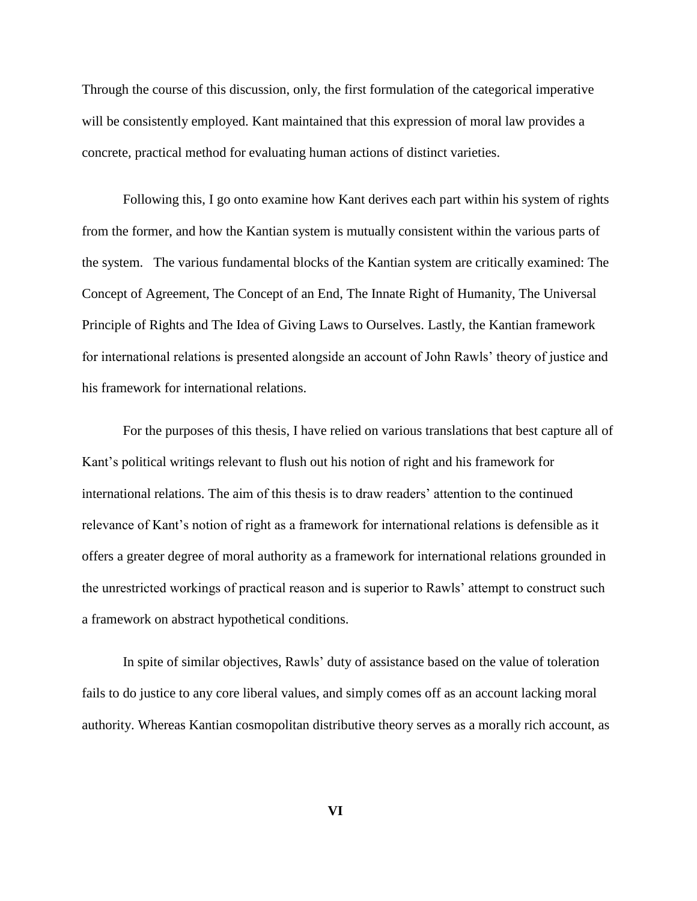Through the course of this discussion, only, the first formulation of the categorical imperative will be consistently employed. Kant maintained that this expression of moral law provides a concrete, practical method for evaluating human actions of distinct varieties.

Following this, I go onto examine how Kant derives each part within his system of rights from the former, and how the Kantian system is mutually consistent within the various parts of the system. The various fundamental blocks of the Kantian system are critically examined: The Concept of Agreement, The Concept of an End, The Innate Right of Humanity, The Universal Principle of Rights and The Idea of Giving Laws to Ourselves. Lastly, the Kantian framework for international relations is presented alongside an account of John Rawls' theory of justice and his framework for international relations.

For the purposes of this thesis, I have relied on various translations that best capture all of Kant's political writings relevant to flush out his notion of right and his framework for international relations. The aim of this thesis is to draw readers' attention to the continued relevance of Kant's notion of right as a framework for international relations is defensible as it offers a greater degree of moral authority as a framework for international relations grounded in the unrestricted workings of practical reason and is superior to Rawls' attempt to construct such a framework on abstract hypothetical conditions.

In spite of similar objectives, Rawls' duty of assistance based on the value of toleration fails to do justice to any core liberal values, and simply comes off as an account lacking moral authority. Whereas Kantian cosmopolitan distributive theory serves as a morally rich account, as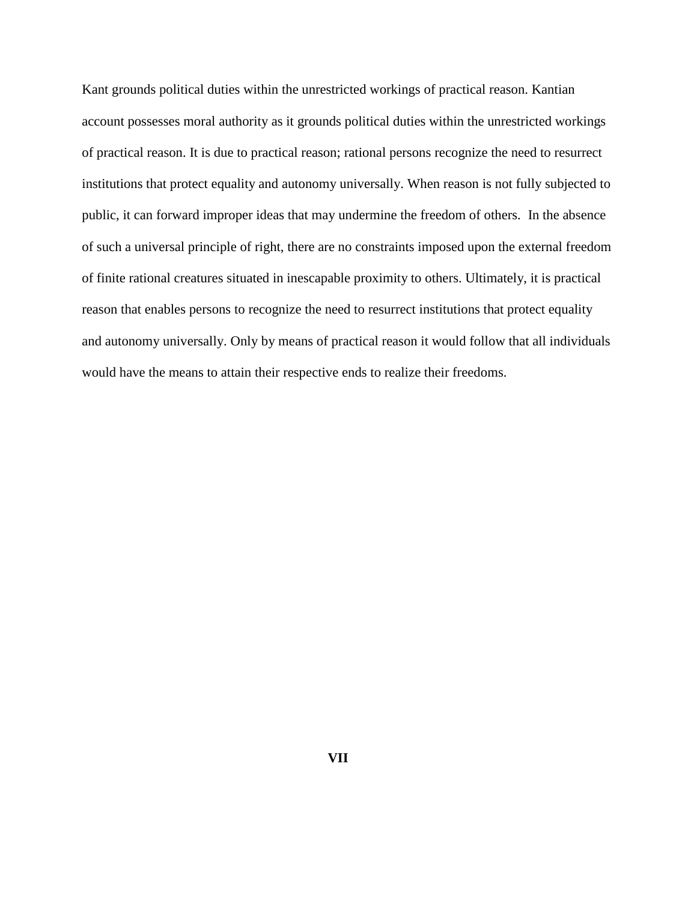Kant grounds political duties within the unrestricted workings of practical reason. Kantian account possesses moral authority as it grounds political duties within the unrestricted workings of practical reason. It is due to practical reason; rational persons recognize the need to resurrect institutions that protect equality and autonomy universally. When reason is not fully subjected to public, it can forward improper ideas that may undermine the freedom of others. In the absence of such a universal principle of right, there are no constraints imposed upon the external freedom of finite rational creatures situated in inescapable proximity to others. Ultimately, it is practical reason that enables persons to recognize the need to resurrect institutions that protect equality and autonomy universally. Only by means of practical reason it would follow that all individuals would have the means to attain their respective ends to realize their freedoms.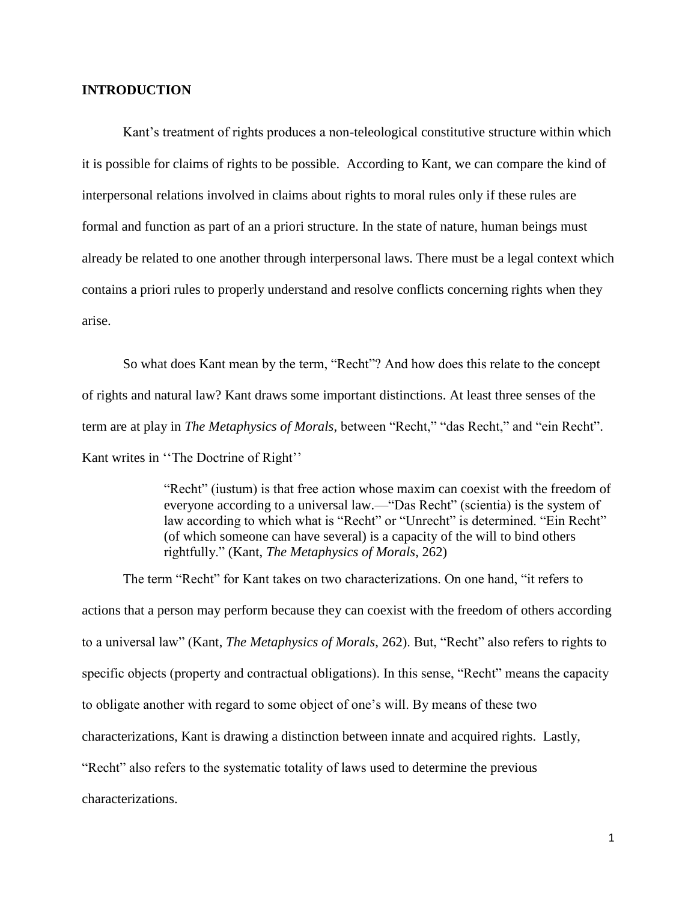# **INTRODUCTION**

Kant's treatment of rights produces a non-teleological constitutive structure within which it is possible for claims of rights to be possible. According to Kant, we can compare the kind of interpersonal relations involved in claims about rights to moral rules only if these rules are formal and function as part of an a priori structure. In the state of nature, human beings must already be related to one another through interpersonal laws. There must be a legal context which contains a priori rules to properly understand and resolve conflicts concerning rights when they arise.

So what does Kant mean by the term, "Recht"? And how does this relate to the concept of rights and natural law? Kant draws some important distinctions. At least three senses of the term are at play in *The Metaphysics of Morals*, between "Recht," "das Recht," and "ein Recht". Kant writes in ''The Doctrine of Right''

> "Recht" (iustum) is that free action whose maxim can coexist with the freedom of everyone according to a universal law.—"Das Recht" (scientia) is the system of law according to which what is "Recht" or "Unrecht" is determined. "Ein Recht" (of which someone can have several) is a capacity of the will to bind others rightfully." (Kant, *The Metaphysics of Morals*, 262)

The term "Recht" for Kant takes on two characterizations. On one hand, "it refers to actions that a person may perform because they can coexist with the freedom of others according to a universal law" (Kant, *The Metaphysics of Morals*, 262). But, "Recht" also refers to rights to specific objects (property and contractual obligations). In this sense, "Recht" means the capacity to obligate another with regard to some object of one's will. By means of these two characterizations, Kant is drawing a distinction between innate and acquired rights. Lastly, "Recht" also refers to the systematic totality of laws used to determine the previous characterizations.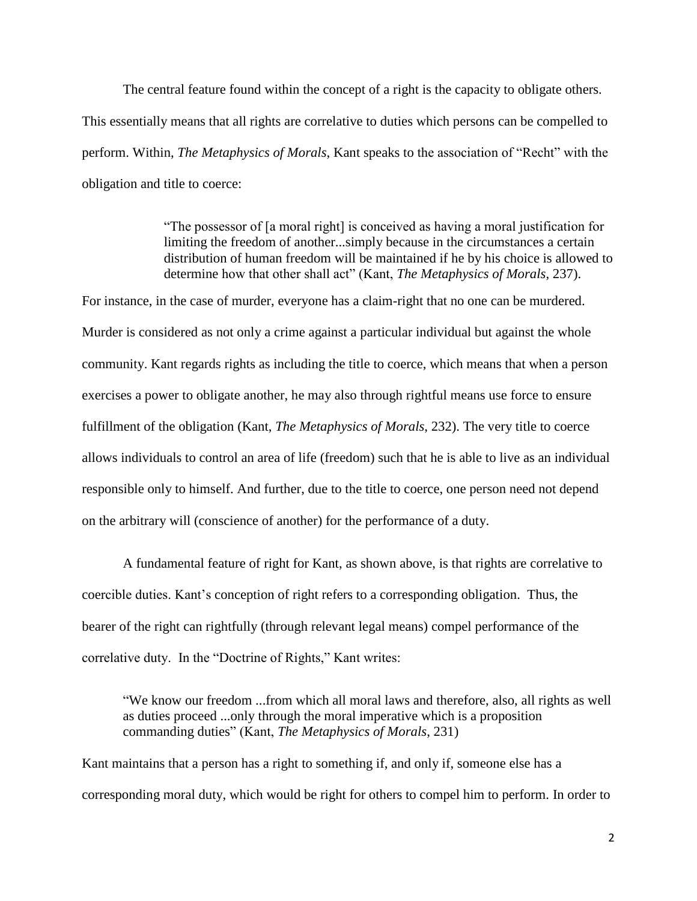The central feature found within the concept of a right is the capacity to obligate others. This essentially means that all rights are correlative to duties which persons can be compelled to perform. Within, *The Metaphysics of Morals*, Kant speaks to the association of "Recht" with the obligation and title to coerce:

> "The possessor of [a moral right] is conceived as having a moral justification for limiting the freedom of another...simply because in the circumstances a certain distribution of human freedom will be maintained if he by his choice is allowed to determine how that other shall act" (Kant, *The Metaphysics of Morals*, 237).

For instance, in the case of murder, everyone has a claim-right that no one can be murdered. Murder is considered as not only a crime against a particular individual but against the whole community. Kant regards rights as including the title to coerce, which means that when a person exercises a power to obligate another, he may also through rightful means use force to ensure fulfillment of the obligation (Kant, *The Metaphysics of Morals*, 232). The very title to coerce allows individuals to control an area of life (freedom) such that he is able to live as an individual responsible only to himself. And further, due to the title to coerce, one person need not depend on the arbitrary will (conscience of another) for the performance of a duty.

A fundamental feature of right for Kant, as shown above, is that rights are correlative to coercible duties. Kant's conception of right refers to a corresponding obligation. Thus, the bearer of the right can rightfully (through relevant legal means) compel performance of the correlative duty. In the "Doctrine of Rights," Kant writes:

"We know our freedom ...from which all moral laws and therefore, also, all rights as well as duties proceed ...only through the moral imperative which is a proposition commanding duties" (Kant, *The Metaphysics of Morals*, 231)

Kant maintains that a person has a right to something if, and only if, someone else has a corresponding moral duty, which would be right for others to compel him to perform. In order to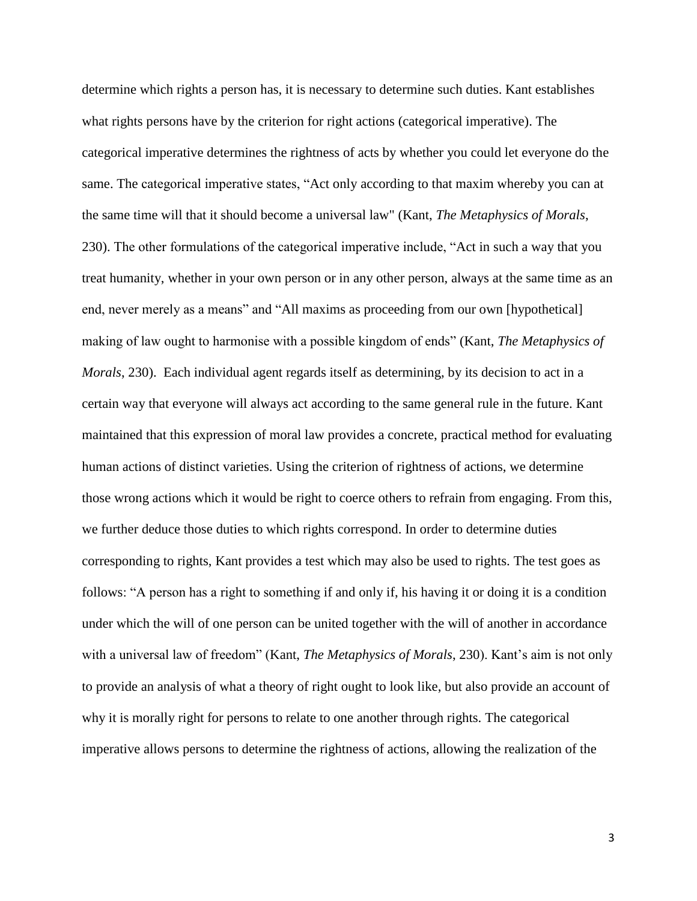determine which rights a person has, it is necessary to determine such duties. Kant establishes what rights persons have by the criterion for right actions (categorical imperative). The categorical imperative determines the rightness of acts by whether you could let everyone do the same. The categorical imperative states, "Act only according to that maxim whereby you can at the same time will that it should become a universal law" (Kant, *The Metaphysics of Morals*, 230). The other formulations of the categorical imperative include, "Act in such a way that you treat humanity, whether in your own person or in any other person, always at the same time as an end, never merely as a means" and "All maxims as proceeding from our own [hypothetical] making of law ought to harmonise with a possible kingdom of ends" (Kant, *The Metaphysics of Morals*, 230). Each individual agent regards itself as determining, by its decision to act in a certain way that everyone will always act according to the same general rule in the future. Kant maintained that this expression of moral law provides a concrete, practical method for evaluating human actions of distinct varieties. Using the criterion of rightness of actions, we determine those wrong actions which it would be right to coerce others to refrain from engaging. From this, we further deduce those duties to which rights correspond. In order to determine duties corresponding to rights, Kant provides a test which may also be used to rights. The test goes as follows: "A person has a right to something if and only if, his having it or doing it is a condition under which the will of one person can be united together with the will of another in accordance with a universal law of freedom" (Kant, *The Metaphysics of Morals*, 230). Kant's aim is not only to provide an analysis of what a theory of right ought to look like, but also provide an account of why it is morally right for persons to relate to one another through rights. The categorical imperative allows persons to determine the rightness of actions, allowing the realization of the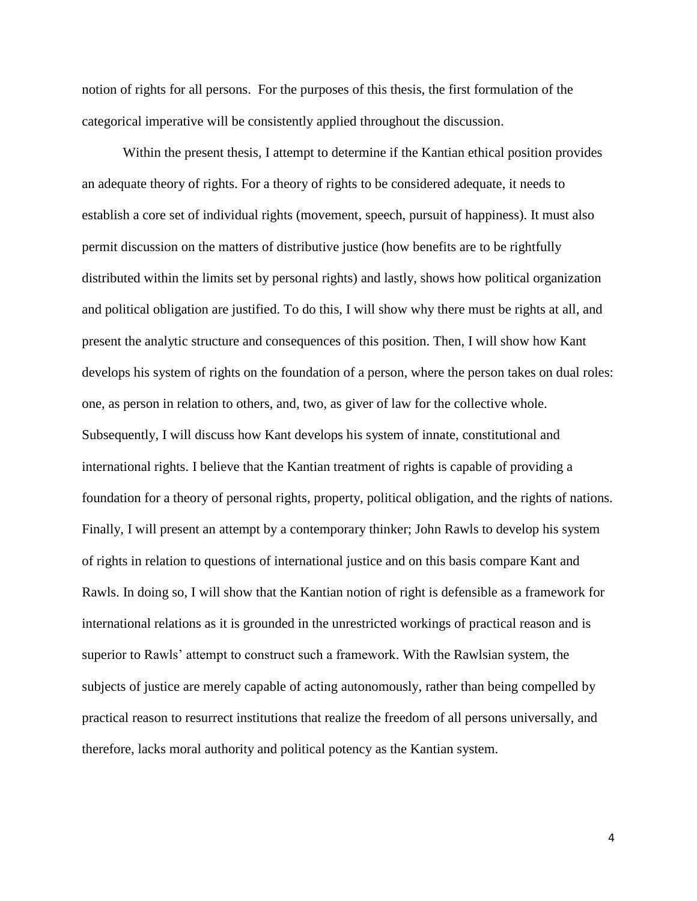notion of rights for all persons. For the purposes of this thesis, the first formulation of the categorical imperative will be consistently applied throughout the discussion.

Within the present thesis, I attempt to determine if the Kantian ethical position provides an adequate theory of rights. For a theory of rights to be considered adequate, it needs to establish a core set of individual rights (movement, speech, pursuit of happiness). It must also permit discussion on the matters of distributive justice (how benefits are to be rightfully distributed within the limits set by personal rights) and lastly, shows how political organization and political obligation are justified. To do this, I will show why there must be rights at all, and present the analytic structure and consequences of this position. Then, I will show how Kant develops his system of rights on the foundation of a person, where the person takes on dual roles: one, as person in relation to others, and, two, as giver of law for the collective whole. Subsequently, I will discuss how Kant develops his system of innate, constitutional and international rights. I believe that the Kantian treatment of rights is capable of providing a foundation for a theory of personal rights, property, political obligation, and the rights of nations. Finally, I will present an attempt by a contemporary thinker; John Rawls to develop his system of rights in relation to questions of international justice and on this basis compare Kant and Rawls. In doing so, I will show that the Kantian notion of right is defensible as a framework for international relations as it is grounded in the unrestricted workings of practical reason and is superior to Rawls' attempt to construct such a framework. With the Rawlsian system, the subjects of justice are merely capable of acting autonomously, rather than being compelled by practical reason to resurrect institutions that realize the freedom of all persons universally, and therefore, lacks moral authority and political potency as the Kantian system.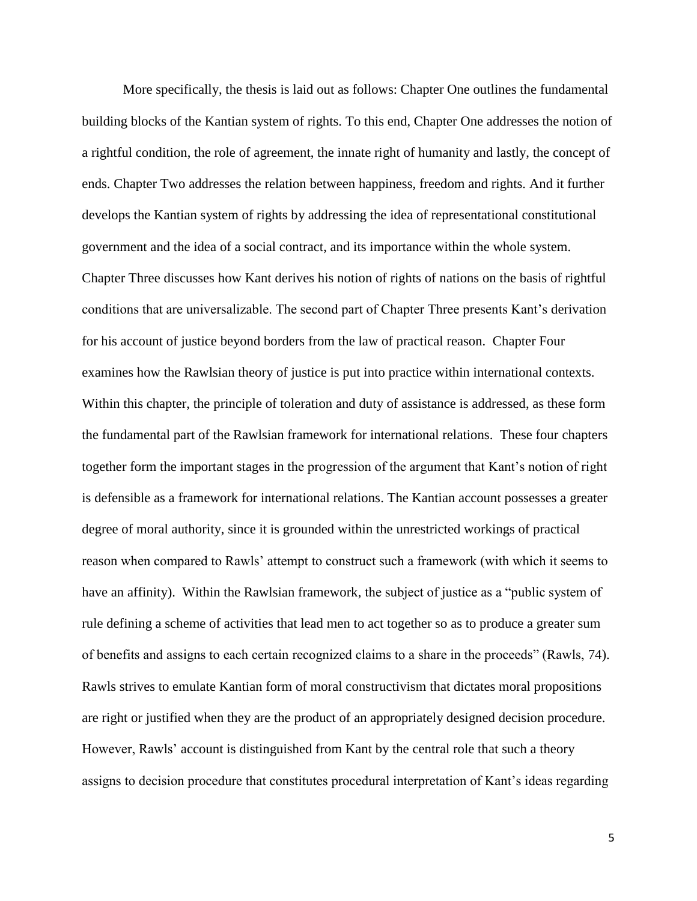More specifically, the thesis is laid out as follows: Chapter One outlines the fundamental building blocks of the Kantian system of rights. To this end, Chapter One addresses the notion of a rightful condition, the role of agreement, the innate right of humanity and lastly, the concept of ends. Chapter Two addresses the relation between happiness, freedom and rights. And it further develops the Kantian system of rights by addressing the idea of representational constitutional government and the idea of a social contract, and its importance within the whole system. Chapter Three discusses how Kant derives his notion of rights of nations on the basis of rightful conditions that are universalizable. The second part of Chapter Three presents Kant's derivation for his account of justice beyond borders from the law of practical reason. Chapter Four examines how the Rawlsian theory of justice is put into practice within international contexts. Within this chapter, the principle of toleration and duty of assistance is addressed, as these form the fundamental part of the Rawlsian framework for international relations. These four chapters together form the important stages in the progression of the argument that Kant's notion of right is defensible as a framework for international relations. The Kantian account possesses a greater degree of moral authority, since it is grounded within the unrestricted workings of practical reason when compared to Rawls' attempt to construct such a framework (with which it seems to have an affinity). Within the Rawlsian framework, the subject of justice as a "public system of rule defining a scheme of activities that lead men to act together so as to produce a greater sum of benefits and assigns to each certain recognized claims to a share in the proceeds" (Rawls, 74). Rawls strives to emulate Kantian form of moral constructivism that dictates moral propositions are right or justified when they are the product of an appropriately designed decision procedure. However, Rawls' account is distinguished from Kant by the central role that such a theory assigns to decision procedure that constitutes procedural interpretation of Kant's ideas regarding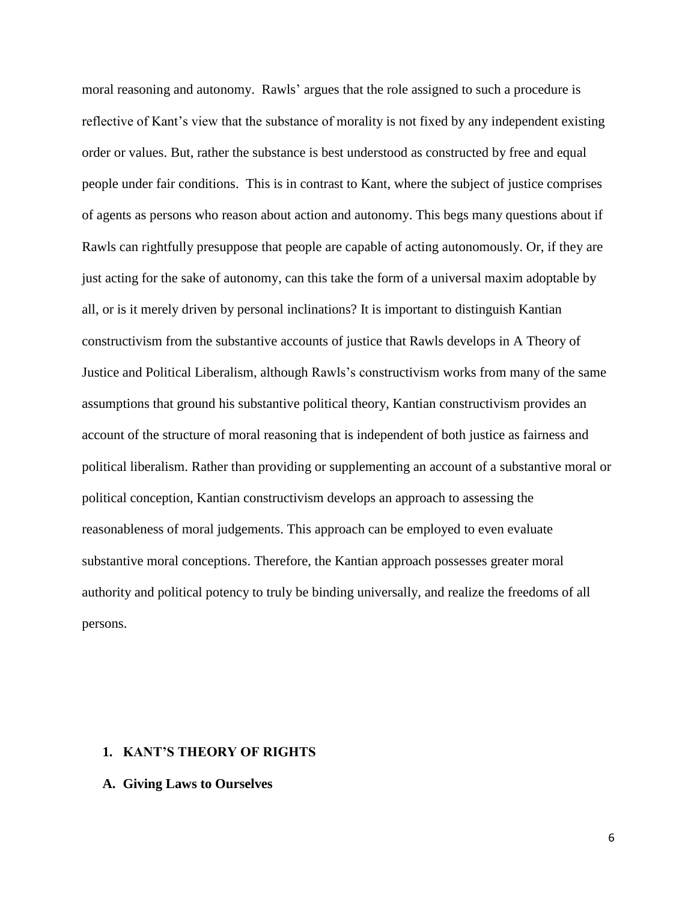moral reasoning and autonomy. Rawls' argues that the role assigned to such a procedure is reflective of Kant's view that the substance of morality is not fixed by any independent existing order or values. But, rather the substance is best understood as constructed by free and equal people under fair conditions. This is in contrast to Kant, where the subject of justice comprises of agents as persons who reason about action and autonomy. This begs many questions about if Rawls can rightfully presuppose that people are capable of acting autonomously. Or, if they are just acting for the sake of autonomy, can this take the form of a universal maxim adoptable by all, or is it merely driven by personal inclinations? It is important to distinguish Kantian constructivism from the substantive accounts of justice that Rawls develops in A Theory of Justice and Political Liberalism, although Rawls's constructivism works from many of the same assumptions that ground his substantive political theory, Kantian constructivism provides an account of the structure of moral reasoning that is independent of both justice as fairness and political liberalism. Rather than providing or supplementing an account of a substantive moral or political conception, Kantian constructivism develops an approach to assessing the reasonableness of moral judgements. This approach can be employed to even evaluate substantive moral conceptions. Therefore, the Kantian approach possesses greater moral authority and political potency to truly be binding universally, and realize the freedoms of all persons.

# **1. KANT'S THEORY OF RIGHTS**

## **A. Giving Laws to Ourselves**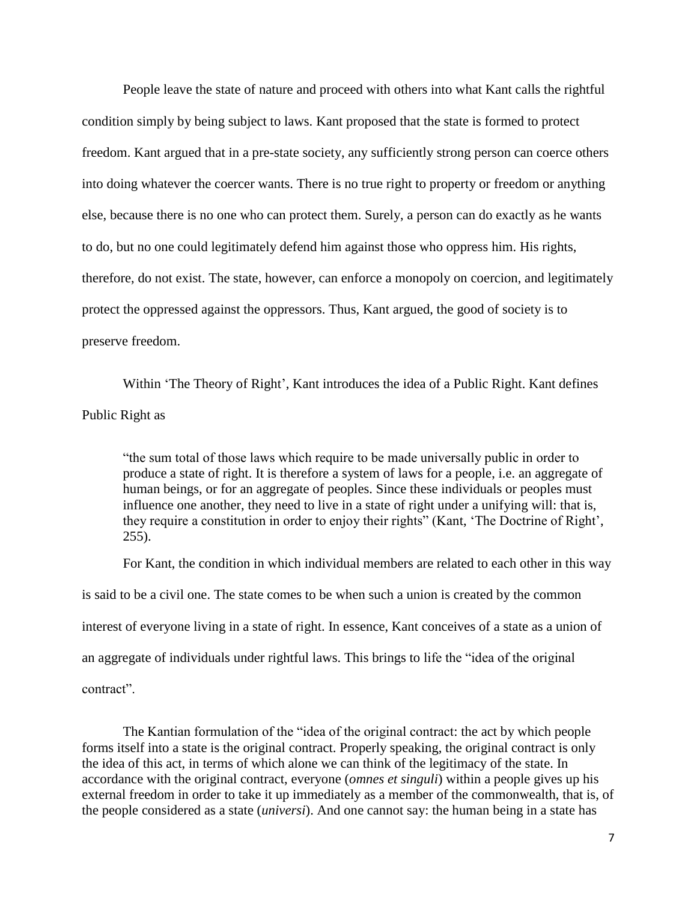People leave the state of nature and proceed with others into what Kant calls the rightful condition simply by being subject to laws. Kant proposed that the state is formed to protect freedom. Kant argued that in a pre-state society, any sufficiently strong person can coerce others into doing whatever the coercer wants. There is no true right to property or freedom or anything else, because there is no one who can protect them. Surely, a person can do exactly as he wants to do, but no one could legitimately defend him against those who oppress him. His rights, therefore, do not exist. The state, however, can enforce a monopoly on coercion, and legitimately protect the oppressed against the oppressors. Thus, Kant argued, the good of society is to preserve freedom.

Within 'The Theory of Right', Kant introduces the idea of a Public Right. Kant defines Public Right as

"the sum total of those laws which require to be made universally public in order to produce a state of right. It is therefore a system of laws for a people, i.e. an aggregate of human beings, or for an aggregate of peoples. Since these individuals or peoples must influence one another, they need to live in a state of right under a unifying will: that is, they require a constitution in order to enjoy their rights" (Kant, 'The Doctrine of Right', 255).

For Kant, the condition in which individual members are related to each other in this way is said to be a civil one. The state comes to be when such a union is created by the common interest of everyone living in a state of right. In essence, Kant conceives of a state as a union of an aggregate of individuals under rightful laws. This brings to life the "idea of the original contract".

The Kantian formulation of the "idea of the original contract: the act by which people forms itself into a state is the original contract. Properly speaking, the original contract is only the idea of this act, in terms of which alone we can think of the legitimacy of the state. In accordance with the original contract, everyone (*omnes et singuli*) within a people gives up his external freedom in order to take it up immediately as a member of the commonwealth, that is, of the people considered as a state (*universi*). And one cannot say: the human being in a state has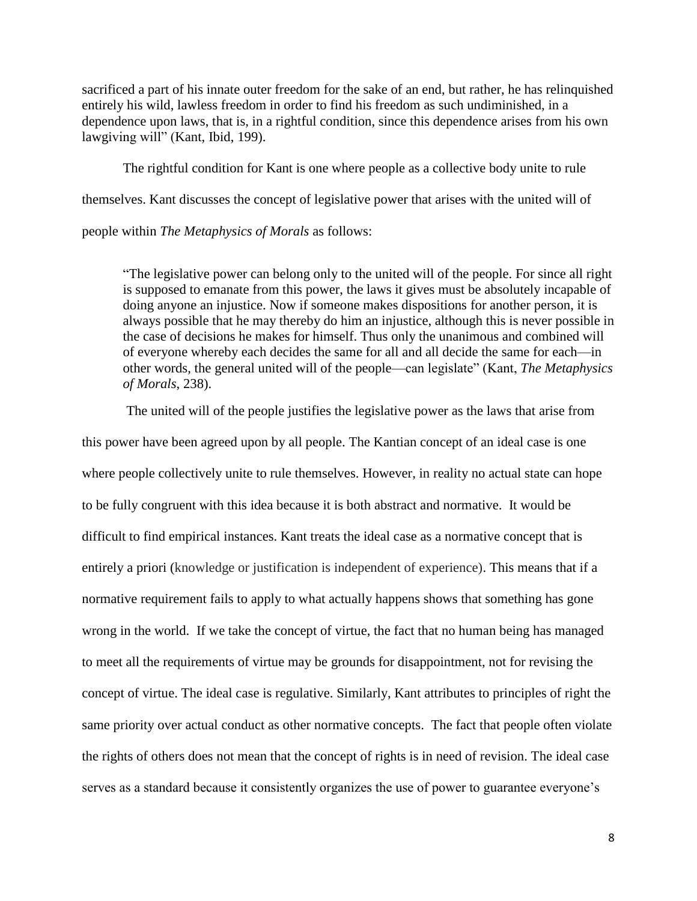sacrificed a part of his innate outer freedom for the sake of an end, but rather, he has relinquished entirely his wild, lawless freedom in order to find his freedom as such undiminished, in a dependence upon laws, that is, in a rightful condition, since this dependence arises from his own lawgiving will" (Kant, Ibid, 199).

The rightful condition for Kant is one where people as a collective body unite to rule themselves. Kant discusses the concept of legislative power that arises with the united will of people within *The Metaphysics of Morals* as follows:

"The legislative power can belong only to the united will of the people. For since all right is supposed to emanate from this power, the laws it gives must be absolutely incapable of doing anyone an injustice. Now if someone makes dispositions for another person, it is always possible that he may thereby do him an injustice, although this is never possible in the case of decisions he makes for himself. Thus only the unanimous and combined will of everyone whereby each decides the same for all and all decide the same for each—in other words, the general united will of the people—can legislate" (Kant, *The Metaphysics of Morals*, 238).

The united will of the people justifies the legislative power as the laws that arise from this power have been agreed upon by all people. The Kantian concept of an ideal case is one where people collectively unite to rule themselves. However, in reality no actual state can hope to be fully congruent with this idea because it is both abstract and normative. It would be difficult to find empirical instances. Kant treats the ideal case as a normative concept that is entirely a priori (knowledge or justification is independent of experience). This means that if a normative requirement fails to apply to what actually happens shows that something has gone wrong in the world. If we take the concept of virtue, the fact that no human being has managed to meet all the requirements of virtue may be grounds for disappointment, not for revising the concept of virtue. The ideal case is regulative. Similarly, Kant attributes to principles of right the same priority over actual conduct as other normative concepts. The fact that people often violate the rights of others does not mean that the concept of rights is in need of revision. The ideal case serves as a standard because it consistently organizes the use of power to guarantee everyone's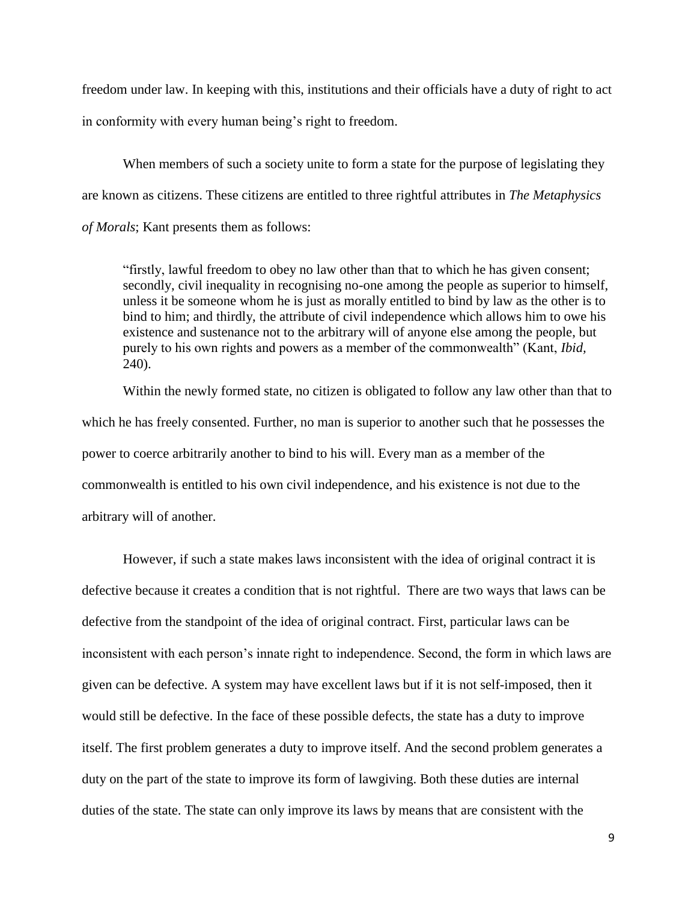freedom under law. In keeping with this, institutions and their officials have a duty of right to act in conformity with every human being's right to freedom.

When members of such a society unite to form a state for the purpose of legislating they are known as citizens. These citizens are entitled to three rightful attributes in *The Metaphysics of Morals*; Kant presents them as follows:

"firstly, lawful freedom to obey no law other than that to which he has given consent; secondly, civil inequality in recognising no-one among the people as superior to himself, unless it be someone whom he is just as morally entitled to bind by law as the other is to bind to him; and thirdly, the attribute of civil independence which allows him to owe his existence and sustenance not to the arbitrary will of anyone else among the people, but purely to his own rights and powers as a member of the commonwealth" (Kant, *Ibid,* 240).

Within the newly formed state, no citizen is obligated to follow any law other than that to which he has freely consented. Further, no man is superior to another such that he possesses the power to coerce arbitrarily another to bind to his will. Every man as a member of the commonwealth is entitled to his own civil independence, and his existence is not due to the arbitrary will of another.

However, if such a state makes laws inconsistent with the idea of original contract it is defective because it creates a condition that is not rightful. There are two ways that laws can be defective from the standpoint of the idea of original contract. First, particular laws can be inconsistent with each person's innate right to independence. Second, the form in which laws are given can be defective. A system may have excellent laws but if it is not self-imposed, then it would still be defective. In the face of these possible defects, the state has a duty to improve itself. The first problem generates a duty to improve itself. And the second problem generates a duty on the part of the state to improve its form of lawgiving. Both these duties are internal duties of the state. The state can only improve its laws by means that are consistent with the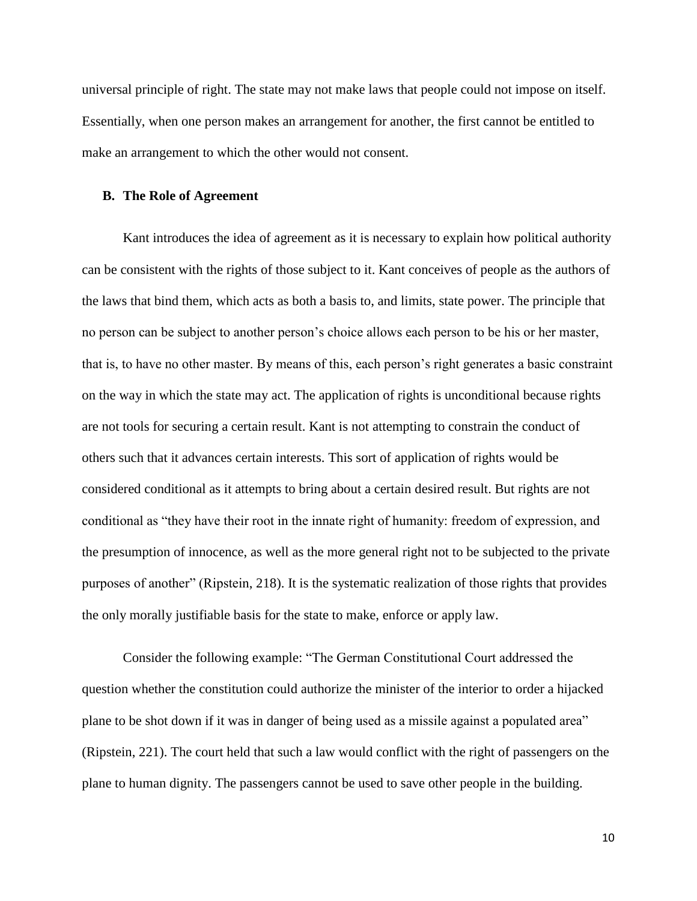universal principle of right. The state may not make laws that people could not impose on itself. Essentially, when one person makes an arrangement for another, the first cannot be entitled to make an arrangement to which the other would not consent.

## **B. The Role of Agreement**

Kant introduces the idea of agreement as it is necessary to explain how political authority can be consistent with the rights of those subject to it. Kant conceives of people as the authors of the laws that bind them, which acts as both a basis to, and limits, state power. The principle that no person can be subject to another person's choice allows each person to be his or her master, that is, to have no other master. By means of this, each person's right generates a basic constraint on the way in which the state may act. The application of rights is unconditional because rights are not tools for securing a certain result. Kant is not attempting to constrain the conduct of others such that it advances certain interests. This sort of application of rights would be considered conditional as it attempts to bring about a certain desired result. But rights are not conditional as "they have their root in the innate right of humanity: freedom of expression, and the presumption of innocence, as well as the more general right not to be subjected to the private purposes of another" (Ripstein, 218). It is the systematic realization of those rights that provides the only morally justifiable basis for the state to make, enforce or apply law.

Consider the following example: "The German Constitutional Court addressed the question whether the constitution could authorize the minister of the interior to order a hijacked plane to be shot down if it was in danger of being used as a missile against a populated area" (Ripstein, 221). The court held that such a law would conflict with the right of passengers on the plane to human dignity. The passengers cannot be used to save other people in the building.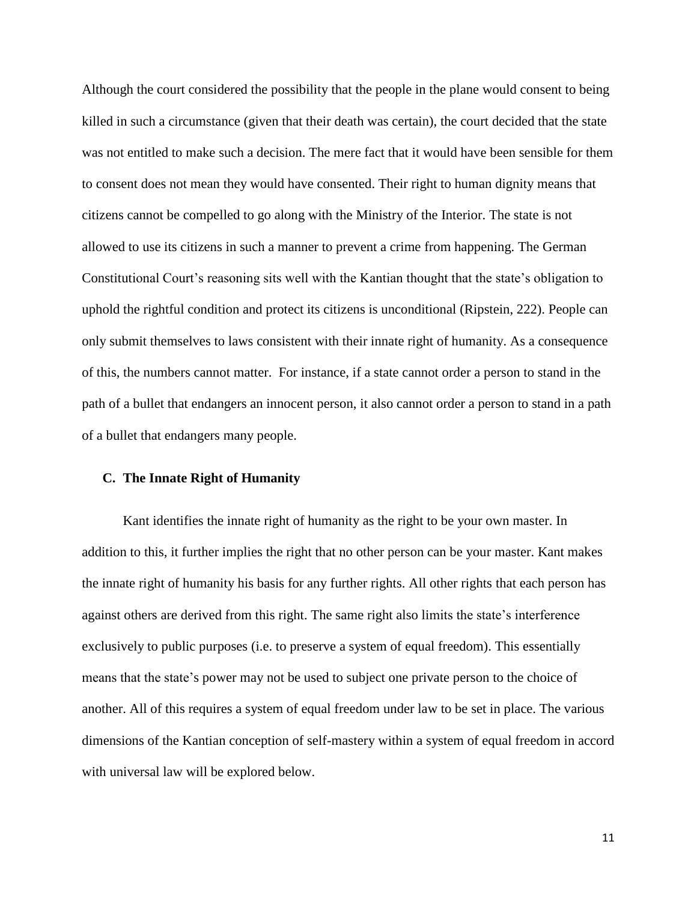Although the court considered the possibility that the people in the plane would consent to being killed in such a circumstance (given that their death was certain), the court decided that the state was not entitled to make such a decision. The mere fact that it would have been sensible for them to consent does not mean they would have consented. Their right to human dignity means that citizens cannot be compelled to go along with the Ministry of the Interior. The state is not allowed to use its citizens in such a manner to prevent a crime from happening. The German Constitutional Court's reasoning sits well with the Kantian thought that the state's obligation to uphold the rightful condition and protect its citizens is unconditional (Ripstein, 222). People can only submit themselves to laws consistent with their innate right of humanity. As a consequence of this, the numbers cannot matter. For instance, if a state cannot order a person to stand in the path of a bullet that endangers an innocent person, it also cannot order a person to stand in a path of a bullet that endangers many people.

# **C. The Innate Right of Humanity**

Kant identifies the innate right of humanity as the right to be your own master. In addition to this, it further implies the right that no other person can be your master. Kant makes the innate right of humanity his basis for any further rights. All other rights that each person has against others are derived from this right. The same right also limits the state's interference exclusively to public purposes (i.e. to preserve a system of equal freedom). This essentially means that the state's power may not be used to subject one private person to the choice of another. All of this requires a system of equal freedom under law to be set in place. The various dimensions of the Kantian conception of self-mastery within a system of equal freedom in accord with universal law will be explored below.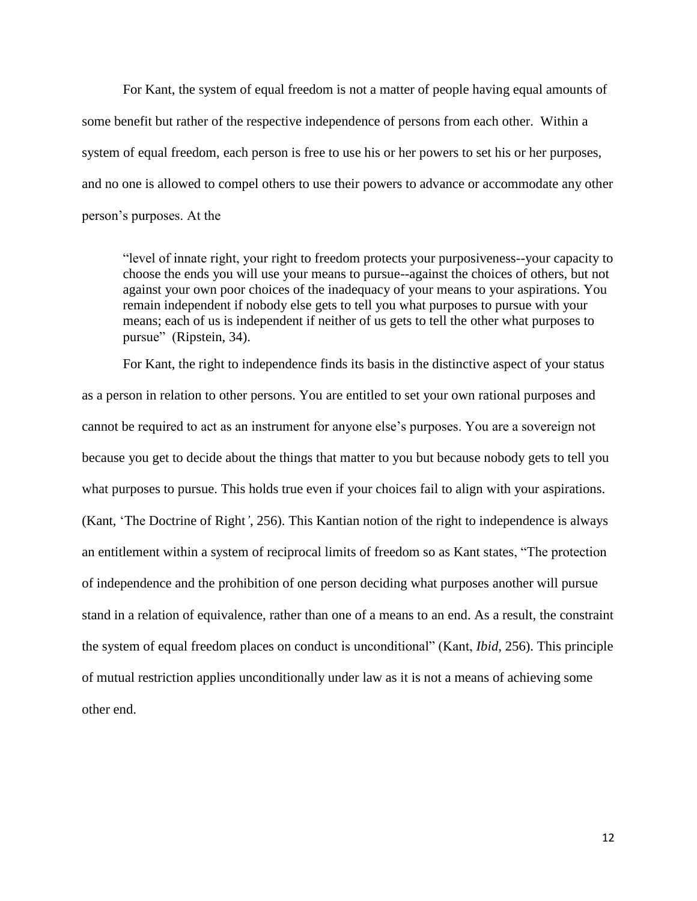For Kant, the system of equal freedom is not a matter of people having equal amounts of some benefit but rather of the respective independence of persons from each other. Within a system of equal freedom, each person is free to use his or her powers to set his or her purposes, and no one is allowed to compel others to use their powers to advance or accommodate any other person's purposes. At the

"level of innate right, your right to freedom protects your purposiveness--your capacity to choose the ends you will use your means to pursue--against the choices of others, but not against your own poor choices of the inadequacy of your means to your aspirations. You remain independent if nobody else gets to tell you what purposes to pursue with your means; each of us is independent if neither of us gets to tell the other what purposes to pursue" (Ripstein, 34).

For Kant, the right to independence finds its basis in the distinctive aspect of your status as a person in relation to other persons. You are entitled to set your own rational purposes and cannot be required to act as an instrument for anyone else's purposes. You are a sovereign not because you get to decide about the things that matter to you but because nobody gets to tell you what purposes to pursue. This holds true even if your choices fail to align with your aspirations. (Kant, 'The Doctrine of Right*'*, 256). This Kantian notion of the right to independence is always an entitlement within a system of reciprocal limits of freedom so as Kant states, "The protection of independence and the prohibition of one person deciding what purposes another will pursue stand in a relation of equivalence, rather than one of a means to an end. As a result, the constraint the system of equal freedom places on conduct is unconditional" (Kant, *Ibid*, 256). This principle of mutual restriction applies unconditionally under law as it is not a means of achieving some other end.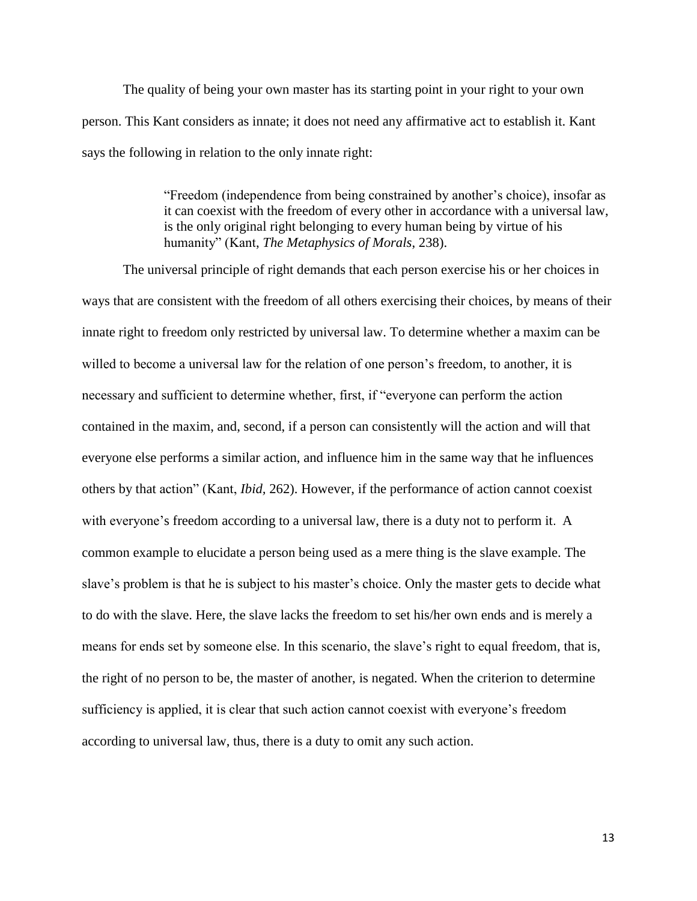The quality of being your own master has its starting point in your right to your own person. This Kant considers as innate; it does not need any affirmative act to establish it. Kant says the following in relation to the only innate right:

> "Freedom (independence from being constrained by another's choice), insofar as it can coexist with the freedom of every other in accordance with a universal law, is the only original right belonging to every human being by virtue of his humanity" (Kant, *The Metaphysics of Morals*, 238).

The universal principle of right demands that each person exercise his or her choices in ways that are consistent with the freedom of all others exercising their choices, by means of their innate right to freedom only restricted by universal law. To determine whether a maxim can be willed to become a universal law for the relation of one person's freedom, to another, it is necessary and sufficient to determine whether, first, if "everyone can perform the action contained in the maxim, and, second, if a person can consistently will the action and will that everyone else performs a similar action, and influence him in the same way that he influences others by that action" (Kant, *Ibid,* 262). However, if the performance of action cannot coexist with everyone's freedom according to a universal law, there is a duty not to perform it. A common example to elucidate a person being used as a mere thing is the slave example. The slave's problem is that he is subject to his master's choice. Only the master gets to decide what to do with the slave. Here, the slave lacks the freedom to set his/her own ends and is merely a means for ends set by someone else. In this scenario, the slave's right to equal freedom, that is, the right of no person to be, the master of another, is negated. When the criterion to determine sufficiency is applied, it is clear that such action cannot coexist with everyone's freedom according to universal law, thus, there is a duty to omit any such action.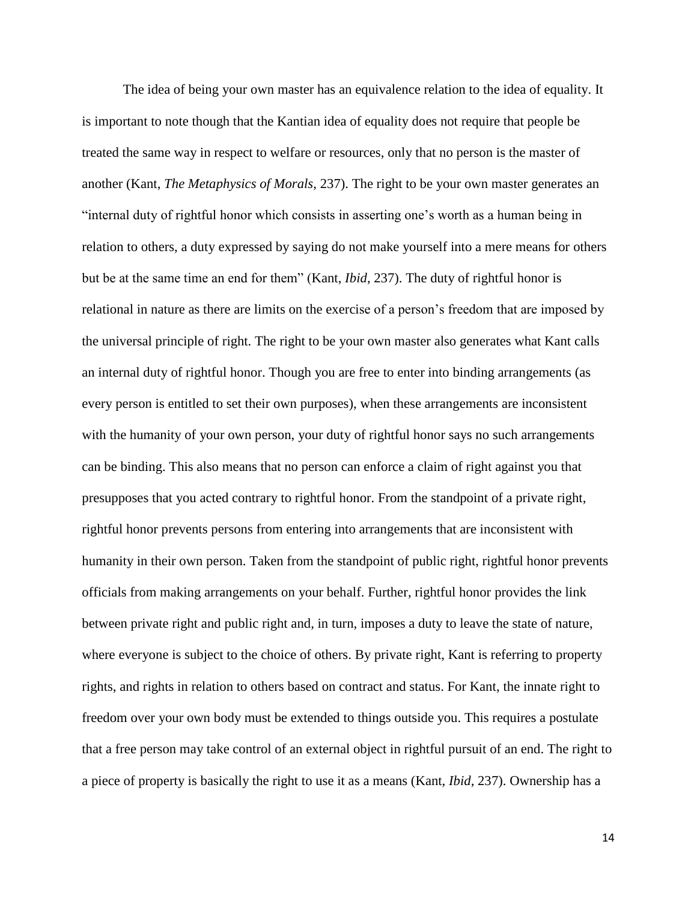The idea of being your own master has an equivalence relation to the idea of equality. It is important to note though that the Kantian idea of equality does not require that people be treated the same way in respect to welfare or resources, only that no person is the master of another (Kant, *The Metaphysics of Morals*, 237). The right to be your own master generates an "internal duty of rightful honor which consists in asserting one's worth as a human being in relation to others, a duty expressed by saying do not make yourself into a mere means for others but be at the same time an end for them" (Kant, *Ibid*, 237). The duty of rightful honor is relational in nature as there are limits on the exercise of a person's freedom that are imposed by the universal principle of right. The right to be your own master also generates what Kant calls an internal duty of rightful honor. Though you are free to enter into binding arrangements (as every person is entitled to set their own purposes), when these arrangements are inconsistent with the humanity of your own person, your duty of rightful honor says no such arrangements can be binding. This also means that no person can enforce a claim of right against you that presupposes that you acted contrary to rightful honor. From the standpoint of a private right, rightful honor prevents persons from entering into arrangements that are inconsistent with humanity in their own person. Taken from the standpoint of public right, rightful honor prevents officials from making arrangements on your behalf. Further, rightful honor provides the link between private right and public right and, in turn, imposes a duty to leave the state of nature, where everyone is subject to the choice of others. By private right, Kant is referring to property rights, and rights in relation to others based on contract and status. For Kant, the innate right to freedom over your own body must be extended to things outside you. This requires a postulate that a free person may take control of an external object in rightful pursuit of an end. The right to a piece of property is basically the right to use it as a means (Kant, *Ibid*, 237). Ownership has a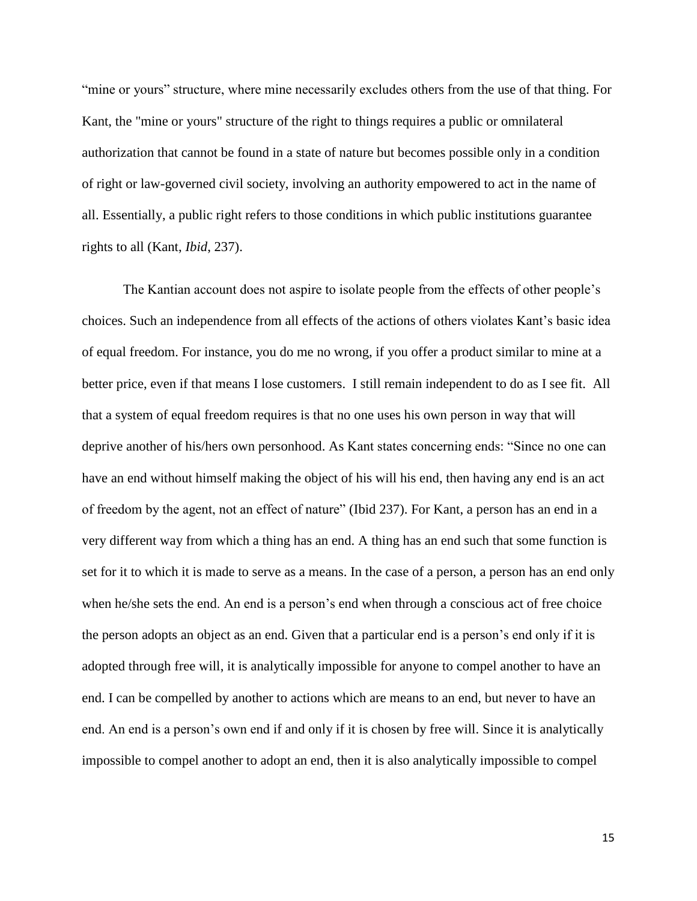"mine or yours" structure, where mine necessarily excludes others from the use of that thing. For Kant, the "mine or yours" structure of the right to things requires a public or omnilateral authorization that cannot be found in a state of nature but becomes possible only in a condition of right or law-governed civil society, involving an authority empowered to act in the name of all. Essentially, a public right refers to those conditions in which public institutions guarantee rights to all (Kant, *Ibid*, 237).

The Kantian account does not aspire to isolate people from the effects of other people's choices. Such an independence from all effects of the actions of others violates Kant's basic idea of equal freedom. For instance, you do me no wrong, if you offer a product similar to mine at a better price, even if that means I lose customers. I still remain independent to do as I see fit. All that a system of equal freedom requires is that no one uses his own person in way that will deprive another of his/hers own personhood. As Kant states concerning ends: "Since no one can have an end without himself making the object of his will his end, then having any end is an act of freedom by the agent, not an effect of nature" (Ibid 237). For Kant, a person has an end in a very different way from which a thing has an end. A thing has an end such that some function is set for it to which it is made to serve as a means. In the case of a person, a person has an end only when he/she sets the end. An end is a person's end when through a conscious act of free choice the person adopts an object as an end. Given that a particular end is a person's end only if it is adopted through free will, it is analytically impossible for anyone to compel another to have an end. I can be compelled by another to actions which are means to an end, but never to have an end. An end is a person's own end if and only if it is chosen by free will. Since it is analytically impossible to compel another to adopt an end, then it is also analytically impossible to compel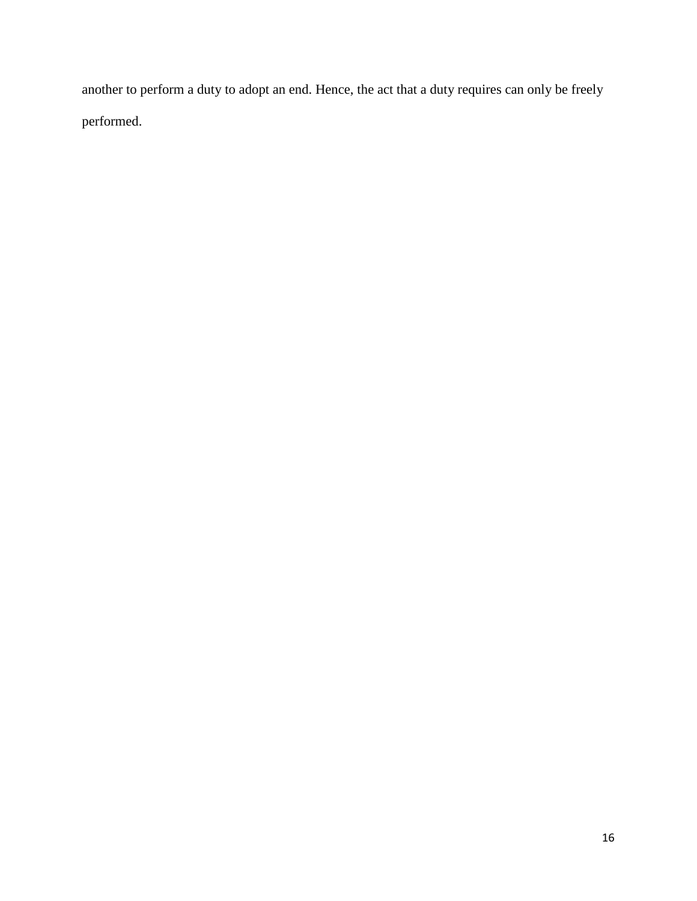another to perform a duty to adopt an end. Hence, the act that a duty requires can only be freely performed.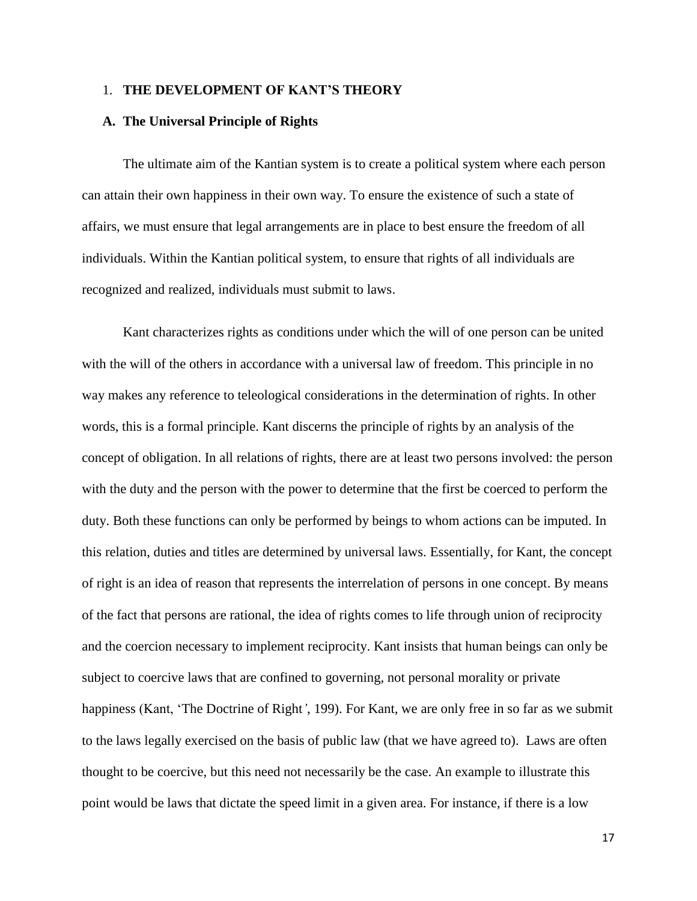## 1. **THE DEVELOPMENT OF KANT'S THEORY**

## **A. The Universal Principle of Rights**

The ultimate aim of the Kantian system is to create a political system where each person can attain their own happiness in their own way. To ensure the existence of such a state of affairs, we must ensure that legal arrangements are in place to best ensure the freedom of all individuals. Within the Kantian political system, to ensure that rights of all individuals are recognized and realized, individuals must submit to laws.

Kant characterizes rights as conditions under which the will of one person can be united with the will of the others in accordance with a universal law of freedom. This principle in no way makes any reference to teleological considerations in the determination of rights. In other words, this is a formal principle. Kant discerns the principle of rights by an analysis of the concept of obligation. In all relations of rights, there are at least two persons involved: the person with the duty and the person with the power to determine that the first be coerced to perform the duty. Both these functions can only be performed by beings to whom actions can be imputed. In this relation, duties and titles are determined by universal laws. Essentially, for Kant, the concept of right is an idea of reason that represents the interrelation of persons in one concept. By means of the fact that persons are rational, the idea of rights comes to life through union of reciprocity and the coercion necessary to implement reciprocity. Kant insists that human beings can only be subject to coercive laws that are confined to governing, not personal morality or private happiness (Kant, 'The Doctrine of Right*'*, 199). For Kant, we are only free in so far as we submit to the laws legally exercised on the basis of public law (that we have agreed to). Laws are often thought to be coercive, but this need not necessarily be the case. An example to illustrate this point would be laws that dictate the speed limit in a given area. For instance, if there is a low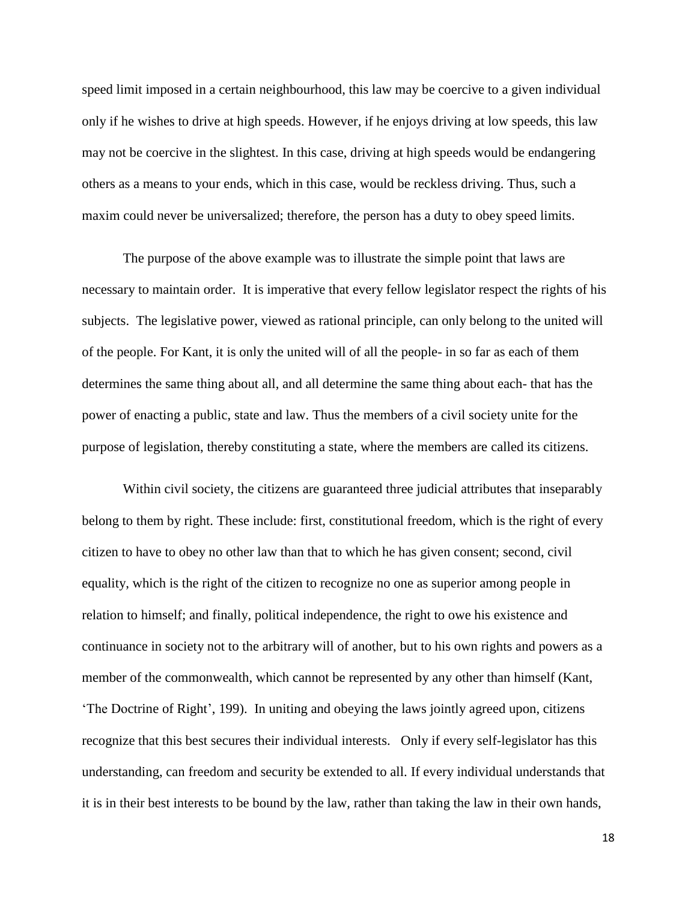speed limit imposed in a certain neighbourhood, this law may be coercive to a given individual only if he wishes to drive at high speeds. However, if he enjoys driving at low speeds, this law may not be coercive in the slightest. In this case, driving at high speeds would be endangering others as a means to your ends, which in this case, would be reckless driving. Thus, such a maxim could never be universalized; therefore, the person has a duty to obey speed limits.

The purpose of the above example was to illustrate the simple point that laws are necessary to maintain order. It is imperative that every fellow legislator respect the rights of his subjects. The legislative power, viewed as rational principle, can only belong to the united will of the people. For Kant, it is only the united will of all the people- in so far as each of them determines the same thing about all, and all determine the same thing about each- that has the power of enacting a public, state and law. Thus the members of a civil society unite for the purpose of legislation, thereby constituting a state, where the members are called its citizens.

Within civil society, the citizens are guaranteed three judicial attributes that inseparably belong to them by right. These include: first, constitutional freedom, which is the right of every citizen to have to obey no other law than that to which he has given consent; second, civil equality, which is the right of the citizen to recognize no one as superior among people in relation to himself; and finally, political independence, the right to owe his existence and continuance in society not to the arbitrary will of another, but to his own rights and powers as a member of the commonwealth, which cannot be represented by any other than himself (Kant, 'The Doctrine of Right', 199). In uniting and obeying the laws jointly agreed upon, citizens recognize that this best secures their individual interests. Only if every self-legislator has this understanding, can freedom and security be extended to all. If every individual understands that it is in their best interests to be bound by the law, rather than taking the law in their own hands,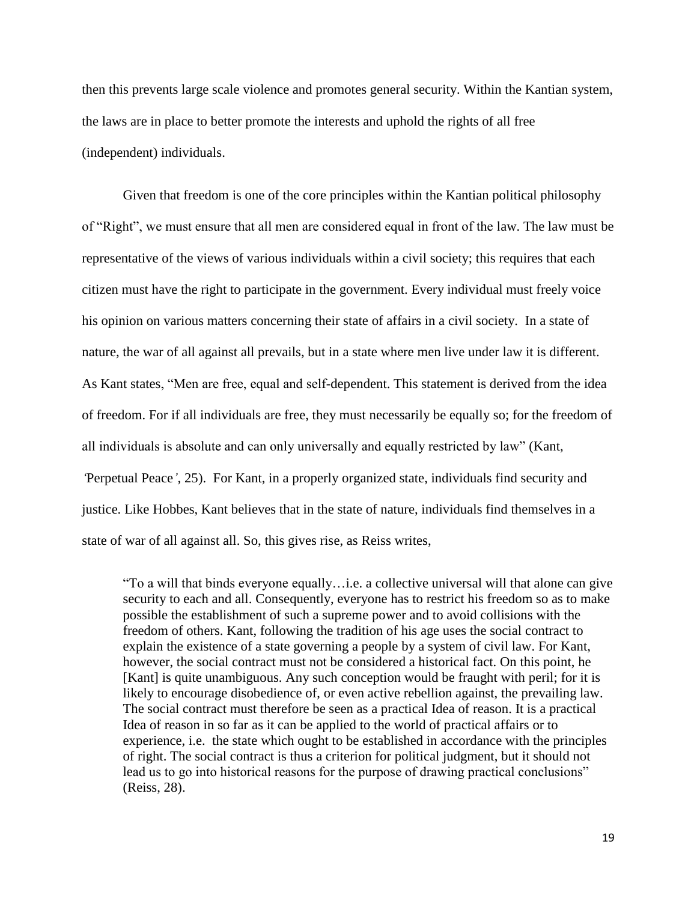then this prevents large scale violence and promotes general security. Within the Kantian system, the laws are in place to better promote the interests and uphold the rights of all free (independent) individuals.

Given that freedom is one of the core principles within the Kantian political philosophy of "Right", we must ensure that all men are considered equal in front of the law. The law must be representative of the views of various individuals within a civil society; this requires that each citizen must have the right to participate in the government. Every individual must freely voice his opinion on various matters concerning their state of affairs in a civil society. In a state of nature, the war of all against all prevails, but in a state where men live under law it is different. As Kant states, "Men are free, equal and self-dependent. This statement is derived from the idea of freedom. For if all individuals are free, they must necessarily be equally so; for the freedom of all individuals is absolute and can only universally and equally restricted by law" (Kant, *'*Perpetual Peace*',* 25). For Kant, in a properly organized state, individuals find security and justice. Like Hobbes, Kant believes that in the state of nature, individuals find themselves in a state of war of all against all. So, this gives rise, as Reiss writes,

"To a will that binds everyone equally…i.e. a collective universal will that alone can give security to each and all. Consequently, everyone has to restrict his freedom so as to make possible the establishment of such a supreme power and to avoid collisions with the freedom of others. Kant, following the tradition of his age uses the social contract to explain the existence of a state governing a people by a system of civil law. For Kant, however, the social contract must not be considered a historical fact. On this point, he [Kant] is quite unambiguous. Any such conception would be fraught with peril; for it is likely to encourage disobedience of, or even active rebellion against, the prevailing law. The social contract must therefore be seen as a practical Idea of reason. It is a practical Idea of reason in so far as it can be applied to the world of practical affairs or to experience, i.e. the state which ought to be established in accordance with the principles of right. The social contract is thus a criterion for political judgment, but it should not lead us to go into historical reasons for the purpose of drawing practical conclusions" (Reiss, 28).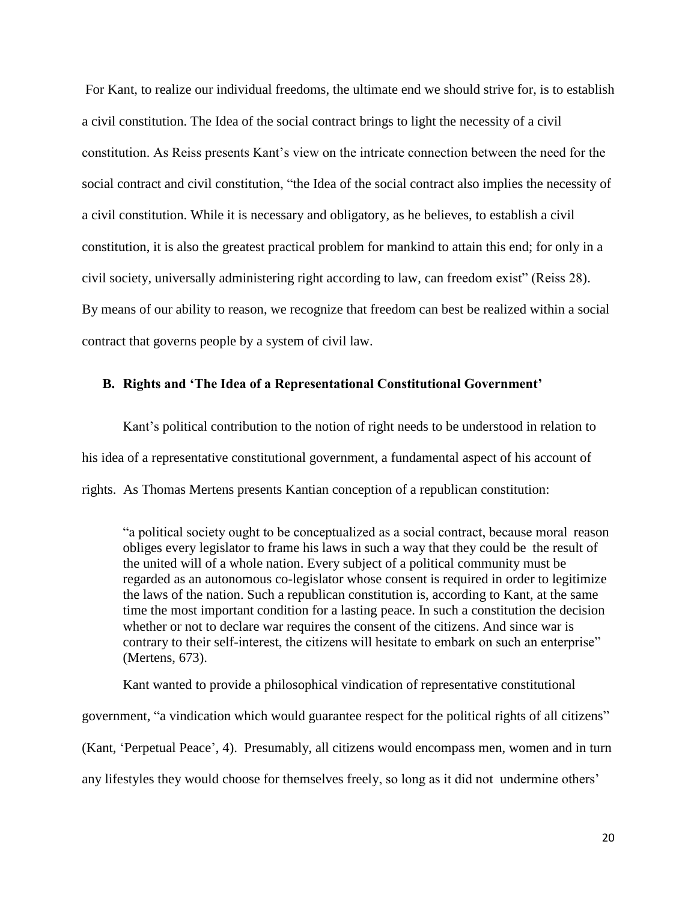For Kant, to realize our individual freedoms, the ultimate end we should strive for, is to establish a civil constitution. The Idea of the social contract brings to light the necessity of a civil constitution. As Reiss presents Kant's view on the intricate connection between the need for the social contract and civil constitution, "the Idea of the social contract also implies the necessity of a civil constitution. While it is necessary and obligatory, as he believes, to establish a civil constitution, it is also the greatest practical problem for mankind to attain this end; for only in a civil society, universally administering right according to law, can freedom exist" (Reiss 28). By means of our ability to reason, we recognize that freedom can best be realized within a social contract that governs people by a system of civil law.

# **B. Rights and 'The Idea of a Representational Constitutional Government'**

Kant's political contribution to the notion of right needs to be understood in relation to his idea of a representative constitutional government, a fundamental aspect of his account of rights. As Thomas Mertens presents Kantian conception of a republican constitution:

"a political society ought to be conceptualized as a social contract, because moral reason obliges every legislator to frame his laws in such a way that they could be the result of the united will of a whole nation. Every subject of a political community must be regarded as an autonomous co-legislator whose consent is required in order to legitimize the laws of the nation. Such a republican constitution is, according to Kant, at the same time the most important condition for a lasting peace. In such a constitution the decision whether or not to declare war requires the consent of the citizens. And since war is contrary to their self-interest, the citizens will hesitate to embark on such an enterprise" (Mertens, 673).

Kant wanted to provide a philosophical vindication of representative constitutional government, "a vindication which would guarantee respect for the political rights of all citizens" (Kant, 'Perpetual Peace', 4). Presumably, all citizens would encompass men, women and in turn any lifestyles they would choose for themselves freely, so long as it did not undermine others'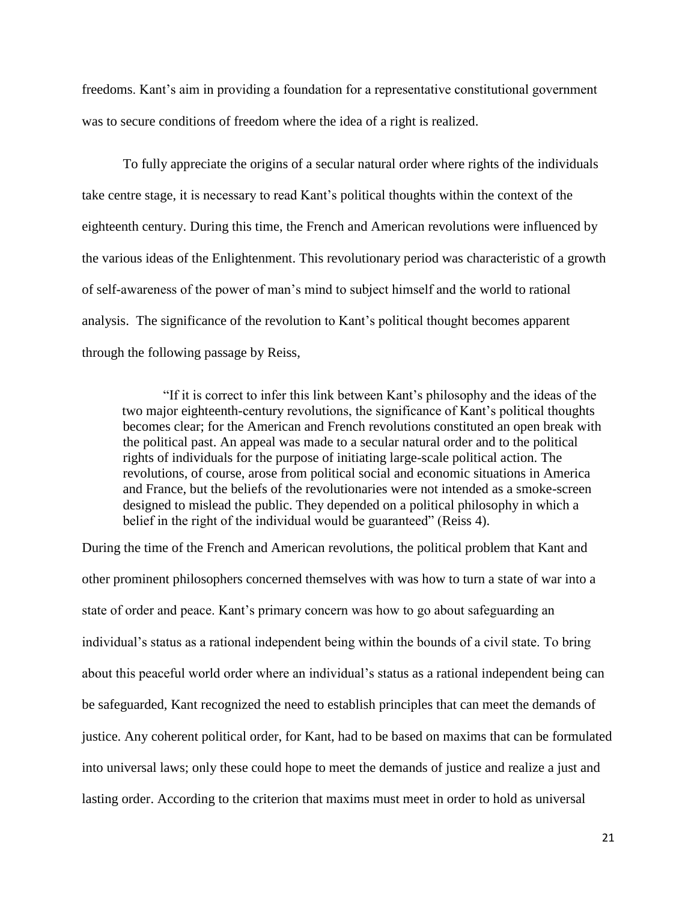freedoms. Kant's aim in providing a foundation for a representative constitutional government was to secure conditions of freedom where the idea of a right is realized.

To fully appreciate the origins of a secular natural order where rights of the individuals take centre stage, it is necessary to read Kant's political thoughts within the context of the eighteenth century. During this time, the French and American revolutions were influenced by the various ideas of the Enlightenment. This revolutionary period was characteristic of a growth of self-awareness of the power of man's mind to subject himself and the world to rational analysis. The significance of the revolution to Kant's political thought becomes apparent through the following passage by Reiss,

"If it is correct to infer this link between Kant's philosophy and the ideas of the two major eighteenth-century revolutions, the significance of Kant's political thoughts becomes clear; for the American and French revolutions constituted an open break with the political past. An appeal was made to a secular natural order and to the political rights of individuals for the purpose of initiating large-scale political action. The revolutions, of course, arose from political social and economic situations in America and France, but the beliefs of the revolutionaries were not intended as a smoke-screen designed to mislead the public. They depended on a political philosophy in which a belief in the right of the individual would be guaranteed" (Reiss 4).

During the time of the French and American revolutions, the political problem that Kant and other prominent philosophers concerned themselves with was how to turn a state of war into a state of order and peace. Kant's primary concern was how to go about safeguarding an individual's status as a rational independent being within the bounds of a civil state. To bring about this peaceful world order where an individual's status as a rational independent being can be safeguarded, Kant recognized the need to establish principles that can meet the demands of justice. Any coherent political order, for Kant, had to be based on maxims that can be formulated into universal laws; only these could hope to meet the demands of justice and realize a just and lasting order. According to the criterion that maxims must meet in order to hold as universal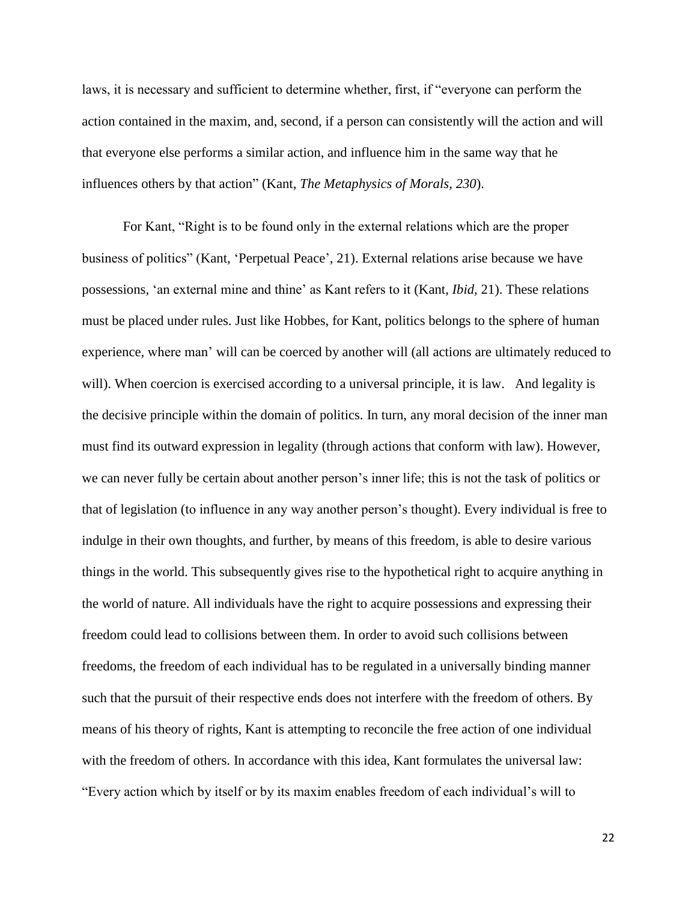laws, it is necessary and sufficient to determine whether, first, if "everyone can perform the action contained in the maxim, and, second, if a person can consistently will the action and will that everyone else performs a similar action, and influence him in the same way that he influences others by that action" (Kant, *The Metaphysics of Morals, 230*).

For Kant, "Right is to be found only in the external relations which are the proper business of politics" (Kant, 'Perpetual Peace', 21). External relations arise because we have possessions, 'an external mine and thine' as Kant refers to it (Kant, *Ibid,* 21). These relations must be placed under rules. Just like Hobbes, for Kant, politics belongs to the sphere of human experience, where man' will can be coerced by another will (all actions are ultimately reduced to will). When coercion is exercised according to a universal principle, it is law. And legality is the decisive principle within the domain of politics. In turn, any moral decision of the inner man must find its outward expression in legality (through actions that conform with law). However, we can never fully be certain about another person's inner life; this is not the task of politics or that of legislation (to influence in any way another person's thought). Every individual is free to indulge in their own thoughts, and further, by means of this freedom, is able to desire various things in the world. This subsequently gives rise to the hypothetical right to acquire anything in the world of nature. All individuals have the right to acquire possessions and expressing their freedom could lead to collisions between them. In order to avoid such collisions between freedoms, the freedom of each individual has to be regulated in a universally binding manner such that the pursuit of their respective ends does not interfere with the freedom of others. By means of his theory of rights, Kant is attempting to reconcile the free action of one individual with the freedom of others. In accordance with this idea, Kant formulates the universal law: "Every action which by itself or by its maxim enables freedom of each individual's will to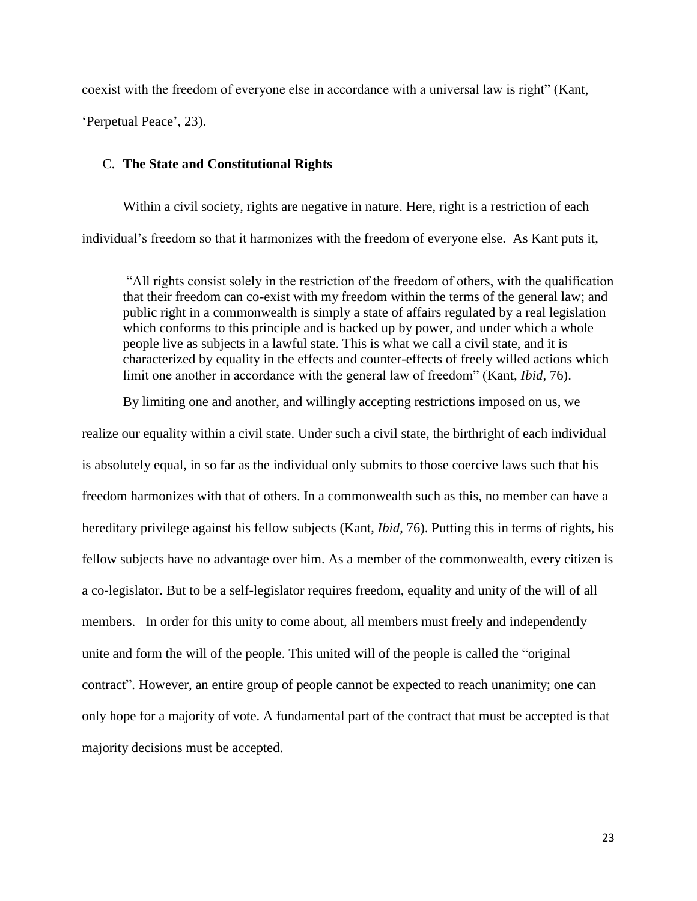coexist with the freedom of everyone else in accordance with a universal law is right" (Kant, 'Perpetual Peace', 23).

## C. **The State and Constitutional Rights**

Within a civil society, rights are negative in nature. Here, right is a restriction of each individual's freedom so that it harmonizes with the freedom of everyone else. As Kant puts it,

"All rights consist solely in the restriction of the freedom of others, with the qualification that their freedom can co-exist with my freedom within the terms of the general law; and public right in a commonwealth is simply a state of affairs regulated by a real legislation which conforms to this principle and is backed up by power, and under which a whole people live as subjects in a lawful state. This is what we call a civil state, and it is characterized by equality in the effects and counter-effects of freely willed actions which limit one another in accordance with the general law of freedom" (Kant, *Ibid*, 76).

By limiting one and another, and willingly accepting restrictions imposed on us, we

realize our equality within a civil state. Under such a civil state, the birthright of each individual is absolutely equal, in so far as the individual only submits to those coercive laws such that his freedom harmonizes with that of others. In a commonwealth such as this, no member can have a hereditary privilege against his fellow subjects (Kant, *Ibid*, 76). Putting this in terms of rights, his fellow subjects have no advantage over him. As a member of the commonwealth, every citizen is a co-legislator. But to be a self-legislator requires freedom, equality and unity of the will of all members. In order for this unity to come about, all members must freely and independently unite and form the will of the people. This united will of the people is called the "original contract". However, an entire group of people cannot be expected to reach unanimity; one can only hope for a majority of vote. A fundamental part of the contract that must be accepted is that majority decisions must be accepted.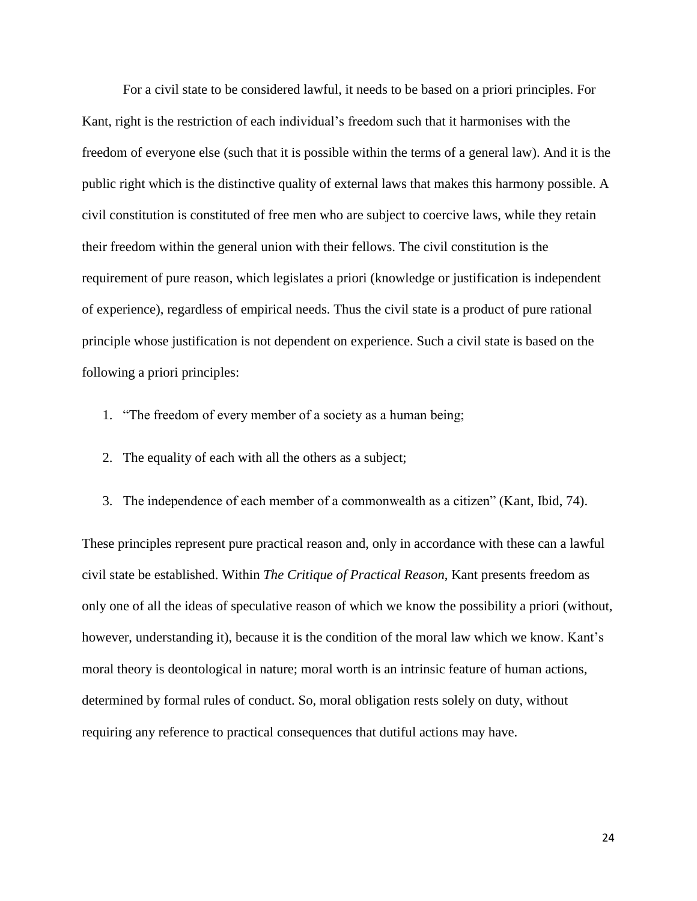For a civil state to be considered lawful, it needs to be based on a priori principles. For Kant, right is the restriction of each individual's freedom such that it harmonises with the freedom of everyone else (such that it is possible within the terms of a general law). And it is the public right which is the distinctive quality of external laws that makes this harmony possible. A civil constitution is constituted of free men who are subject to coercive laws, while they retain their freedom within the general union with their fellows. The civil constitution is the requirement of pure reason, which legislates a priori (knowledge or justification is independent of experience), regardless of empirical needs. Thus the civil state is a product of pure rational principle whose justification is not dependent on experience. Such a civil state is based on the following a priori principles:

- 1. "The freedom of every member of a society as a human being;
- 2. The equality of each with all the others as a subject;
- 3. The independence of each member of a commonwealth as a citizen" (Kant, Ibid, 74).

These principles represent pure practical reason and, only in accordance with these can a lawful civil state be established. Within *The Critique of Practical Reason*, Kant presents freedom as only one of all the ideas of speculative reason of which we know the possibility a priori (without, however, understanding it), because it is the condition of the moral law which we know. Kant's moral theory is deontological in nature; moral worth is an intrinsic feature of human actions, determined by formal rules of conduct. So, moral obligation rests solely on duty, without requiring any reference to practical consequences that dutiful actions may have.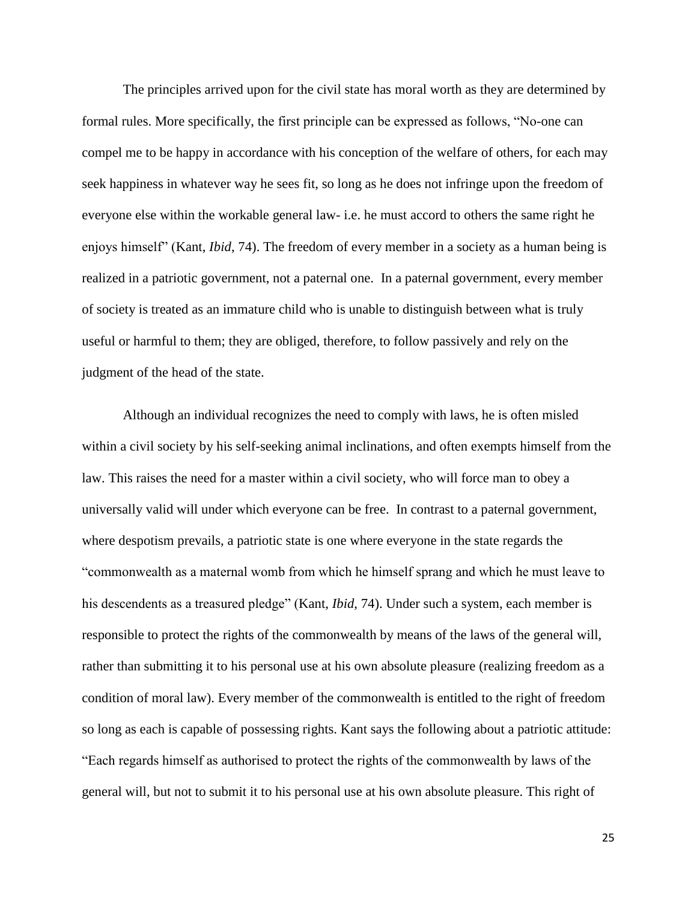The principles arrived upon for the civil state has moral worth as they are determined by formal rules. More specifically, the first principle can be expressed as follows, "No-one can compel me to be happy in accordance with his conception of the welfare of others, for each may seek happiness in whatever way he sees fit, so long as he does not infringe upon the freedom of everyone else within the workable general law- i.e. he must accord to others the same right he enjoys himself" (Kant, *Ibid*, 74). The freedom of every member in a society as a human being is realized in a patriotic government, not a paternal one. In a paternal government, every member of society is treated as an immature child who is unable to distinguish between what is truly useful or harmful to them; they are obliged, therefore, to follow passively and rely on the judgment of the head of the state.

Although an individual recognizes the need to comply with laws, he is often misled within a civil society by his self-seeking animal inclinations, and often exempts himself from the law. This raises the need for a master within a civil society, who will force man to obey a universally valid will under which everyone can be free. In contrast to a paternal government, where despotism prevails, a patriotic state is one where everyone in the state regards the "commonwealth as a maternal womb from which he himself sprang and which he must leave to his descendents as a treasured pledge" (Kant, *Ibid*, 74). Under such a system, each member is responsible to protect the rights of the commonwealth by means of the laws of the general will, rather than submitting it to his personal use at his own absolute pleasure (realizing freedom as a condition of moral law). Every member of the commonwealth is entitled to the right of freedom so long as each is capable of possessing rights. Kant says the following about a patriotic attitude: "Each regards himself as authorised to protect the rights of the commonwealth by laws of the general will, but not to submit it to his personal use at his own absolute pleasure. This right of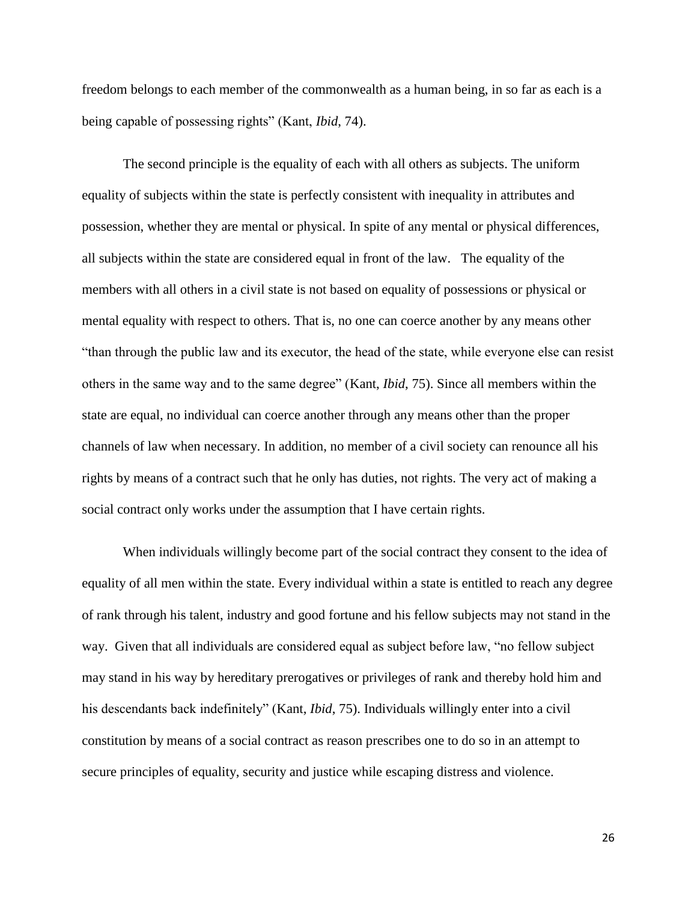freedom belongs to each member of the commonwealth as a human being, in so far as each is a being capable of possessing rights" (Kant, *Ibid*, 74).

The second principle is the equality of each with all others as subjects. The uniform equality of subjects within the state is perfectly consistent with inequality in attributes and possession, whether they are mental or physical. In spite of any mental or physical differences, all subjects within the state are considered equal in front of the law. The equality of the members with all others in a civil state is not based on equality of possessions or physical or mental equality with respect to others. That is, no one can coerce another by any means other "than through the public law and its executor, the head of the state, while everyone else can resist others in the same way and to the same degree" (Kant, *Ibid*, 75). Since all members within the state are equal, no individual can coerce another through any means other than the proper channels of law when necessary. In addition, no member of a civil society can renounce all his rights by means of a contract such that he only has duties, not rights. The very act of making a social contract only works under the assumption that I have certain rights.

When individuals willingly become part of the social contract they consent to the idea of equality of all men within the state. Every individual within a state is entitled to reach any degree of rank through his talent, industry and good fortune and his fellow subjects may not stand in the way. Given that all individuals are considered equal as subject before law, "no fellow subject may stand in his way by hereditary prerogatives or privileges of rank and thereby hold him and his descendants back indefinitely" (Kant, *Ibid*, 75). Individuals willingly enter into a civil constitution by means of a social contract as reason prescribes one to do so in an attempt to secure principles of equality, security and justice while escaping distress and violence.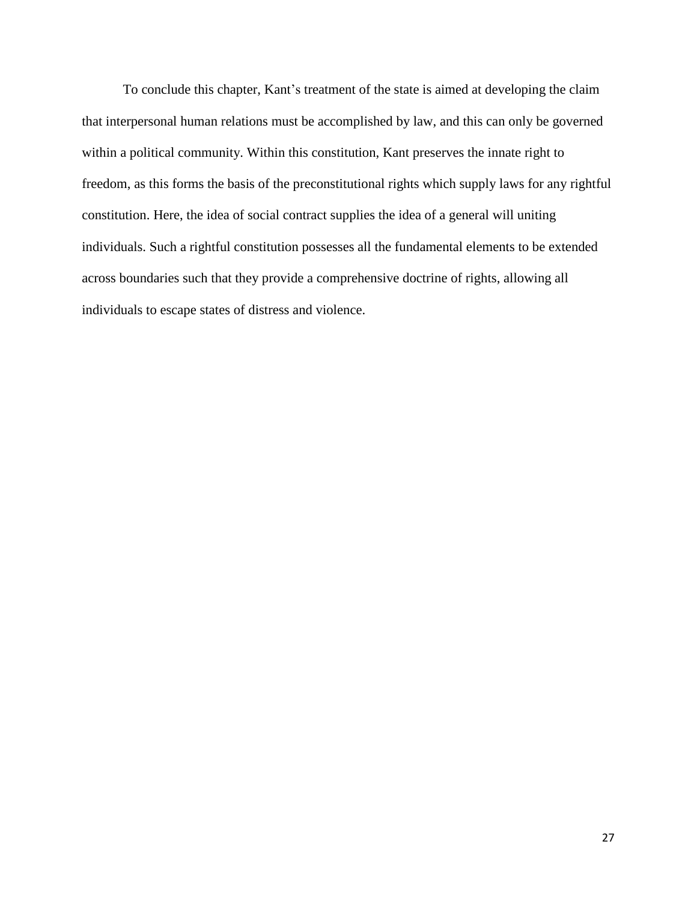To conclude this chapter, Kant's treatment of the state is aimed at developing the claim that interpersonal human relations must be accomplished by law, and this can only be governed within a political community. Within this constitution, Kant preserves the innate right to freedom, as this forms the basis of the preconstitutional rights which supply laws for any rightful constitution. Here, the idea of social contract supplies the idea of a general will uniting individuals. Such a rightful constitution possesses all the fundamental elements to be extended across boundaries such that they provide a comprehensive doctrine of rights, allowing all individuals to escape states of distress and violence.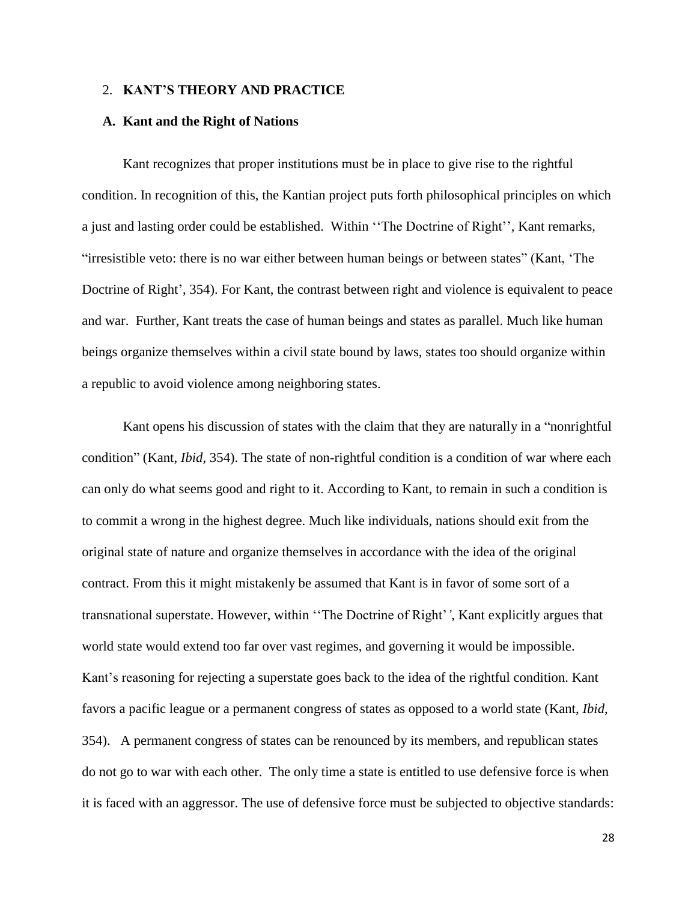# 2. **KANT'S THEORY AND PRACTICE**

## **A. Kant and the Right of Nations**

Kant recognizes that proper institutions must be in place to give rise to the rightful condition. In recognition of this, the Kantian project puts forth philosophical principles on which a just and lasting order could be established. Within ''The Doctrine of Right'', Kant remarks, "irresistible veto: there is no war either between human beings or between states" (Kant, 'The Doctrine of Right', 354). For Kant, the contrast between right and violence is equivalent to peace and war. Further, Kant treats the case of human beings and states as parallel. Much like human beings organize themselves within a civil state bound by laws, states too should organize within a republic to avoid violence among neighboring states.

Kant opens his discussion of states with the claim that they are naturally in a "nonrightful condition" (Kant, *Ibid*, 354). The state of non-rightful condition is a condition of war where each can only do what seems good and right to it. According to Kant, to remain in such a condition is to commit a wrong in the highest degree. Much like individuals, nations should exit from the original state of nature and organize themselves in accordance with the idea of the original contract. From this it might mistakenly be assumed that Kant is in favor of some sort of a transnational superstate. However, within ''The Doctrine of Right'*'*, Kant explicitly argues that world state would extend too far over vast regimes, and governing it would be impossible. Kant's reasoning for rejecting a superstate goes back to the idea of the rightful condition. Kant favors a pacific league or a permanent congress of states as opposed to a world state (Kant, *Ibid*, 354). A permanent congress of states can be renounced by its members, and republican states do not go to war with each other. The only time a state is entitled to use defensive force is when it is faced with an aggressor. The use of defensive force must be subjected to objective standards: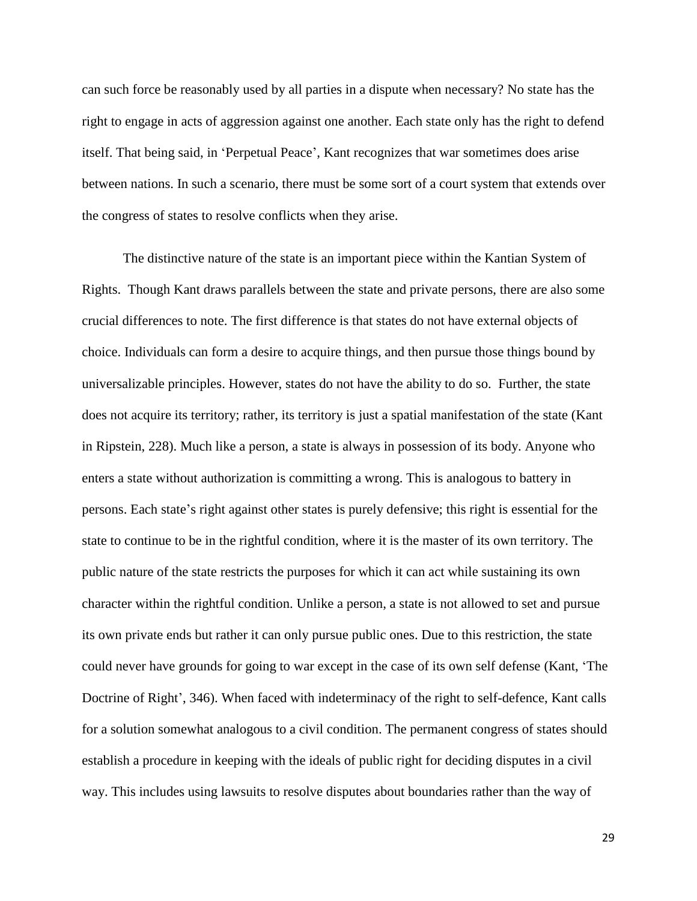can such force be reasonably used by all parties in a dispute when necessary? No state has the right to engage in acts of aggression against one another. Each state only has the right to defend itself. That being said, in 'Perpetual Peace', Kant recognizes that war sometimes does arise between nations. In such a scenario, there must be some sort of a court system that extends over the congress of states to resolve conflicts when they arise.

The distinctive nature of the state is an important piece within the Kantian System of Rights. Though Kant draws parallels between the state and private persons, there are also some crucial differences to note. The first difference is that states do not have external objects of choice. Individuals can form a desire to acquire things, and then pursue those things bound by universalizable principles. However, states do not have the ability to do so. Further, the state does not acquire its territory; rather, its territory is just a spatial manifestation of the state (Kant in Ripstein, 228). Much like a person, a state is always in possession of its body. Anyone who enters a state without authorization is committing a wrong. This is analogous to battery in persons. Each state's right against other states is purely defensive; this right is essential for the state to continue to be in the rightful condition, where it is the master of its own territory. The public nature of the state restricts the purposes for which it can act while sustaining its own character within the rightful condition. Unlike a person, a state is not allowed to set and pursue its own private ends but rather it can only pursue public ones. Due to this restriction, the state could never have grounds for going to war except in the case of its own self defense (Kant, 'The Doctrine of Right', 346). When faced with indeterminacy of the right to self-defence, Kant calls for a solution somewhat analogous to a civil condition. The permanent congress of states should establish a procedure in keeping with the ideals of public right for deciding disputes in a civil way. This includes using lawsuits to resolve disputes about boundaries rather than the way of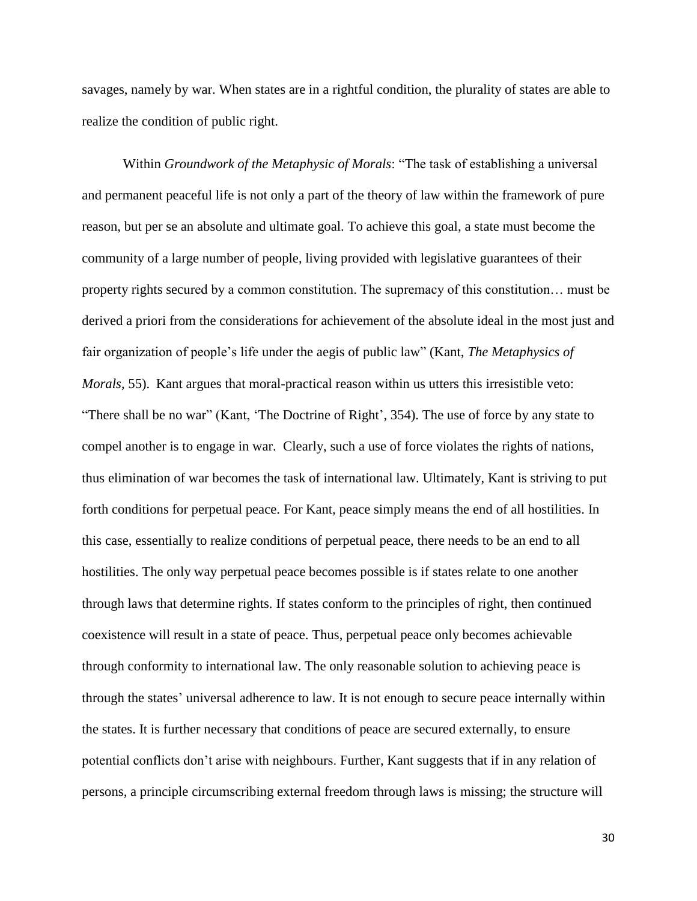savages, namely by war. When states are in a rightful condition, the plurality of states are able to realize the condition of public right.

Within *[Groundwork of the Metaphysic of Morals](http://en.wikipedia.org/wiki/Groundwork_of_the_Metaphysic_of_Morals)*: "The task of establishing a universal and permanent peaceful life is not only a part of the theory of law within the framework of pure reason, but per se an absolute and ultimate goal. To achieve this goal, a state must become the community of a large number of people, living provided with legislative guarantees of their property rights secured by a common constitution. The supremacy of this constitution… must be derived a priori from the considerations for achievement of the absolute ideal in the most just and fair organization of people's life under the aegis of public law" (Kant, *The Metaphysics of Morals*, 55). Kant argues that moral-practical reason within us utters this irresistible veto: "There shall be no war" (Kant, 'The Doctrine of Right', 354). The use of force by any state to compel another is to engage in war. Clearly, such a use of force violates the rights of nations, thus elimination of war becomes the task of international law. Ultimately, Kant is striving to put forth conditions for perpetual peace. For Kant, peace simply means the end of all hostilities. In this case, essentially to realize conditions of perpetual peace, there needs to be an end to all hostilities. The only way perpetual peace becomes possible is if states relate to one another through laws that determine rights. If states conform to the principles of right, then continued coexistence will result in a state of peace. Thus, perpetual peace only becomes achievable through conformity to international law. The only reasonable solution to achieving peace is through the states' universal adherence to law. It is not enough to secure peace internally within the states. It is further necessary that conditions of peace are secured externally, to ensure potential conflicts don't arise with neighbours. Further, Kant suggests that if in any relation of persons, a principle circumscribing external freedom through laws is missing; the structure will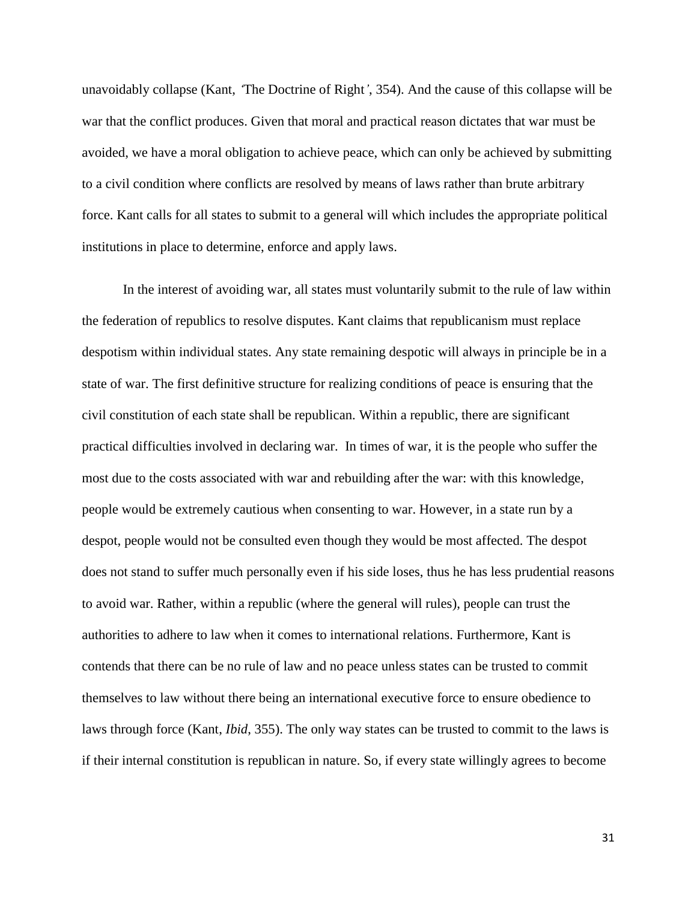unavoidably collapse (Kant, *'*The Doctrine of Right*'*, 354). And the cause of this collapse will be war that the conflict produces. Given that moral and practical reason dictates that war must be avoided, we have a moral obligation to achieve peace, which can only be achieved by submitting to a civil condition where conflicts are resolved by means of laws rather than brute arbitrary force. Kant calls for all states to submit to a general will which includes the appropriate political institutions in place to determine, enforce and apply laws.

In the interest of avoiding war, all states must voluntarily submit to the rule of law within the federation of republics to resolve disputes. Kant claims that republicanism must replace despotism within individual states. Any state remaining despotic will always in principle be in a state of war. The first definitive structure for realizing conditions of peace is ensuring that the civil constitution of each state shall be republican. Within a republic, there are significant practical difficulties involved in declaring war. In times of war, it is the people who suffer the most due to the costs associated with war and rebuilding after the war: with this knowledge, people would be extremely cautious when consenting to war. However, in a state run by a despot, people would not be consulted even though they would be most affected. The despot does not stand to suffer much personally even if his side loses, thus he has less prudential reasons to avoid war. Rather, within a republic (where the general will rules), people can trust the authorities to adhere to law when it comes to international relations. Furthermore, Kant is contends that there can be no rule of law and no peace unless states can be trusted to commit themselves to law without there being an international executive force to ensure obedience to laws through force (Kant, *Ibid*, 355). The only way states can be trusted to commit to the laws is if their internal constitution is republican in nature. So, if every state willingly agrees to become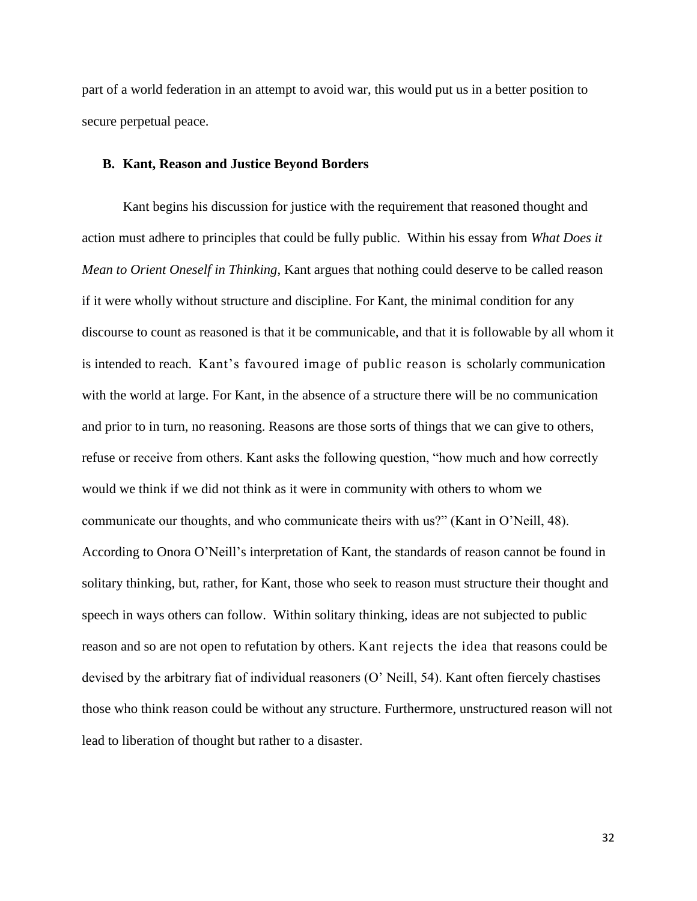part of a world federation in an attempt to avoid war, this would put us in a better position to secure perpetual peace.

#### **B. Kant, Reason and Justice Beyond Borders**

Kant begins his discussion for justice with the requirement that reasoned thought and action must adhere to principles that could be fully public. Within his essay from *What Does it Mean to Orient Oneself in Thinking*, Kant argues that nothing could deserve to be called reason if it were wholly without structure and discipline. For Kant, the minimal condition for any discourse to count as reasoned is that it be communicable, and that it is followable by all whom it is intended to reach. Kant's favoured image of public reason is scholarly communication with the world at large. For Kant, in the absence of a structure there will be no communication and prior to in turn, no reasoning. Reasons are those sorts of things that we can give to others, refuse or receive from others. Kant asks the following question, "how much and how correctly would we think if we did not think as it were in community with others to whom we communicate our thoughts, and who communicate theirs with us?" (Kant in O'Neill, 48). According to Onora O'Neill's interpretation of Kant, the standards of reason cannot be found in solitary thinking, but, rather, for Kant, those who seek to reason must structure their thought and speech in ways others can follow. Within solitary thinking, ideas are not subjected to public reason and so are not open to refutation by others. Kant rejects the idea that reasons could be devised by the arbitrary fiat of individual reasoners (O' Neill, 54). Kant often fiercely chastises those who think reason could be without any structure. Furthermore, unstructured reason will not lead to liberation of thought but rather to a disaster.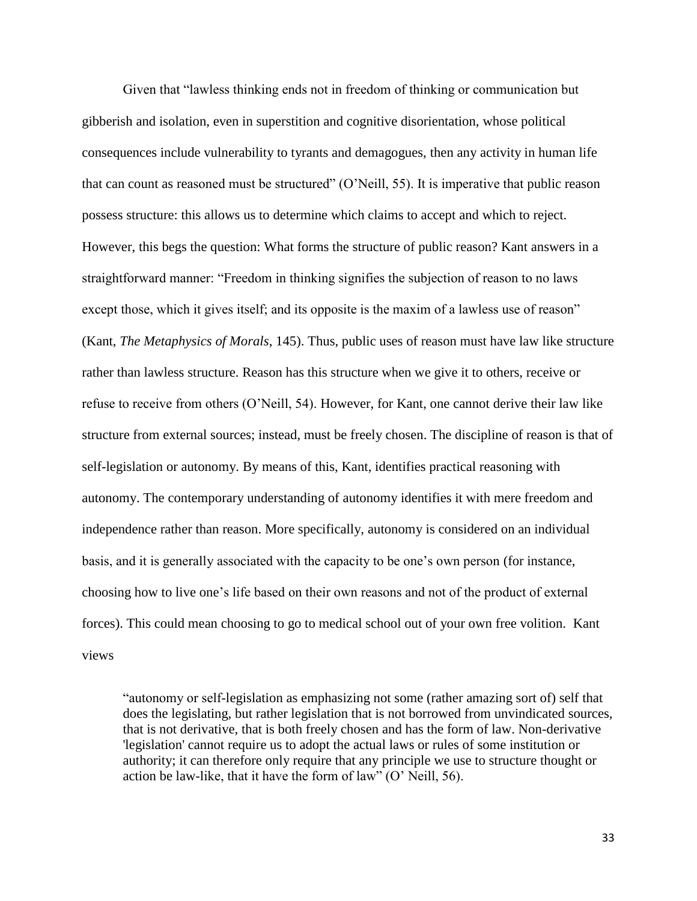Given that "lawless thinking ends not in freedom of thinking or communication but gibberish and isolation, even in superstition and cognitive disorientation, whose political consequences include vulnerability to tyrants and demagogues, then any activity in human life that can count as reasoned must be structured" (O'Neill, 55). It is imperative that public reason possess structure: this allows us to determine which claims to accept and which to reject. However, this begs the question: What forms the structure of public reason? Kant answers in a straightforward manner: "Freedom in thinking signifies the subjection of reason to no laws except those, which it gives itself; and its opposite is the maxim of a lawless use of reason" (Kant, *The Metaphysics of Morals*, 145). Thus, public uses of reason must have law like structure rather than lawless structure. Reason has this structure when we give it to others, receive or refuse to receive from others (O'Neill, 54). However, for Kant, one cannot derive their law like structure from external sources; instead, must be freely chosen. The discipline of reason is that of self-legislation or autonomy. By means of this, Kant, identifies practical reasoning with autonomy. The contemporary understanding of autonomy identifies it with mere freedom and independence rather than reason. More specifically, autonomy is considered on an individual basis, and it is generally associated with the capacity to be one's own person (for instance, choosing how to live one's life based on their own reasons and not of the product of external forces). This could mean choosing to go to medical school out of your own free volition. Kant views

"autonomy or self-legislation as emphasizing not some (rather amazing sort of) self that does the legislating, but rather legislation that is not borrowed from unvindicated sources, that is not derivative, that is both freely chosen and has the form of law. Non-derivative 'legislation' cannot require us to adopt the actual laws or rules of some institution or authority; it can therefore only require that any principle we use to structure thought or action be law-like, that it have the form of law" (O' Neill, 56).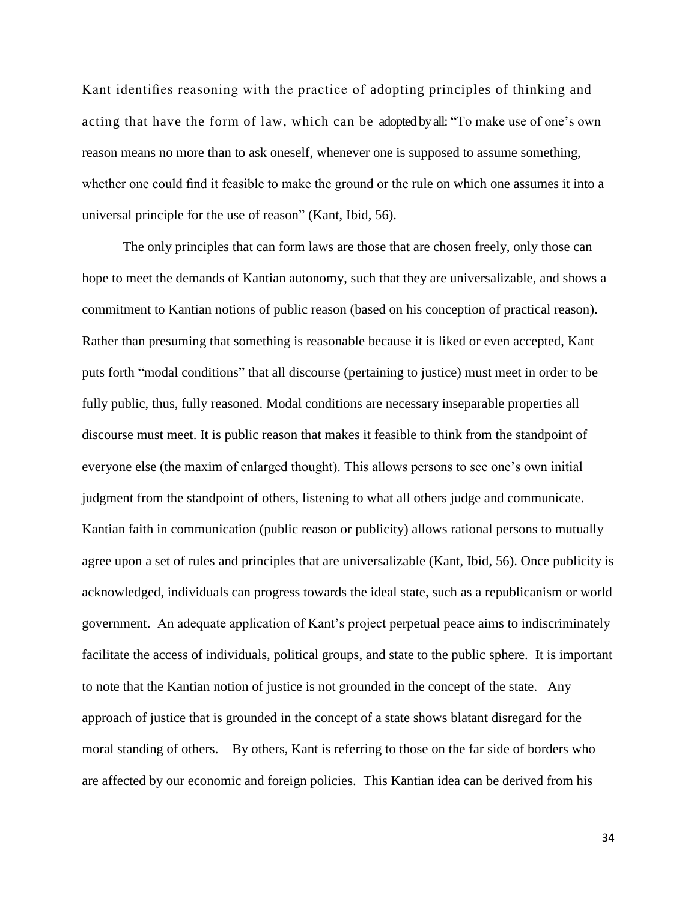Kant identifies reasoning with the practice of adopting principles of thinking and acting that have the form of law, which can be adopted by all: "To make use of one's own reason means no more than to ask oneself, whenever one is supposed to assume something, whether one could find it feasible to make the ground or the rule on which one assumes it into a universal principle for the use of reason" (Kant, Ibid, 56).

The only principles that can form laws are those that are chosen freely, only those can hope to meet the demands of Kantian autonomy, such that they are universalizable, and shows a commitment to Kantian notions of public reason (based on his conception of practical reason). Rather than presuming that something is reasonable because it is liked or even accepted, Kant puts forth "modal conditions" that all discourse (pertaining to justice) must meet in order to be fully public, thus, fully reasoned. Modal conditions are necessary inseparable properties all discourse must meet. It is public reason that makes it feasible to think from the standpoint of everyone else (the maxim of enlarged thought). This allows persons to see one's own initial judgment from the standpoint of others, listening to what all others judge and communicate. Kantian faith in communication (public reason or publicity) allows rational persons to mutually agree upon a set of rules and principles that are universalizable (Kant, Ibid, 56). Once publicity is acknowledged, individuals can progress towards the ideal state, such as a republicanism or world government. An adequate application of Kant's project perpetual peace aims to indiscriminately facilitate the access of individuals, political groups, and state to the public sphere. It is important to note that the Kantian notion of justice is not grounded in the concept of the state. Any approach of justice that is grounded in the concept of a state shows blatant disregard for the moral standing of others. By others, Kant is referring to those on the far side of borders who are affected by our economic and foreign policies. This Kantian idea can be derived from his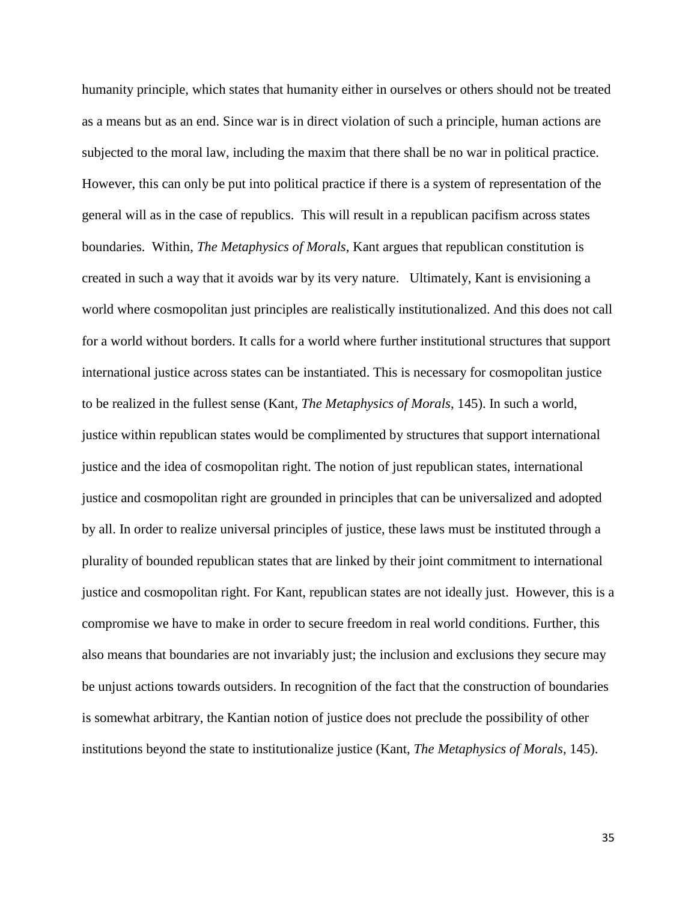humanity principle, which states that humanity either in ourselves or others should not be treated as a means but as an end. Since war is in direct violation of such a principle, human actions are subjected to the moral law, including the maxim that there shall be no war in political practice. However, this can only be put into political practice if there is a system of representation of the general will as in the case of republics. This will result in a republican pacifism across states boundaries. Within, *The Metaphysics of Morals*, Kant argues that republican constitution is created in such a way that it avoids war by its very nature. Ultimately, Kant is envisioning a world where cosmopolitan just principles are realistically institutionalized. And this does not call for a world without borders. It calls for a world where further institutional structures that support international justice across states can be instantiated. This is necessary for cosmopolitan justice to be realized in the fullest sense (Kant, *The Metaphysics of Morals*, 145). In such a world, justice within republican states would be complimented by structures that support international justice and the idea of cosmopolitan right. The notion of just republican states, international justice and cosmopolitan right are grounded in principles that can be universalized and adopted by all. In order to realize universal principles of justice, these laws must be instituted through a plurality of bounded republican states that are linked by their joint commitment to international justice and cosmopolitan right. For Kant, republican states are not ideally just. However, this is a compromise we have to make in order to secure freedom in real world conditions. Further, this also means that boundaries are not invariably just; the inclusion and exclusions they secure may be unjust actions towards outsiders. In recognition of the fact that the construction of boundaries is somewhat arbitrary, the Kantian notion of justice does not preclude the possibility of other institutions beyond the state to institutionalize justice (Kant, *The Metaphysics of Morals*, 145).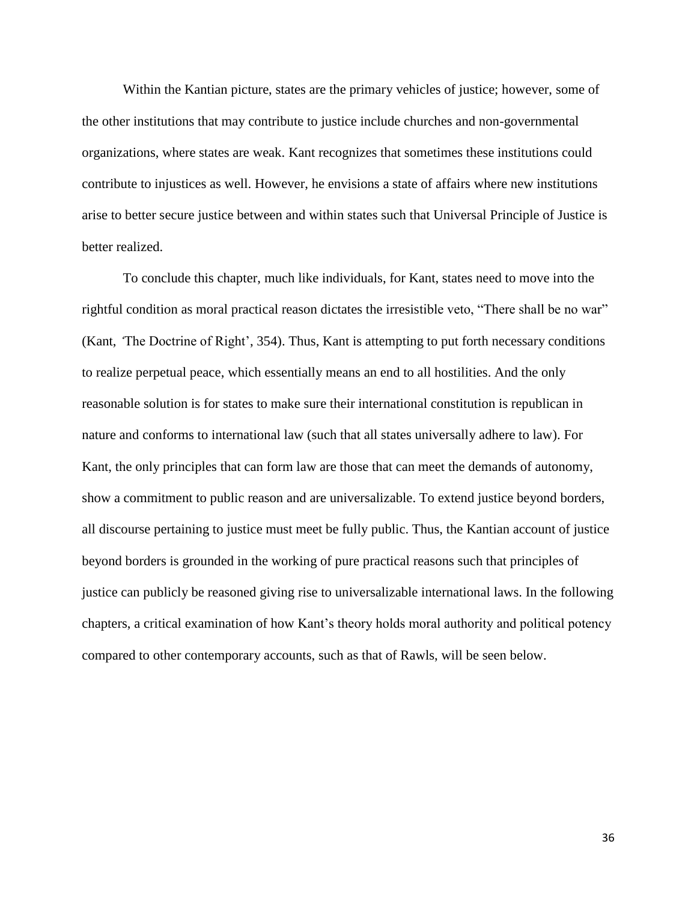Within the Kantian picture, states are the primary vehicles of justice; however, some of the other institutions that may contribute to justice include churches and non-governmental organizations, where states are weak. Kant recognizes that sometimes these institutions could contribute to injustices as well. However, he envisions a state of affairs where new institutions arise to better secure justice between and within states such that Universal Principle of Justice is better realized.

To conclude this chapter, much like individuals, for Kant, states need to move into the rightful condition as moral practical reason dictates the irresistible veto, "There shall be no war" (Kant, *'*The Doctrine of Right', 354). Thus, Kant is attempting to put forth necessary conditions to realize perpetual peace, which essentially means an end to all hostilities. And the only reasonable solution is for states to make sure their international constitution is republican in nature and conforms to international law (such that all states universally adhere to law). For Kant, the only principles that can form law are those that can meet the demands of autonomy, show a commitment to public reason and are universalizable. To extend justice beyond borders, all discourse pertaining to justice must meet be fully public. Thus, the Kantian account of justice beyond borders is grounded in the working of pure practical reasons such that principles of justice can publicly be reasoned giving rise to universalizable international laws. In the following chapters, a critical examination of how Kant's theory holds moral authority and political potency compared to other contemporary accounts, such as that of Rawls, will be seen below.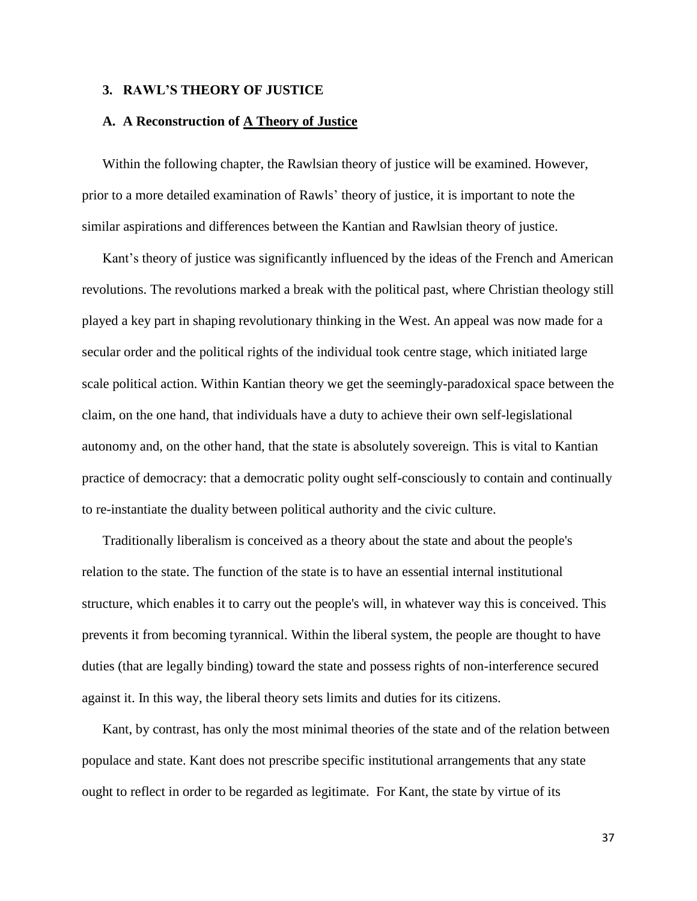## **3. RAWL'S THEORY OF JUSTICE**

## **A. A Reconstruction of A Theory of Justice**

Within the following chapter, the Rawlsian theory of justice will be examined. However, prior to a more detailed examination of Rawls' theory of justice, it is important to note the similar aspirations and differences between the Kantian and Rawlsian theory of justice.

Kant's theory of justice was significantly influenced by the ideas of the French and American revolutions. The revolutions marked a break with the political past, where Christian theology still played a key part in shaping revolutionary thinking in the West. An appeal was now made for a secular order and the political rights of the individual took centre stage, which initiated large scale political action. Within Kantian theory we get the seemingly-paradoxical space between the claim, on the one hand, that individuals have a duty to achieve their own self-legislational autonomy and, on the other hand, that the state is absolutely sovereign. This is vital to Kantian practice of democracy: that a democratic polity ought self-consciously to contain and continually to re-instantiate the duality between political authority and the civic culture.

Traditionally liberalism is conceived as a theory about the state and about the people's relation to the state. The function of the state is to have an essential internal institutional structure, which enables it to carry out the people's will, in whatever way this is conceived. This prevents it from becoming tyrannical. Within the liberal system, the people are thought to have duties (that are legally binding) toward the state and possess rights of non-interference secured against it. In this way, the liberal theory sets limits and duties for its citizens.

Kant, by contrast, has only the most minimal theories of the state and of the relation between populace and state. Kant does not prescribe specific institutional arrangements that any state ought to reflect in order to be regarded as legitimate. For Kant, the state by virtue of its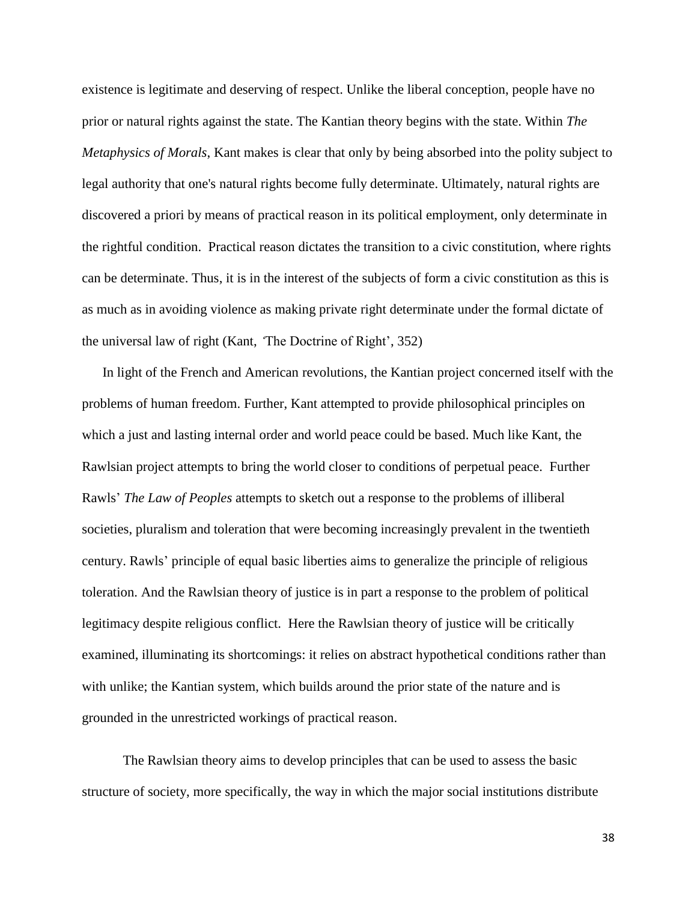existence is legitimate and deserving of respect. Unlike the liberal conception, people have no prior or natural rights against the state. The Kantian theory begins with the state. Within *The Metaphysics of Morals*, Kant makes is clear that only by being absorbed into the polity subject to legal authority that one's natural rights become fully determinate. Ultimately, natural rights are discovered a priori by means of practical reason in its political employment, only determinate in the rightful condition. Practical reason dictates the transition to a civic constitution, where rights can be determinate. Thus, it is in the interest of the subjects of form a civic constitution as this is as much as in avoiding violence as making private right determinate under the formal dictate of the universal law of right (Kant, *'*The Doctrine of Right', 352)

In light of the French and American revolutions, the Kantian project concerned itself with the problems of human freedom. Further, Kant attempted to provide philosophical principles on which a just and lasting internal order and world peace could be based. Much like Kant, the Rawlsian project attempts to bring the world closer to conditions of perpetual peace.Further Rawls' *The Law of Peoples* attempts to sketch out a response to the problems of illiberal societies, pluralism and toleration that were becoming increasingly prevalent in the twentieth century. Rawls' principle of equal basic liberties aims to generalize the principle of religious toleration. And the Rawlsian theory of justice is in part a response to the problem of political legitimacy despite religious conflict. Here the Rawlsian theory of justice will be critically examined, illuminating its shortcomings: it relies on abstract hypothetical conditions rather than with unlike; the Kantian system, which builds around the prior state of the nature and is grounded in the unrestricted workings of practical reason.

The Rawlsian theory aims to develop principles that can be used to assess the basic structure of society, more specifically, the way in which the major social institutions distribute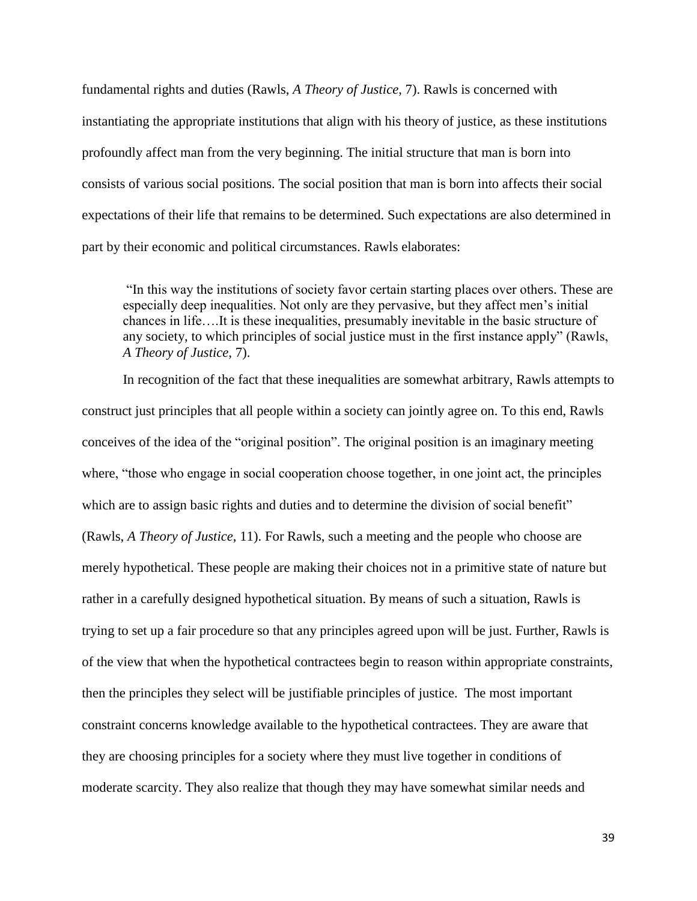fundamental rights and duties (Rawls, *A Theory of Justice*, 7). Rawls is concerned with instantiating the appropriate institutions that align with his theory of justice, as these institutions profoundly affect man from the very beginning. The initial structure that man is born into consists of various social positions. The social position that man is born into affects their social expectations of their life that remains to be determined. Such expectations are also determined in part by their economic and political circumstances. Rawls elaborates:

"In this way the institutions of society favor certain starting places over others. These are especially deep inequalities. Not only are they pervasive, but they affect men's initial chances in life….It is these inequalities, presumably inevitable in the basic structure of any society, to which principles of social justice must in the first instance apply" (Rawls, *A Theory of Justice*, 7).

In recognition of the fact that these inequalities are somewhat arbitrary, Rawls attempts to construct just principles that all people within a society can jointly agree on. To this end, Rawls conceives of the idea of the "original position". The original position is an imaginary meeting where, "those who engage in social cooperation choose together, in one joint act, the principles which are to assign basic rights and duties and to determine the division of social benefit" (Rawls, *A Theory of Justice*, 11). For Rawls, such a meeting and the people who choose are merely hypothetical. These people are making their choices not in a primitive state of nature but rather in a carefully designed hypothetical situation. By means of such a situation, Rawls is trying to set up a fair procedure so that any principles agreed upon will be just. Further, Rawls is of the view that when the hypothetical contractees begin to reason within appropriate constraints, then the principles they select will be justifiable principles of justice. The most important constraint concerns knowledge available to the hypothetical contractees. They are aware that they are choosing principles for a society where they must live together in conditions of moderate scarcity. They also realize that though they may have somewhat similar needs and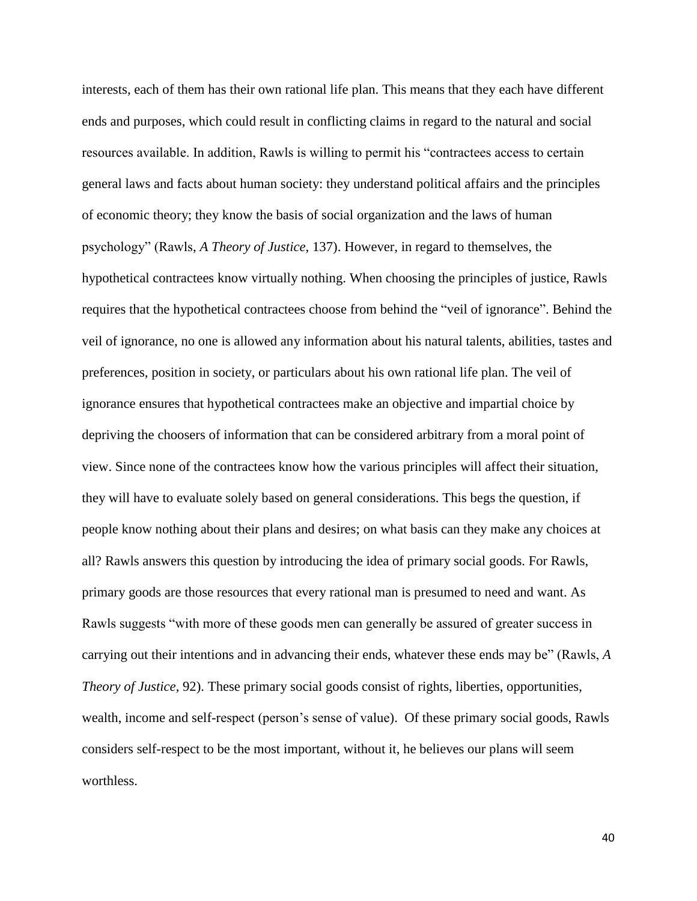interests, each of them has their own rational life plan. This means that they each have different ends and purposes, which could result in conflicting claims in regard to the natural and social resources available. In addition, Rawls is willing to permit his "contractees access to certain general laws and facts about human society: they understand political affairs and the principles of economic theory; they know the basis of social organization and the laws of human psychology" (Rawls, *A Theory of Justice*, 137). However, in regard to themselves, the hypothetical contractees know virtually nothing. When choosing the principles of justice, Rawls requires that the hypothetical contractees choose from behind the "veil of ignorance". Behind the veil of ignorance, no one is allowed any information about his natural talents, abilities, tastes and preferences, position in society, or particulars about his own rational life plan. The veil of ignorance ensures that hypothetical contractees make an objective and impartial choice by depriving the choosers of information that can be considered arbitrary from a moral point of view. Since none of the contractees know how the various principles will affect their situation, they will have to evaluate solely based on general considerations. This begs the question, if people know nothing about their plans and desires; on what basis can they make any choices at all? Rawls answers this question by introducing the idea of primary social goods. For Rawls, primary goods are those resources that every rational man is presumed to need and want. As Rawls suggests "with more of these goods men can generally be assured of greater success in carrying out their intentions and in advancing their ends, whatever these ends may be" (Rawls, *A Theory of Justice*, 92). These primary social goods consist of rights, liberties, opportunities, wealth, income and self-respect (person's sense of value). Of these primary social goods, Rawls considers self-respect to be the most important, without it, he believes our plans will seem worthless.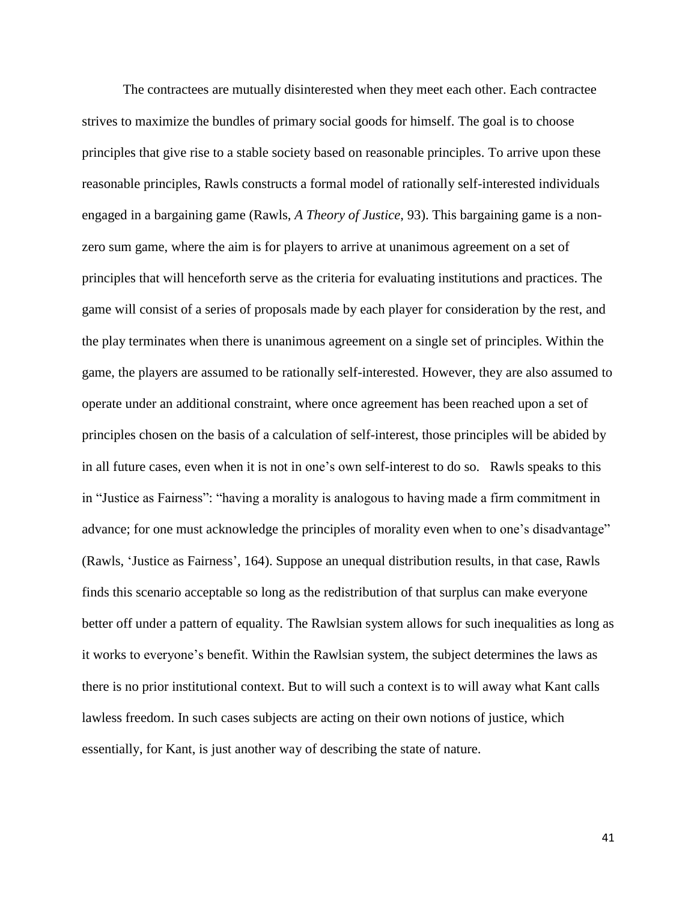The contractees are mutually disinterested when they meet each other. Each contractee strives to maximize the bundles of primary social goods for himself. The goal is to choose principles that give rise to a stable society based on reasonable principles. To arrive upon these reasonable principles, Rawls constructs a formal model of rationally self-interested individuals engaged in a bargaining game (Rawls, *A Theory of Justice*, 93). This bargaining game is a nonzero sum game, where the aim is for players to arrive at unanimous agreement on a set of principles that will henceforth serve as the criteria for evaluating institutions and practices. The game will consist of a series of proposals made by each player for consideration by the rest, and the play terminates when there is unanimous agreement on a single set of principles. Within the game, the players are assumed to be rationally self-interested. However, they are also assumed to operate under an additional constraint, where once agreement has been reached upon a set of principles chosen on the basis of a calculation of self-interest, those principles will be abided by in all future cases, even when it is not in one's own self-interest to do so. Rawls speaks to this in "Justice as Fairness": "having a morality is analogous to having made a firm commitment in advance; for one must acknowledge the principles of morality even when to one's disadvantage" (Rawls, 'Justice as Fairness', 164). Suppose an unequal distribution results, in that case, Rawls finds this scenario acceptable so long as the redistribution of that surplus can make everyone better off under a pattern of equality. The Rawlsian system allows for such inequalities as long as it works to everyone's benefit. Within the Rawlsian system, the subject determines the laws as there is no prior institutional context. But to will such a context is to will away what Kant calls lawless freedom. In such cases subjects are acting on their own notions of justice, which essentially, for Kant, is just another way of describing the state of nature.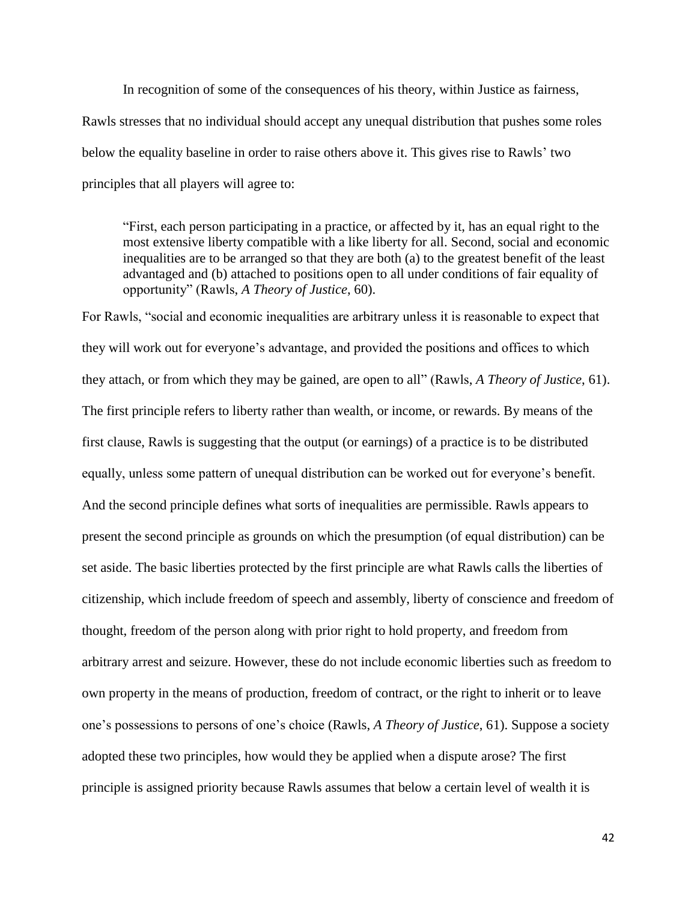In recognition of some of the consequences of his theory, within Justice as fairness, Rawls stresses that no individual should accept any unequal distribution that pushes some roles below the equality baseline in order to raise others above it. This gives rise to Rawls' two principles that all players will agree to:

"First, each person participating in a practice, or affected by it, has an equal right to the most extensive liberty compatible with a like liberty for all. Second, social and economic inequalities are to be arranged so that they are both (a) to the greatest benefit of the least advantaged and (b) attached to positions open to all under conditions of fair equality of opportunity" (Rawls, *A Theory of Justice*, 60).

For Rawls, "social and economic inequalities are arbitrary unless it is reasonable to expect that they will work out for everyone's advantage, and provided the positions and offices to which they attach, or from which they may be gained, are open to all" (Rawls, *A Theory of Justice*, 61). The first principle refers to liberty rather than wealth, or income, or rewards. By means of the first clause, Rawls is suggesting that the output (or earnings) of a practice is to be distributed equally, unless some pattern of unequal distribution can be worked out for everyone's benefit. And the second principle defines what sorts of inequalities are permissible. Rawls appears to present the second principle as grounds on which the presumption (of equal distribution) can be set aside. The basic liberties protected by the first principle are what Rawls calls the liberties of citizenship, which include freedom of speech and assembly, liberty of conscience and freedom of thought, freedom of the person along with prior right to hold property, and freedom from arbitrary arrest and seizure. However, these do not include economic liberties such as freedom to own property in the means of production, freedom of contract, or the right to inherit or to leave one's possessions to persons of one's choice (Rawls, *A Theory of Justice*, 61). Suppose a society adopted these two principles, how would they be applied when a dispute arose? The first principle is assigned priority because Rawls assumes that below a certain level of wealth it is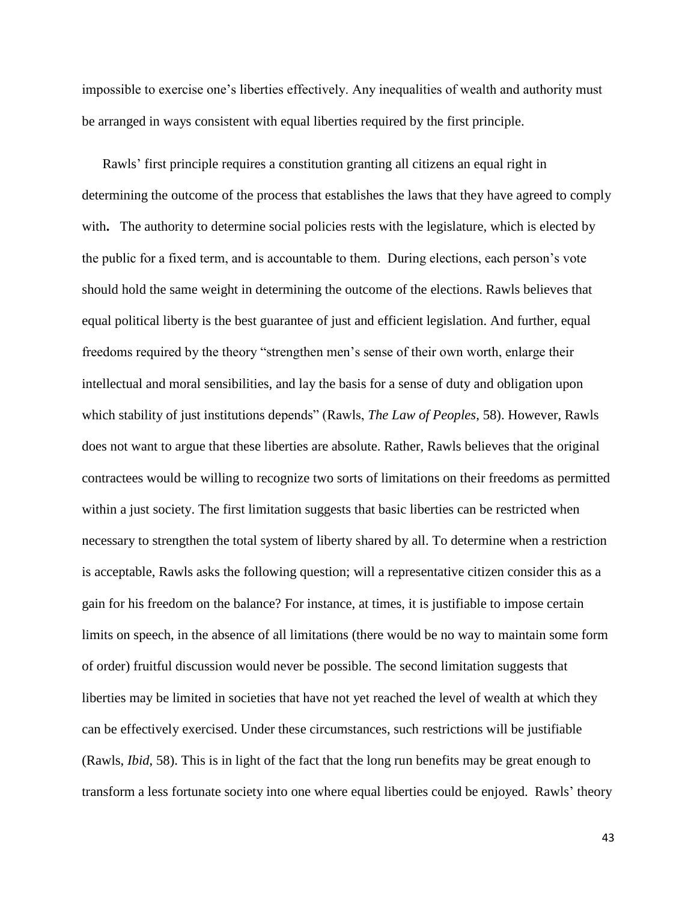impossible to exercise one's liberties effectively. Any inequalities of wealth and authority must be arranged in ways consistent with equal liberties required by the first principle.

Rawls' first principle requires a constitution granting all citizens an equal right in determining the outcome of the process that establishes the laws that they have agreed to comply with. The authority to determine social policies rests with the legislature, which is elected by the public for a fixed term, and is accountable to them. During elections, each person's vote should hold the same weight in determining the outcome of the elections. Rawls believes that equal political liberty is the best guarantee of just and efficient legislation. And further, equal freedoms required by the theory "strengthen men's sense of their own worth, enlarge their intellectual and moral sensibilities, and lay the basis for a sense of duty and obligation upon which stability of just institutions depends" (Rawls, *The Law of Peoples*, 58). However, Rawls does not want to argue that these liberties are absolute. Rather, Rawls believes that the original contractees would be willing to recognize two sorts of limitations on their freedoms as permitted within a just society. The first limitation suggests that basic liberties can be restricted when necessary to strengthen the total system of liberty shared by all. To determine when a restriction is acceptable, Rawls asks the following question; will a representative citizen consider this as a gain for his freedom on the balance? For instance, at times, it is justifiable to impose certain limits on speech, in the absence of all limitations (there would be no way to maintain some form of order) fruitful discussion would never be possible. The second limitation suggests that liberties may be limited in societies that have not yet reached the level of wealth at which they can be effectively exercised. Under these circumstances, such restrictions will be justifiable (Rawls, *Ibid*, 58). This is in light of the fact that the long run benefits may be great enough to transform a less fortunate society into one where equal liberties could be enjoyed. Rawls' theory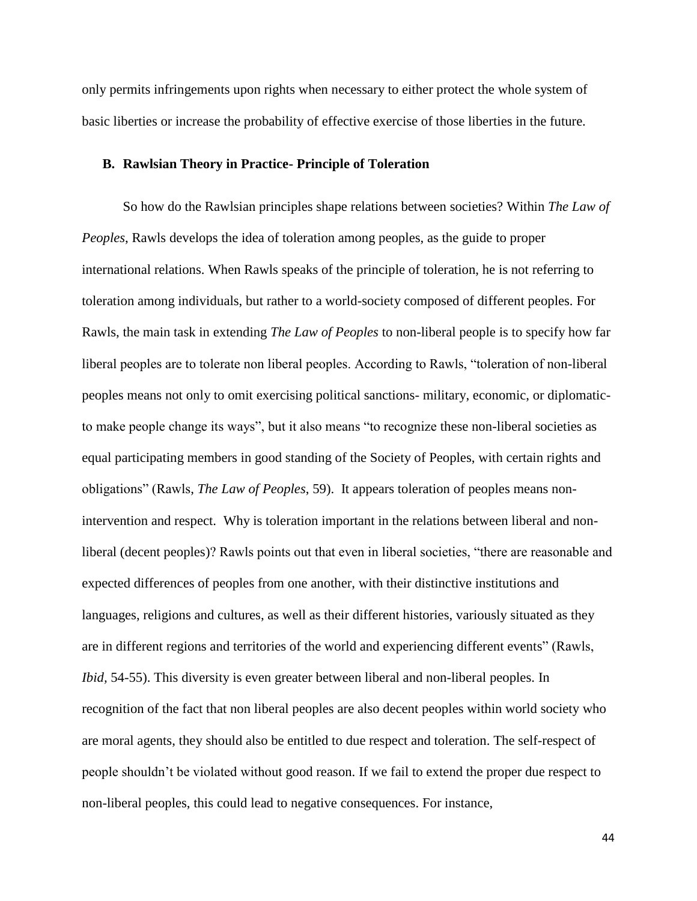only permits infringements upon rights when necessary to either protect the whole system of basic liberties or increase the probability of effective exercise of those liberties in the future.

## **B. Rawlsian Theory in Practice- Principle of Toleration**

So how do the Rawlsian principles shape relations between societies? Within *The Law of Peoples*, Rawls develops the idea of toleration among peoples, as the guide to proper international relations. When Rawls speaks of the principle of toleration, he is not referring to toleration among individuals, but rather to a world-society composed of different peoples. For Rawls, the main task in extending *The Law of Peoples* to non-liberal people is to specify how far liberal peoples are to tolerate non liberal peoples. According to Rawls, "toleration of non-liberal peoples means not only to omit exercising political sanctions- military, economic, or diplomaticto make people change its ways", but it also means "to recognize these non-liberal societies as equal participating members in good standing of the Society of Peoples, with certain rights and obligations" (Rawls, *The Law of Peoples*, 59). It appears toleration of peoples means nonintervention and respect. Why is toleration important in the relations between liberal and nonliberal (decent peoples)? Rawls points out that even in liberal societies, "there are reasonable and expected differences of peoples from one another, with their distinctive institutions and languages, religions and cultures, as well as their different histories, variously situated as they are in different regions and territories of the world and experiencing different events" (Rawls, *Ibid,* 54-55). This diversity is even greater between liberal and non-liberal peoples. In recognition of the fact that non liberal peoples are also decent peoples within world society who are moral agents, they should also be entitled to due respect and toleration. The self-respect of people shouldn't be violated without good reason. If we fail to extend the proper due respect to non-liberal peoples, this could lead to negative consequences. For instance,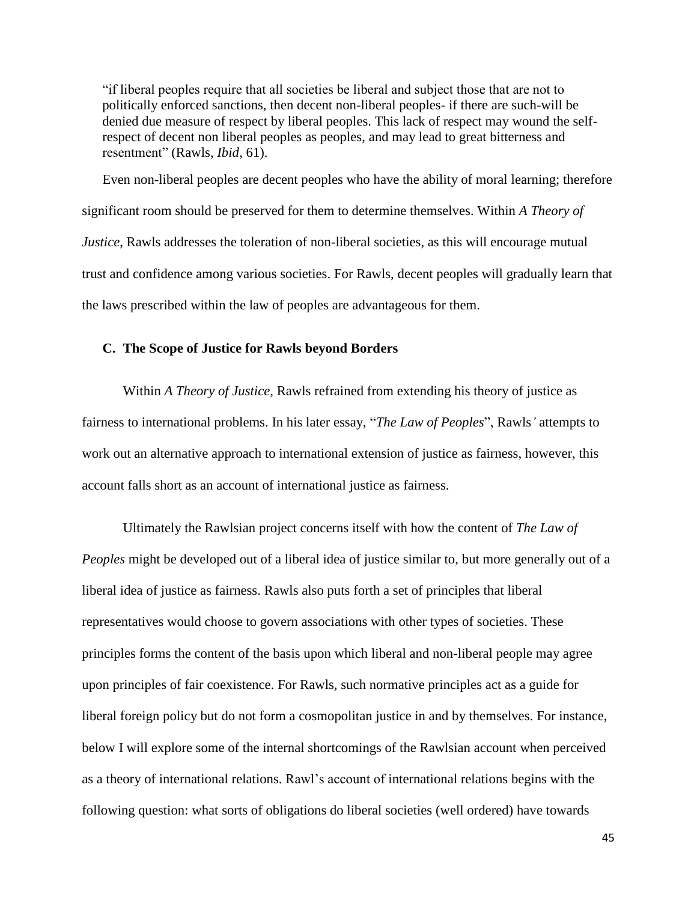"if liberal peoples require that all societies be liberal and subject those that are not to politically enforced sanctions, then decent non-liberal peoples- if there are such-will be denied due measure of respect by liberal peoples. This lack of respect may wound the selfrespect of decent non liberal peoples as peoples, and may lead to great bitterness and resentment" (Rawls, *Ibid*, 61).

Even non-liberal peoples are decent peoples who have the ability of moral learning; therefore significant room should be preserved for them to determine themselves. Within *A Theory of Justice*, Rawls addresses the toleration of non-liberal societies, as this will encourage mutual trust and confidence among various societies. For Rawls, decent peoples will gradually learn that the laws prescribed within the law of peoples are advantageous for them.

# **C. The Scope of Justice for Rawls beyond Borders**

Within *A Theory of Justice,* Rawls refrained from extending his theory of justice as fairness to international problems. In his later essay, "*The Law of Peoples*", Rawls*'* attempts to work out an alternative approach to international extension of justice as fairness, however, this account falls short as an account of international justice as fairness.

Ultimately the Rawlsian project concerns itself with how the content of *The Law of Peoples* might be developed out of a liberal idea of justice similar to, but more generally out of a liberal idea of justice as fairness. Rawls also puts forth a set of principles that liberal representatives would choose to govern associations with other types of societies. These principles forms the content of the basis upon which liberal and non-liberal people may agree upon principles of fair coexistence. For Rawls, such normative principles act as a guide for liberal foreign policy but do not form a cosmopolitan justice in and by themselves. For instance, below I will explore some of the internal shortcomings of the Rawlsian account when perceived as a theory of international relations. Rawl's account of international relations begins with the following question: what sorts of obligations do liberal societies (well ordered) have towards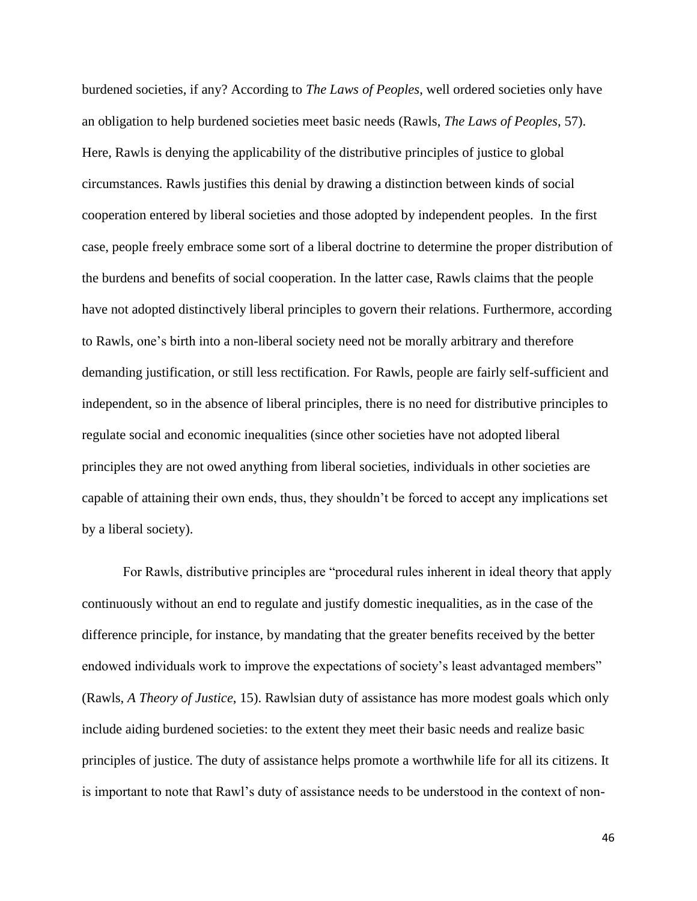burdened societies, if any? According to *The Laws of Peoples*, well ordered societies only have an obligation to help burdened societies meet basic needs (Rawls, *The Laws of Peoples*, 57). Here, Rawls is denying the applicability of the distributive principles of justice to global circumstances. Rawls justifies this denial by drawing a distinction between kinds of social cooperation entered by liberal societies and those adopted by independent peoples. In the first case, people freely embrace some sort of a liberal doctrine to determine the proper distribution of the burdens and benefits of social cooperation. In the latter case, Rawls claims that the people have not adopted distinctively liberal principles to govern their relations. Furthermore, according to Rawls, one's birth into a non-liberal society need not be morally arbitrary and therefore demanding justification, or still less rectification. For Rawls, people are fairly self-sufficient and independent, so in the absence of liberal principles, there is no need for distributive principles to regulate social and economic inequalities (since other societies have not adopted liberal principles they are not owed anything from liberal societies, individuals in other societies are capable of attaining their own ends, thus, they shouldn't be forced to accept any implications set by a liberal society).

For Rawls, distributive principles are "procedural rules inherent in ideal theory that apply continuously without an end to regulate and justify domestic inequalities, as in the case of the difference principle, for instance, by mandating that the greater benefits received by the better endowed individuals work to improve the expectations of society's least advantaged members" (Rawls, *A Theory of Justice*, 15). Rawlsian duty of assistance has more modest goals which only include aiding burdened societies: to the extent they meet their basic needs and realize basic principles of justice. The duty of assistance helps promote a worthwhile life for all its citizens. It is important to note that Rawl's duty of assistance needs to be understood in the context of non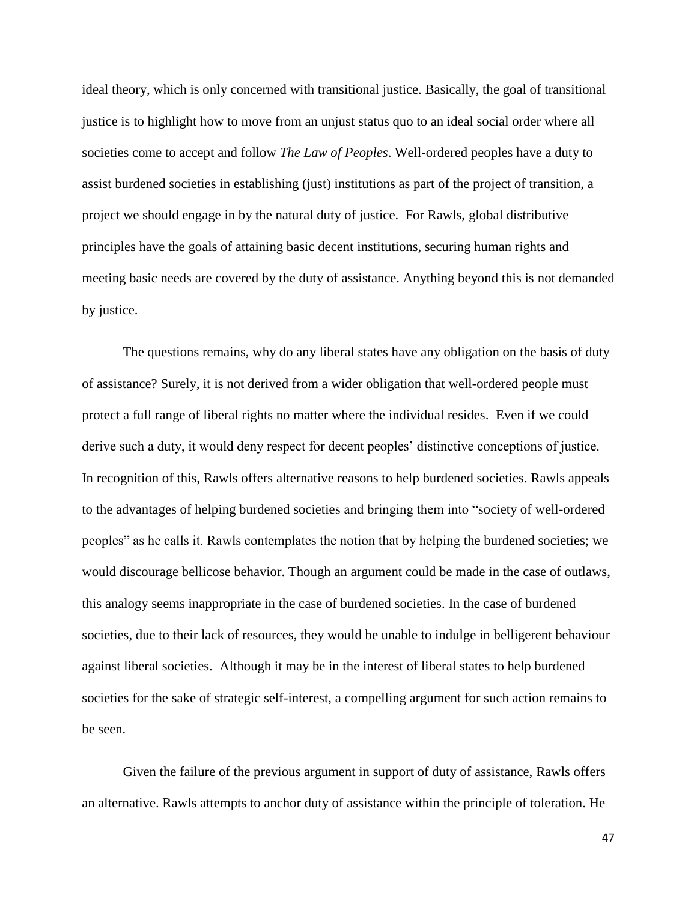ideal theory, which is only concerned with transitional justice. Basically, the goal of transitional justice is to highlight how to move from an unjust status quo to an ideal social order where all societies come to accept and follow *The Law of Peoples*. Well-ordered peoples have a duty to assist burdened societies in establishing (just) institutions as part of the project of transition, a project we should engage in by the natural duty of justice. For Rawls, global distributive principles have the goals of attaining basic decent institutions, securing human rights and meeting basic needs are covered by the duty of assistance. Anything beyond this is not demanded by justice.

The questions remains, why do any liberal states have any obligation on the basis of duty of assistance? Surely, it is not derived from a wider obligation that well-ordered people must protect a full range of liberal rights no matter where the individual resides. Even if we could derive such a duty, it would deny respect for decent peoples' distinctive conceptions of justice. In recognition of this, Rawls offers alternative reasons to help burdened societies. Rawls appeals to the advantages of helping burdened societies and bringing them into "society of well-ordered peoples" as he calls it. Rawls contemplates the notion that by helping the burdened societies; we would discourage bellicose behavior. Though an argument could be made in the case of outlaws, this analogy seems inappropriate in the case of burdened societies. In the case of burdened societies, due to their lack of resources, they would be unable to indulge in belligerent behaviour against liberal societies. Although it may be in the interest of liberal states to help burdened societies for the sake of strategic self-interest, a compelling argument for such action remains to be seen.

Given the failure of the previous argument in support of duty of assistance, Rawls offers an alternative. Rawls attempts to anchor duty of assistance within the principle of toleration. He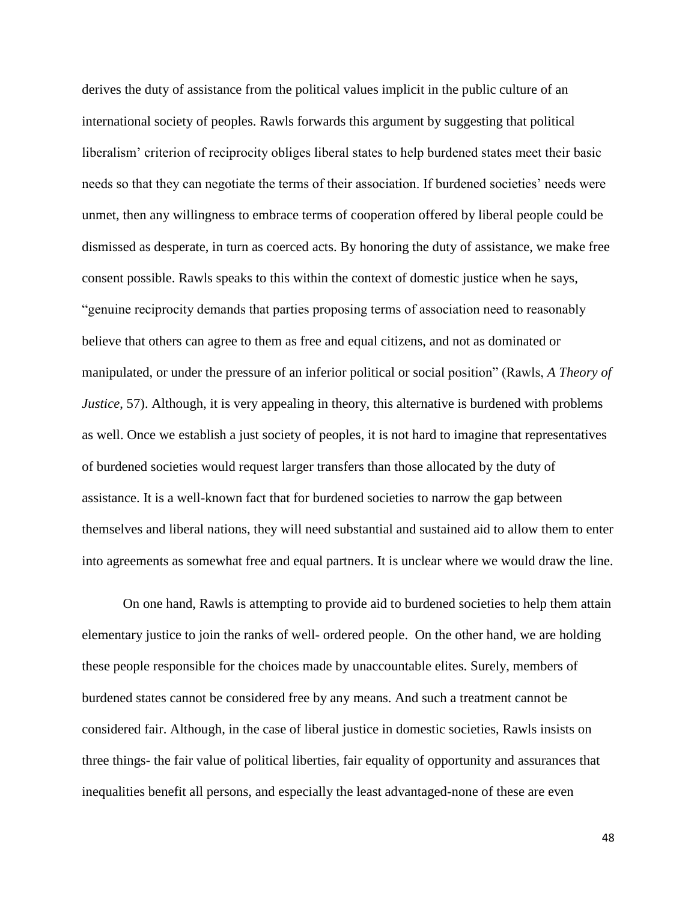derives the duty of assistance from the political values implicit in the public culture of an international society of peoples. Rawls forwards this argument by suggesting that political liberalism' criterion of reciprocity obliges liberal states to help burdened states meet their basic needs so that they can negotiate the terms of their association. If burdened societies' needs were unmet, then any willingness to embrace terms of cooperation offered by liberal people could be dismissed as desperate, in turn as coerced acts. By honoring the duty of assistance, we make free consent possible. Rawls speaks to this within the context of domestic justice when he says, "genuine reciprocity demands that parties proposing terms of association need to reasonably believe that others can agree to them as free and equal citizens, and not as dominated or manipulated, or under the pressure of an inferior political or social position" (Rawls, *A Theory of Justice*, 57). Although, it is very appealing in theory, this alternative is burdened with problems as well. Once we establish a just society of peoples, it is not hard to imagine that representatives of burdened societies would request larger transfers than those allocated by the duty of assistance. It is a well-known fact that for burdened societies to narrow the gap between themselves and liberal nations, they will need substantial and sustained aid to allow them to enter into agreements as somewhat free and equal partners. It is unclear where we would draw the line.

On one hand, Rawls is attempting to provide aid to burdened societies to help them attain elementary justice to join the ranks of well- ordered people. On the other hand, we are holding these people responsible for the choices made by unaccountable elites. Surely, members of burdened states cannot be considered free by any means. And such a treatment cannot be considered fair. Although, in the case of liberal justice in domestic societies, Rawls insists on three things- the fair value of political liberties, fair equality of opportunity and assurances that inequalities benefit all persons, and especially the least advantaged-none of these are even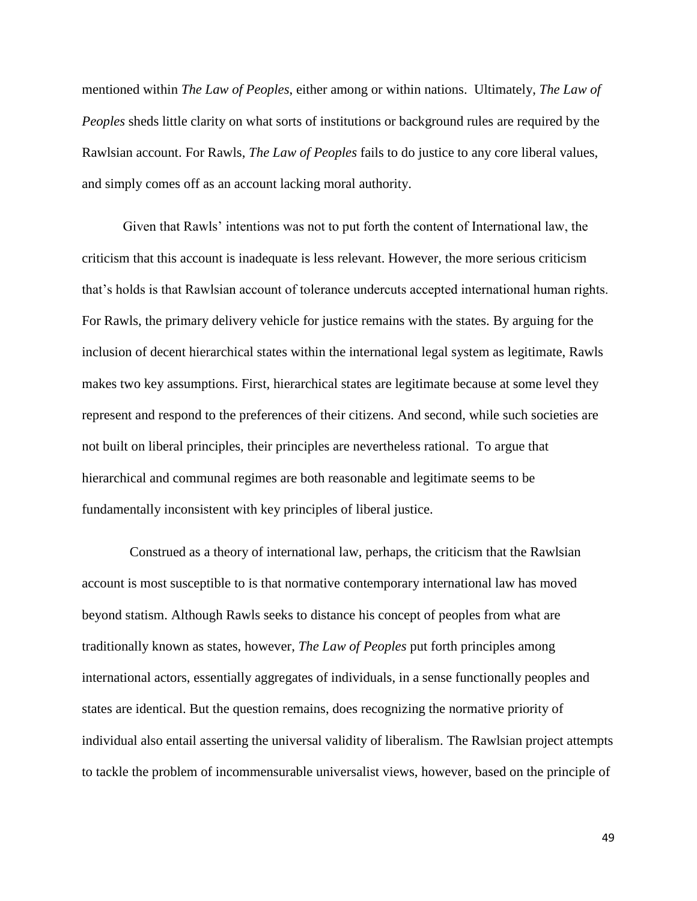mentioned within *The Law of Peoples*, either among or within nations. Ultimately, *The Law of Peoples* sheds little clarity on what sorts of institutions or background rules are required by the Rawlsian account. For Rawls, *The Law of Peoples* fails to do justice to any core liberal values, and simply comes off as an account lacking moral authority.

Given that Rawls' intentions was not to put forth the content of International law, the criticism that this account is inadequate is less relevant. However, the more serious criticism that's holds is that Rawlsian account of tolerance undercuts accepted international human rights. For Rawls, the primary delivery vehicle for justice remains with the states. By arguing for the inclusion of decent hierarchical states within the international legal system as legitimate, Rawls makes two key assumptions. First, hierarchical states are legitimate because at some level they represent and respond to the preferences of their citizens. And second, while such societies are not built on liberal principles, their principles are nevertheless rational. To argue that hierarchical and communal regimes are both reasonable and legitimate seems to be fundamentally inconsistent with key principles of liberal justice.

Construed as a theory of international law, perhaps, the criticism that the Rawlsian account is most susceptible to is that normative contemporary international law has moved beyond statism. Although Rawls seeks to distance his concept of peoples from what are traditionally known as states, however, *The Law of Peoples* put forth principles among international actors, essentially aggregates of individuals, in a sense functionally peoples and states are identical. But the question remains, does recognizing the normative priority of individual also entail asserting the universal validity of liberalism. The Rawlsian project attempts to tackle the problem of incommensurable universalist views, however, based on the principle of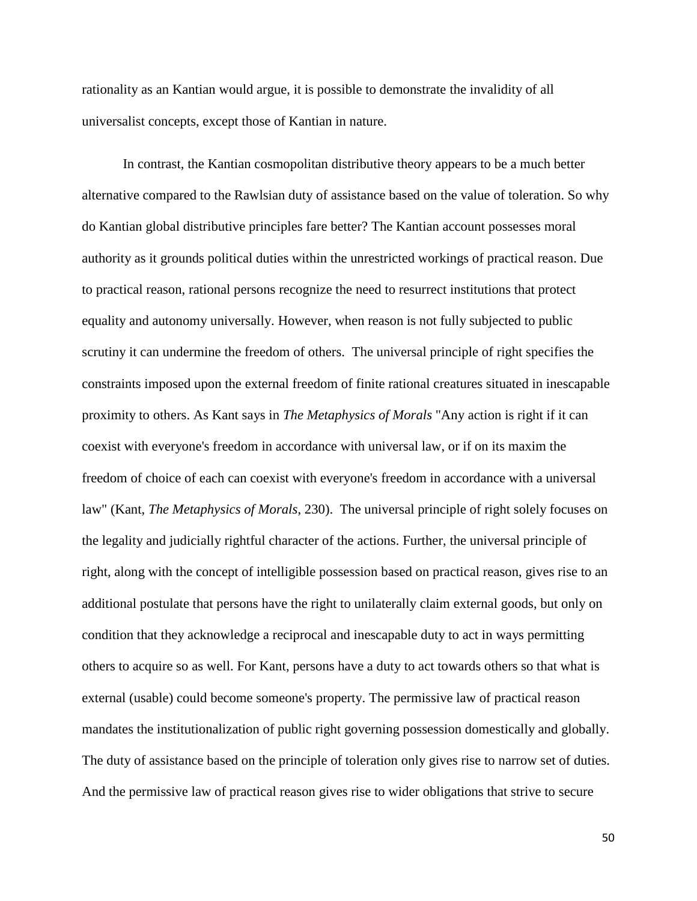rationality as an Kantian would argue, it is possible to demonstrate the invalidity of all universalist concepts, except those of Kantian in nature.

In contrast, the Kantian cosmopolitan distributive theory appears to be a much better alternative compared to the Rawlsian duty of assistance based on the value of toleration. So why do Kantian global distributive principles fare better? The Kantian account possesses moral authority as it grounds political duties within the unrestricted workings of practical reason. Due to practical reason, rational persons recognize the need to resurrect institutions that protect equality and autonomy universally. However, when reason is not fully subjected to public scrutiny it can undermine the freedom of others. The universal principle of right specifies the constraints imposed upon the external freedom of finite rational creatures situated in inescapable proximity to others. As Kant says in *The Metaphysics of Morals* "Any action is right if it can coexist with everyone's freedom in accordance with universal law, or if on its maxim the freedom of choice of each can coexist with everyone's freedom in accordance with a universal law" (Kant, *The Metaphysics of Morals*, 230). The universal principle of right solely focuses on the legality and judicially rightful character of the actions. Further, the universal principle of right, along with the concept of intelligible possession based on practical reason, gives rise to an additional postulate that persons have the right to unilaterally claim external goods, but only on condition that they acknowledge a reciprocal and inescapable duty to act in ways permitting others to acquire so as well. For Kant, persons have a duty to act towards others so that what is external (usable) could become someone's property. The permissive law of practical reason mandates the institutionalization of public right governing possession domestically and globally. The duty of assistance based on the principle of toleration only gives rise to narrow set of duties. And the permissive law of practical reason gives rise to wider obligations that strive to secure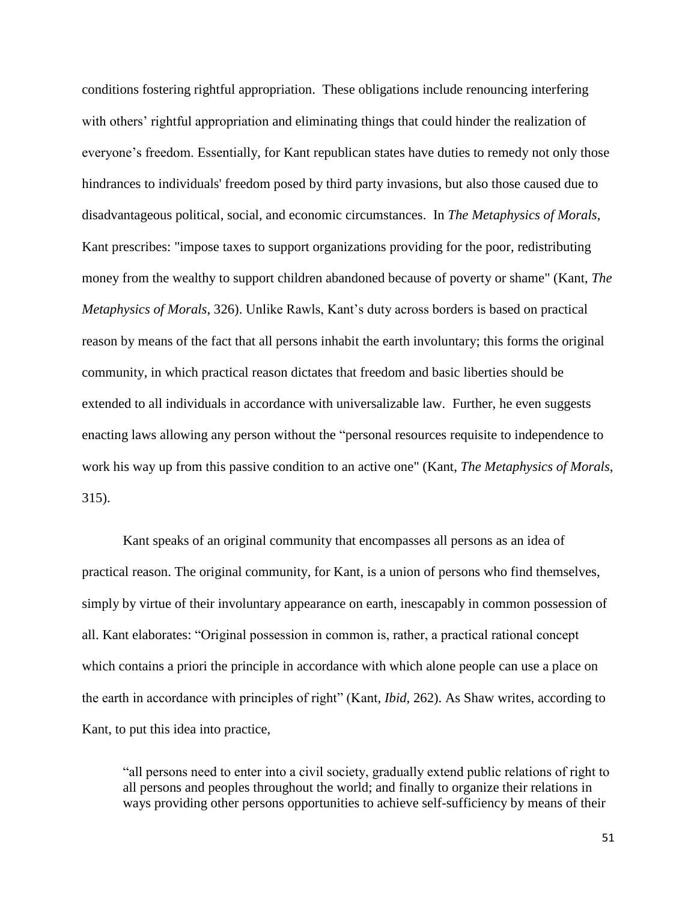conditions fostering rightful appropriation. These obligations include renouncing interfering with others' rightful appropriation and eliminating things that could hinder the realization of everyone's freedom. Essentially, for Kant republican states have duties to remedy not only those hindrances to individuals' freedom posed by third party invasions, but also those caused due to disadvantageous political, social, and economic circumstances. In *The Metaphysics of Morals*, Kant prescribes: "impose taxes to support organizations providing for the poor, redistributing money from the wealthy to support children abandoned because of poverty or shame" (Kant, *The Metaphysics of Morals*, 326). Unlike Rawls, Kant's duty across borders is based on practical reason by means of the fact that all persons inhabit the earth involuntary; this forms the original community, in which practical reason dictates that freedom and basic liberties should be extended to all individuals in accordance with universalizable law. Further, he even suggests enacting laws allowing any person without the "personal resources requisite to independence to work his way up from this passive condition to an active one" (Kant, *The Metaphysics of Morals*, 315).

Kant speaks of an original community that encompasses all persons as an idea of practical reason. The original community, for Kant, is a union of persons who find themselves, simply by virtue of their involuntary appearance on earth, inescapably in common possession of all. Kant elaborates: "Original possession in common is, rather, a practical rational concept which contains a priori the principle in accordance with which alone people can use a place on the earth in accordance with principles of right" (Kant, *Ibid*, 262). As Shaw writes, according to Kant, to put this idea into practice,

"all persons need to enter into a civil society, gradually extend public relations of right to all persons and peoples throughout the world; and finally to organize their relations in ways providing other persons opportunities to achieve self-sufficiency by means of their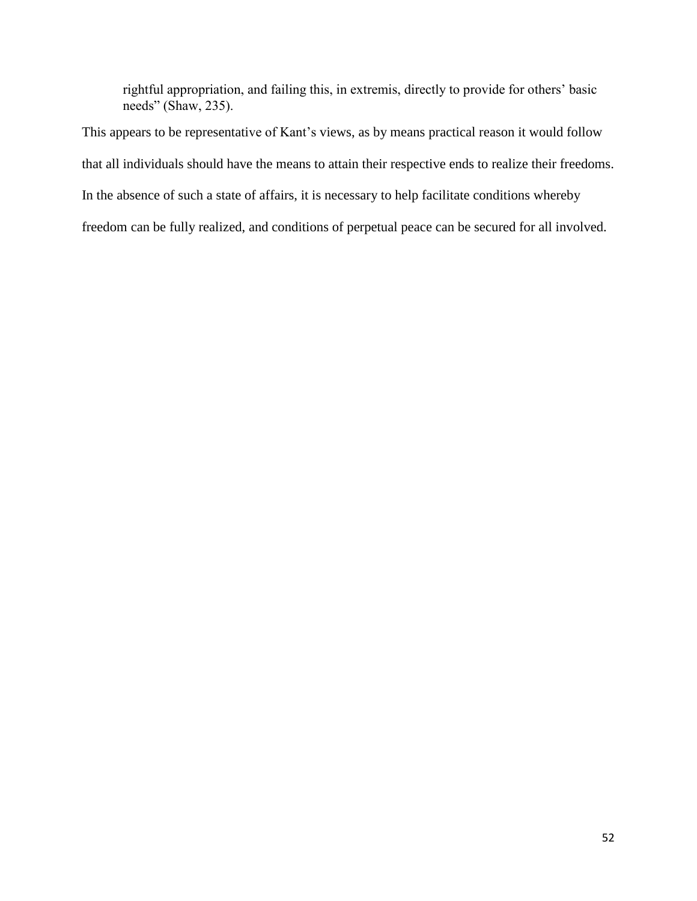rightful appropriation, and failing this, in extremis, directly to provide for others' basic needs" (Shaw, 235).

This appears to be representative of Kant's views, as by means practical reason it would follow that all individuals should have the means to attain their respective ends to realize their freedoms. In the absence of such a state of affairs, it is necessary to help facilitate conditions whereby freedom can be fully realized, and conditions of perpetual peace can be secured for all involved.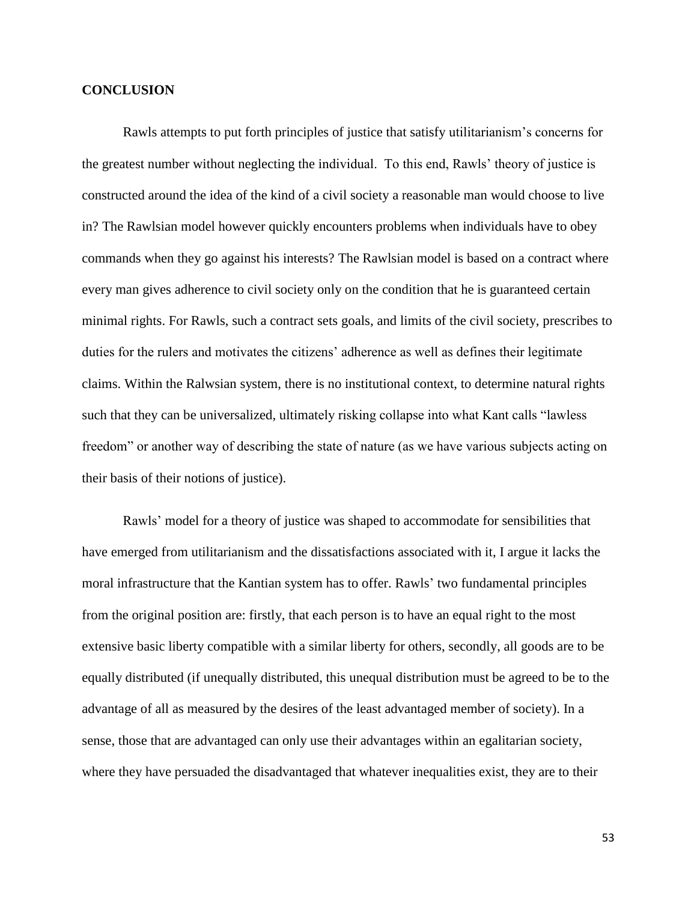# **CONCLUSION**

Rawls attempts to put forth principles of justice that satisfy utilitarianism's concerns for the greatest number without neglecting the individual. To this end, Rawls' theory of justice is constructed around the idea of the kind of a civil society a reasonable man would choose to live in? The Rawlsian model however quickly encounters problems when individuals have to obey commands when they go against his interests? The Rawlsian model is based on a contract where every man gives adherence to civil society only on the condition that he is guaranteed certain minimal rights. For Rawls, such a contract sets goals, and limits of the civil society, prescribes to duties for the rulers and motivates the citizens' adherence as well as defines their legitimate claims. Within the Ralwsian system, there is no institutional context, to determine natural rights such that they can be universalized, ultimately risking collapse into what Kant calls "lawless freedom" or another way of describing the state of nature (as we have various subjects acting on their basis of their notions of justice).

Rawls' model for a theory of justice was shaped to accommodate for sensibilities that have emerged from utilitarianism and the dissatisfactions associated with it, I argue it lacks the moral infrastructure that the Kantian system has to offer. Rawls' two fundamental principles from the original position are: firstly, that each person is to have an equal right to the most extensive basic liberty compatible with a similar liberty for others, secondly, all goods are to be equally distributed (if unequally distributed, this unequal distribution must be agreed to be to the advantage of all as measured by the desires of the least advantaged member of society). In a sense, those that are advantaged can only use their advantages within an egalitarian society, where they have persuaded the disadvantaged that whatever inequalities exist, they are to their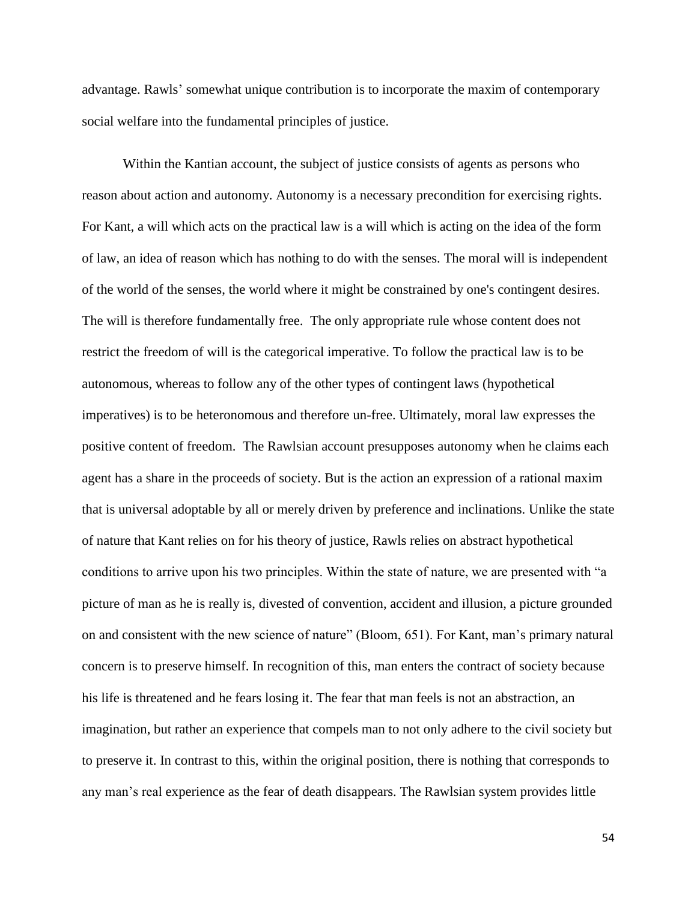advantage. Rawls' somewhat unique contribution is to incorporate the maxim of contemporary social welfare into the fundamental principles of justice.

Within the Kantian account, the subject of justice consists of agents as persons who reason about action and autonomy. Autonomy is a necessary precondition for exercising rights. For Kant, a will which acts on the practical law is a will which is acting on the idea of the form of law, an idea of reason which has nothing to do with the senses. The moral will is independent of the world of the senses, the world where it might be constrained by one's contingent desires. The will is therefore fundamentally free. The only appropriate rule whose content does not restrict the freedom of will is the categorical imperative. To follow the practical law is to be [autonomous,](http://en.wiktionary.org/wiki/autonomy) whereas to follow any of the other types of contingent laws (hypothetical imperatives) is to be [heteronomous](http://en.wiktionary.org/wiki/heteronomy) and therefore un-free. Ultimately, moral law expresses the positive content of freedom. The Rawlsian account presupposes autonomy when he claims each agent has a share in the proceeds of society. But is the action an expression of a rational maxim that is universal adoptable by all or merely driven by preference and inclinations. Unlike the state of nature that Kant relies on for his theory of justice, Rawls relies on abstract hypothetical conditions to arrive upon his two principles. Within the state of nature, we are presented with "a picture of man as he is really is, divested of convention, accident and illusion, a picture grounded on and consistent with the new science of nature" (Bloom, 651). For Kant, man's primary natural concern is to preserve himself. In recognition of this, man enters the contract of society because his life is threatened and he fears losing it. The fear that man feels is not an abstraction, an imagination, but rather an experience that compels man to not only adhere to the civil society but to preserve it. In contrast to this, within the original position, there is nothing that corresponds to any man's real experience as the fear of death disappears. The Rawlsian system provides little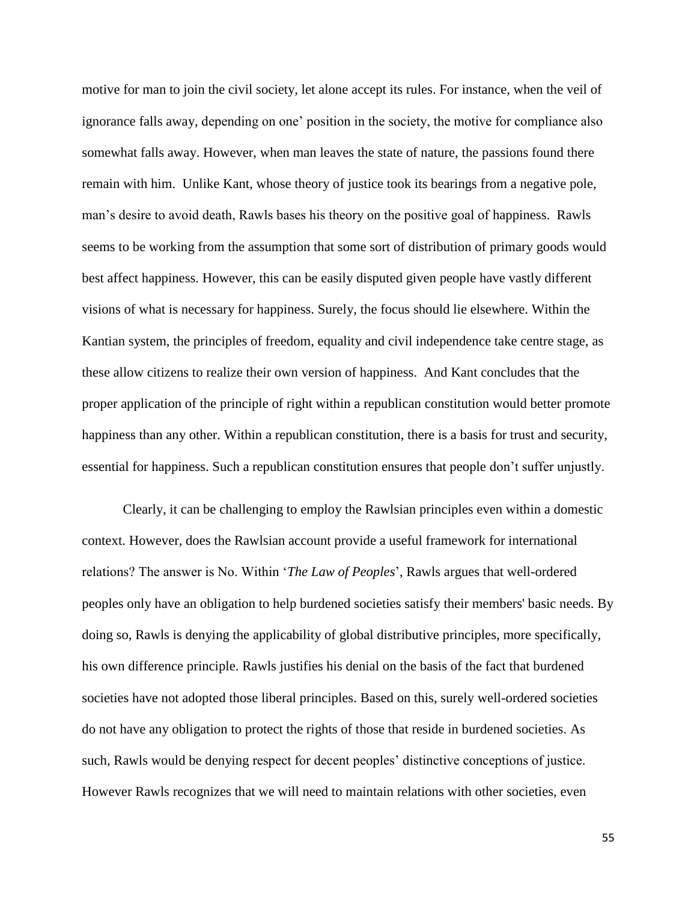motive for man to join the civil society, let alone accept its rules. For instance, when the veil of ignorance falls away, depending on one' position in the society, the motive for compliance also somewhat falls away. However, when man leaves the state of nature, the passions found there remain with him. Unlike Kant, whose theory of justice took its bearings from a negative pole, man's desire to avoid death, Rawls bases his theory on the positive goal of happiness. Rawls seems to be working from the assumption that some sort of distribution of primary goods would best affect happiness. However, this can be easily disputed given people have vastly different visions of what is necessary for happiness. Surely, the focus should lie elsewhere. Within the Kantian system, the principles of freedom, equality and civil independence take centre stage, as these allow citizens to realize their own version of happiness. And Kant concludes that the proper application of the principle of right within a republican constitution would better promote happiness than any other. Within a republican constitution, there is a basis for trust and security, essential for happiness. Such a republican constitution ensures that people don't suffer unjustly.

Clearly, it can be challenging to employ the Rawlsian principles even within a domestic context. However, does the Rawlsian account provide a useful framework for international relations? The answer is No. Within '*The Law of Peoples*', Rawls argues that well-ordered peoples only have an obligation to help burdened societies satisfy their members' basic needs. By doing so, Rawls is denying the applicability of global distributive principles, more specifically, his own difference principle. Rawls justifies his denial on the basis of the fact that burdened societies have not adopted those liberal principles. Based on this, surely well-ordered societies do not have any obligation to protect the rights of those that reside in burdened societies. As such, Rawls would be denying respect for decent peoples' distinctive conceptions of justice. However Rawls recognizes that we will need to maintain relations with other societies, even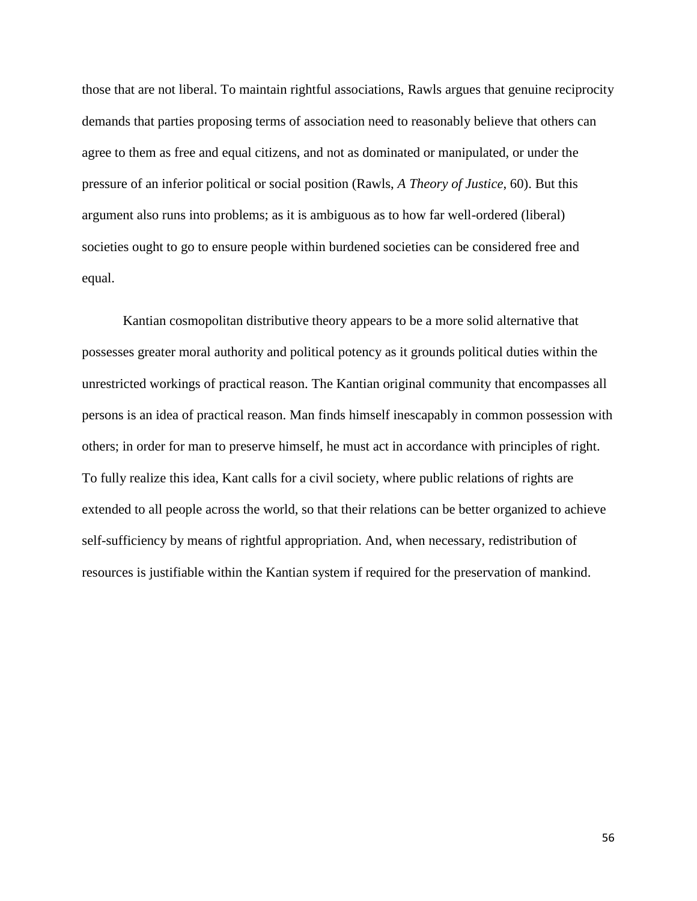those that are not liberal. To maintain rightful associations, Rawls argues that genuine reciprocity demands that parties proposing terms of association need to reasonably believe that others can agree to them as free and equal citizens, and not as dominated or manipulated, or under the pressure of an inferior political or social position (Rawls, *A Theory of Justice*, 60). But this argument also runs into problems; as it is ambiguous as to how far well-ordered (liberal) societies ought to go to ensure people within burdened societies can be considered free and equal.

Kantian cosmopolitan distributive theory appears to be a more solid alternative that possesses greater moral authority and political potency as it grounds political duties within the unrestricted workings of practical reason. The Kantian original community that encompasses all persons is an idea of practical reason. Man finds himself inescapably in common possession with others; in order for man to preserve himself, he must act in accordance with principles of right. To fully realize this idea, Kant calls for a civil society, where public relations of rights are extended to all people across the world, so that their relations can be better organized to achieve self-sufficiency by means of rightful appropriation. And, when necessary, redistribution of resources is justifiable within the Kantian system if required for the preservation of mankind.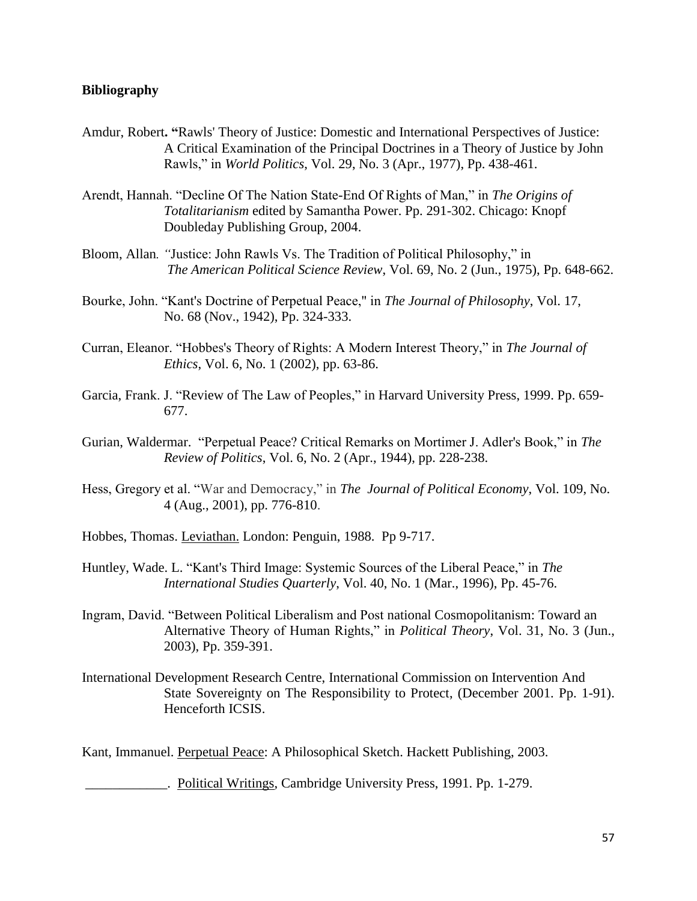# **Bibliography**

- Amdur, Robert**. "**Rawls' Theory of Justice: Domestic and International Perspectives of Justice: A Critical Examination of the Principal Doctrines in a Theory of Justice by John Rawls," in *World Politics*, Vol. 29, No. 3 (Apr., 1977), Pp. 438-461.
- Arendt, Hannah. "Decline Of The Nation State-End Of Rights of Man," in *The Origins of Totalitarianism* edited by Samantha Power. Pp. 291-302. Chicago: Knopf Doubleday Publishing Group, 2004.
- Bloom, Allan*. "*Justice: John Rawls Vs. The Tradition of Political Philosophy," in *The American Political Science Review*, Vol. 69, No. 2 (Jun., 1975), Pp. 648-662.
- Bourke, John. "Kant's Doctrine of Perpetual Peace," in *The Journal of Philosophy*, Vol. 17, No. 68 (Nov., 1942), Pp. 324-333.
- Curran, Eleanor. "Hobbes's Theory of Rights: A Modern Interest Theory," in *The Journal of Ethics*, Vol. 6, No. 1 (2002), pp. 63-86.
- Garcia, Frank. J. "Review of The Law of Peoples," in Harvard University Press, 1999. Pp. 659- 677.
- Gurian, Waldermar. "Perpetual Peace? Critical Remarks on Mortimer J. Adler's Book," in *The Review of Politics*, Vol. 6, No. 2 (Apr., 1944), pp. 228-238.
- Hess, Gregory et al. "War and Democracy," in *The [Journal of Political Economy](http://www.jstor.org.proxy2.lib.uwo.ca:2048/action/showPublication?journalCode=jpoliecon)*, Vol. 109, No. 4 (Aug., 2001), pp. 776-810.
- Hobbes, Thomas. Leviathan. London: Penguin, 1988. Pp 9-717.
- Huntley, Wade. L. "Kant's Third Image: Systemic Sources of the Liberal Peace," in *The International Studies Quarterly*, Vol. 40, No. 1 (Mar., 1996), Pp. 45-76.
- Ingram, David. "Between Political Liberalism and Post national Cosmopolitanism: Toward an Alternative Theory of Human Rights," in *Political Theory*, Vol. 31, No. 3 (Jun., 2003), Pp. 359-391.
- International Development Research Centre, International Commission on Intervention And State Sovereignty on The Responsibility to Protect, (December 2001. Pp. 1-91). Henceforth ICSIS.

Kant, Immanuel. Perpetual Peace: A Philosophical Sketch. Hackett Publishing, 2003.

\_\_\_\_\_\_\_\_\_\_\_\_. Political Writings, Cambridge University Press, 1991. Pp. 1-279.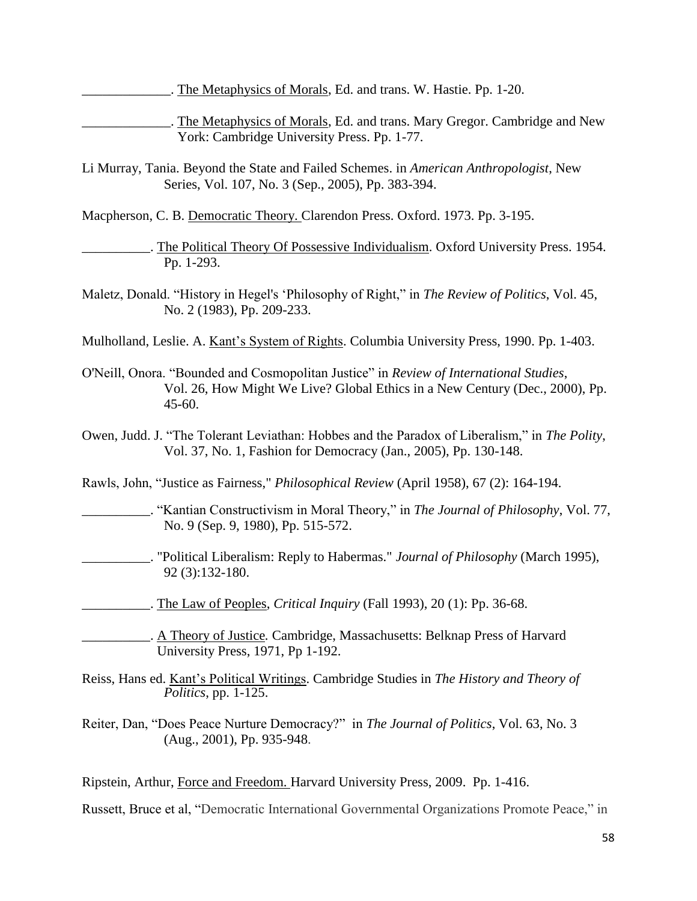The Metaphysics of Morals, Ed. and trans. W. Hastie. Pp. 1-20.

The Metaphysics of Morals, Ed. and trans. Mary Gregor. Cambridge and New York: Cambridge University Press. Pp. 1-77.

Li Murray, Tania. Beyond the State and Failed Schemes. in *[American Anthropologist](http://www.jstor.org.proxy1.lib.uwo.ca:2048/action/showPublication?journalCode=ameranth)*, New Series, Vol. 107, No. 3 (Sep., 2005), Pp. 383-394.

Macpherson, C. B. Democratic Theory. Clarendon Press. Oxford. 1973. Pp. 3-195.

\_\_\_\_\_\_\_\_\_\_. The Political Theory Of Possessive Individualism. Oxford University Press. 1954. Pp. 1-293.

Maletz, Donald. "History in Hegel's 'Philosophy of Right," in *[The Review of Politics](http://www.jstor.org.proxy2.lib.uwo.ca:2048/action/showPublication?journalCode=reviewpolitics)*, Vol. 45, No. 2 (1983), Pp. 209-233.

Mulholland, Leslie. A. Kant's System of Rights. Columbia University Press, 1990. Pp. 1-403.

- O'Neill, Onora. "Bounded and Cosmopolitan Justice" in *Review of International Studies*, Vol. 26, How Might We Live? Global Ethics in a New Century (Dec., 2000), Pp. 45-60.
- Owen, Judd. J. "The Tolerant Leviathan: Hobbes and the Paradox of Liberalism," in *The [Polity](http://www.jstor.org.proxy2.lib.uwo.ca:2048/action/showPublication?journalCode=polity)*, Vol. 37, No. 1, Fashion for Democracy (Jan., 2005), Pp. 130-148.

Rawls, John, "Justice as Fairness," *Philosophical Review* (April 1958), 67 (2): 164-194.

- \_\_\_\_\_\_\_\_\_\_. "Kantian Constructivism in Moral Theory," in *The Journal of Philosophy*, Vol. 77, No. 9 (Sep. 9, 1980), Pp. 515-572.
- \_\_\_\_\_\_\_\_\_\_. "Political Liberalism: Reply to Habermas." *Journal of Philosophy* (March 1995), 92 (3):132-180.
	- The Law of Peoples, *Critical Inquiry* (Fall 1993), 20(1): Pp. 36-68.
- \_\_\_\_\_\_\_\_\_\_. [A Theory of Justice](http://en.wikipedia.org/wiki/A_Theory_of_Justice)*.* Cambridge, Massachusetts: Belknap Press of Harvard University Press, 1971, Pp 1-192.

Reiss, Hans ed. Kant's Political Writings. Cambridge Studies in *The History and Theory of Politics*, pp. 1-125.

Reiter, Dan, "Does Peace Nurture Democracy?" in *[The Journal of Politics](http://www.jstor.org.proxy2.lib.uwo.ca:2048/action/showPublication?journalCode=jpolitics)*, Vol. 63, No. 3 (Aug., 2001), Pp. 935-948.

Ripstein, Arthur, Force and Freedom. Harvard University Press, 2009. Pp. 1-416.

Russett, Bruce et al, "Democratic International Governmental Organizations Promote Peace," in